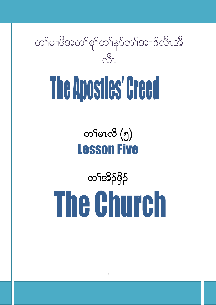

# The Apostles' Creed

တ<sup>ှ</sup>မာလိ (၅) Lesson Five

တSအိုဒိုနိ The Church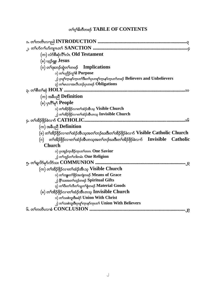# တ<sup>ရ</sup>င့<sup>ရ</sup>နိတီတဖဉ် TABLE OF CONTENTS

| (က) လံာစီဆုံလိ <sup>ု</sup> လံၤ <b>Old Testament</b>                                                                                  |
|---------------------------------------------------------------------------------------------------------------------------------------|
| (ခ) ယူဉ်ရူး $Jesus$                                                                                                                   |
| (ဂ) တ <sup>၎</sup> ဒုးဘဉ်ထွဲတ <sup>ှ</sup> တဖဉ် Implications                                                                          |
| ၁) တ႑်ပညိ5်ကွ <sup>ငှု</sup> စိ Purpose                                                                                               |
| ၂) ပုကုိက္နာနာ်က္နာတာအိုးတာများတစ္ပါက္နာနာ်က္နာတာတစ္ေ <b>Believers and Unbelievers</b>                                                |
| ၃) တ <sup>ှ</sup> မာလာအလီးဘဉ်ပုံကဖဉ် Obligations                                                                                      |
|                                                                                                                                       |
| (က) အစီပညီ Definition                                                                                                                 |
| (ခ) ပုၤဂိ <sup>ရ</sup> မှ People                                                                                                      |
| ၁) တ <sup>ှ</sup> အိဉ်ဖိုဉ်လၫတ <sup>ှ</sup> ထံဉ်အီးသ့ Visible Church                                                                  |
| ၂) တ <sup>ှ</sup> အိဉ်ဖှိဉ်လၫတ <sup>ှ</sup> ထံဉ်အီးတသ္ Invisible Church                                                               |
|                                                                                                                                       |
| $(\infty)$ အစီပညီ Definition                                                                                                          |
| (ခ) တၫ်အိဉ်ဖိုဉ်လၢတၫ်ထံဉ်အီၤသ့အတၫ်ဘဉ်ဃးဒီးတၫ်အိဉ်ဖိုဉ်ခဲလၫာ် $\bf{V}$ isible $\bf{C}$ atholi $\bf{c}$ $\bf{Church}$                   |
| (ဂ) တ <sup>၎</sup> အိဉ်ဖိုဉ်လၢတ <sup>ု</sup> ထံဉ်အီၤတသ့အတ <sup>၎</sup> ဘဉ်ဃးဒီးတၫ်အိဉ်ဖိုဉ်ခဲလ႑ာ် <b>Invisible</b><br><b>Catholic</b> |
| <b>Church</b>                                                                                                                         |
| ၁) ပုံးအုဉ်ကူးခ်ိဳဉ်ကူးတ <sup>6</sup> တဂာ <b>One Savior</b>                                                                           |
| ၂) တ <sup>၎</sup> ဘူဉ်တ <sup>၎</sup> ဘါတမံၤ <b>One Religion</b>                                                                       |
|                                                                                                                                       |
| (က) တ <sup>၎</sup> အိဉ်ဖိုဉ်လၢတ <sup>ှ</sup> ထံဉ်အီးသ့ Visible Church                                                                 |
| ၁) တ <sup>၎</sup> ဘျူးတ <sup>၎</sup> ဖိုဉ်အကျဲတဖဉ် Means of Grace                                                                     |
| ၂) နိ <sup>5</sup> သးအတ <sup>5</sup> ဟ္ဥၥ်တဖဉ် Spiritual Gifts                                                                        |
| ၃) တ <sup>ရ</sup> ပီးတ <sup>ရ</sup> လီတ <sup>ရ</sup> သူတ <sup>ရ</sup> စွဲတဖဉ် Material Goods                                          |
| (ခ) တၫအိဉ်ဖိုဉ်လၫတ႑်ထံဉ်အီၤတသ္ Invisible Church                                                                                       |
| ၁) တ <sup>ှ</sup> သးစဲဘူးဒီးခရံှ <b>် Union With Christ</b>                                                                           |
| ၂) တၫ်သးစဲဘူးဒီးပှၤစူၫ်က္ၤနှာ်က္ၤတ႑် Union With Believers                                                                             |
|                                                                                                                                       |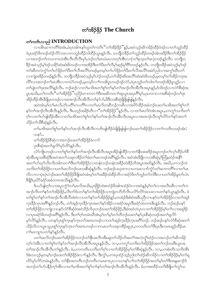# တ<sup>ှ</sup>အိန်ဖို့န် The Church

# တ<sup>ှ</sup>ကတိၤလၫည<sup>ါ</sup> INTRODUCTION

လၢပစိၤဆၢကတိႝၤ်ခဲအံၤႇဖဲပုၤအါဂၤနၤ်ဟူတၤ်ကတိၤ်ဴတၤ်အိဉ်ဖိုဉ်ႛိန္ၟၣႇအ၀ဲသ္ဥဴဆိကမိဉ်ထိဉ်၀ဲဒဉ်လၢတၤ်သူဉ်ထိဉ် ဖဲ့ပုၤခရံာ်ဖိတဖဉ်ထံဉ်လိ5်သးလၢကဘူဉ်ထိဉ်ဘါထိဉ်ယွၤန္နဉ်လီၤ. တဘျီတခ်ိဉ်တ႑်သူဉ်ထိဉ်တဖဉ်အံၤဖးဒိဉ်ဒီးတ႑်အိဉ်ဖိုဉ် လၢအဘဉ်တၫ်ကယၢကယဲအိၤလိၤဘိလိၤမှ1,ဘဉ်တၫ်မၤဃံမၤလၤတ့ၫ်အိၤလၢ(တၫ်စုသူတ႑်မၤ)တဖဉ်နဉ်လိၤႉ တဘျိတ နိဉ်အဝဲသူဉ်မှ1်ဒဉ်သရိုာ်ဆုံးဆုံးဖိတဖဉ်လၢအအိဉ်ဒီးတ1်ပီးတ1်လီမှ1်ဆုဉ်မှ1်ဂိ1်တဖဉ်နှဉ်လီၤ တဘိုတနိဉ်အဝဲသုဉ်မှ1်ဒဉ် တၫ်ဆီတလဲကွံာ်တၫ်ပာ်ဖိုဉ်တၫ်ပီးတၫ်လီအလိံၤ်တဖဉ်မှတမှၤ်တၫ်ပာ်ဖိုဉ်တ႑်ပီးတ႑်လီအလိၤ်အမဲှာသါလၢအကွၤ်ဃီၤတ႑် လၫကျဲအခိဉ်တဖဉ်နဉ်လီၤႉ တဘျီတခဵဉ်အ၀ဲသ့ဉ်မ့\်ဟံဉ်တဖဉ်ႇတႚ်အိဉ်ဆိးအလီိၤ်ဆံးဆံးဖိတဖဉ်ႇမ့တမ့ၤ်တၤ်အိဉ်ကဒုအ လိႝၤ်လၢအဘဉ်တၤ်မၤအီၤလၢကပံာ်တဖဉ်ႇမ့တမ့ၤ်လၤၤ်ကအိပူၤတဖဉ်ဒဉ်လဲာ်ႇဖဲပုၤဘူဉ်တၤ်ဘါတၤ်တဖဉ်အိဉ်ခူသူဉ်လၤ တၫ်ပျံ၊တၫ်ဖုးအလိံၫနဉ်လိံၤ. ဘဉ်ဆဉ်လၢတ႑်မၢဖိအတ႑်စူ႑်တ႑်နှာ်တ႑်အ႑ာလီၤအိလိၤအပူၤန္ဉဉ်,ဒ်သိးဒဉ်လၢလံာ်စီဆုံအ ပူးအသိႏွတ<sup>ု</sup>ကတိၤ<sup>••</sup>တၫ်အိဉ်ဖိုဉ်"ပညိဉ်တၫကတၫၤ်ဒီးအဆိကတၫၤ်ဆူယွာအပုၤဂိၢမုၤ်,ပုၤတဝၢလၢအစိဆုံဘဉ်တၢ်ဒုး အိဉ်ထိဉ်အီၤဒီဖျိပုၤတဖဉ်လၢအအၫဉ်လီၤအိလီၤတၫ်နှာ်ပ႑်ႇဖိဒီးသးစီဆုံဖျိဖျိဖျါရှနှဉ်လီၤ.

အဝဲအံၤမ္โတ ်မၤလိယဲ ်ျပတိ််ျတပတိ််လ 1တ ်မၤလိတဆိတ္ဥ်တဆိလ 1အပိဉ်ထိဥ်အခံဘဥ်ဃးတ ်ျမ 1ဖိအတ ်ုစူ ်တ ်ု နှာ်တၢ်အၫဉ်လီၤအီလီၤန္ဉာ်လီၤႉ ဒီးပဟ္၄ာ်အခိဉ်တီလ႑"တၫ်အိဉ်ဖိုဉ်"နဉ်လီၤႉ လၢတၢ်မၤလိဝဲအံၤအပူၤႇပကကွၢ်သက်ိဳးတ႑် ဂ့်္ဂလၢတၤ်ဟ်ဖျါထိဉ်အီၤလၢတၤ်မၢဖိအတၤ်စူ်တၤ်နှာ်တၤ်အၢဉ်လီၤအီၤလီၤအပူၤလၢအအၢဉ်လီၤတူၤ်လိာ်တၤ်နှာ်အတၤ် သိဉ်တ႑်သီစီဆုံနဉ်လီၤ.

တၫ်မาဖိအတၫ်စူၫ်တၫ်နှာ်တ႑်အၫဉ်လီၤအီလီၤကတိၤဖျါထိဉ်ဝဲဖြိုဖြုဖြုတဉ်ဃးတ႑်အိဉ်ဖိုဉ်လ႑တ႑်ကတိၤတဖဉ်အံၤ: ယန>်…

တၫ်အိဉ်ဖိုဉ်စီဆုံလၢအဘဉ်ဃးတၫ်အိဉ်ဖိုဉ်ခဲလၢာ်

ပုၤစီဆုံအတ႑ရူလိ5်မှာ်လိ5်န္5လီၤ.

.<br>လံာ်ကျယာဖဉ်လၢတ်၊စူ<sup>ရ</sup>တ<sup>်</sup>နှာ်တ<sup>ရ</sup>အၫဉ်လီၤအိလီၤအပူၤအိဉ်ဖျံထိဉ်လၢတ<sup>ရှ</sup>နီၤဖးဖးဒိဉ်အပူၤဘဉ်တ႑်လှ၊်ထိဉ်ပာ်စီ ဆုံအိုၤဆူသးစိဆုံဒီးအဝဲအတ႑်သးခုကစိဉ်တ႑်ဖံးတ႑်မၤတဖဉ်အဂိၤ်န္ဥလိၤႉ အဝဲအံၤခ်ီဖျိလ႑သးစိဆုံမ့္ပ်ကြံနထံဥ်အနို႑ အတၫ်ဟ်ဃှာ်လိၤလိၤအါကတ႑်ဒြီးတ႑်အိဉ်ဖိုဉ်လ႑တနံၤဘဉ်တနံၤအခဵဉ်ထံးခဵဉ်ဘိအပူၤအဃိန္ဉာ်လိၤႉ အဃိႇပကဘဉ်တဲ သကိႏတၫ်အိဉ်ဖိုဉ်လ႑ပတ႑်မၤလိဘဉ်ဃးသးစီဆုံန္ ဉ်လီၤႉ ဘဉ်ဆဉ်ပဃုထ႑လ႑ပကမၤလ႑ာ်ကွံာ်တ႑်ဆ႑ကတိႝၤလ႑တ႑်မၤ လိလၢလၢပှဲ၊ပှဲ၊ဘဉ်ဃးတၫ်အိဉ်ဖိုဉ်နီဖျိအဝဲအံၤမ့္ပ်ာတ႑်အနိဉ်ထံးနိဉ်ဘိလၢခရံှာ်ဖိတ႑်ဘူဉ်တ႑်ဘါဒီးလၢပတ႑်အိဉ်မူတ႑်လဲ၊ ခ်ဳိဖိုဒ်ပုၤပိ႒်ခရံှာ်အခံတဂၤအသိႏန္ဉ်လီၤ.

ဒ်ပဟ်ဖျါတဲ့ ်လၢအပူးကွံာ်တ ်မာလိအသိး,ပု၊ဖြဉ်ထဲးစတဲဉ်ဖိအါကထံဉ်ဝဲလၢအဝဲနှဉ်မှ ်တ ်လၢအလီးဆီလၢတ ်က အၫဉ်လီၤတၫ်နှာ်တၫ်အိဉ်ဖိုဉ်,လီၤက်ဒ်ပတ႑်နှာ်တ႑်အိဉ်ဖိုဉ်လၢကျဲတဘိဘိလီၤပလိဉ်လိဉ်အသးလၢပတ႑်နှာ်ယူၤန္နဉ်လီၤ. ဖဲ တၫ်စူၫ်တ႑်နှာ်တ႑်အၫဉ်လီၤအီလီၤစံးဝဲလ႑ပတ႑်နှာ်တ႑်အိဉ်ဖိုဉ်နှဉ်ႇတအဲဉ်ဒိုးစံးဝဲအခ်ဳပညီလ႑ပနာ်တ႑်အိဉ်ဖိုဉ်လ႑တ႑်အှဉ် က္နာခ်ိဳဉ်က္နာအဂ်ိဳးနဉ်ဘဉ်လီး တၫ်အှဉ်က္နာခ်ိဳဉ်က္နာအတ႑်နှာ်အိဉ်လၢခရံာ်အပူာဒီးခရံာ်ထဲတဂၤဇိၤန္ဉာလီး ဘဉ်ဆဉ်ပနာ် တၫ်အိဉ်ဖိုဉ်လၢကျဲလၢပနဉ်လံဉ်စီဆုံဖဲအဝဲသိဉ်လိပုၤဘဉ်ဃးတၫ်အိဉ်ဖိုဉ်,ဒီးဖဲအဝဲတဲပုၤလၢတၫ်အိဉ်ဖိုဉ်မှၤ်တၫ်လၢအရှဒိဉ် လၢပုၤခရံာ်ဖိတဖဉ်အဂ်ိ<sup>ု</sup>နဉ်လီၤႉ ဒီးတ႑်ဂ့၂်တမံၤဃိအံၤမ္ ါတ႑်မ္ ါတ႑်တိဘဉ်ဃးတ႑်နှာ်ပုၤစိဆုံတဖဉ်အတ႑်ရှလိဉ် မှာ်လိာ်နဉ်လီၤႉ ပတနာ်ပုၤစူ်ကူၤနာ်ကူၤတၤ်အဂၤတဖဉ်လၢပတၤ်အှဉ်ကူၤဒိဉ်ကူၤအဂီၤ်ဘဉ်ႉ ဘဉ်ဆဉ်ပနာ်လံာ်စီဆုံအတၤ် သိဉ်လိလၢယ္ပၤသူပုၤစူ်က္ၤနှာ်က္ၤတၤ်အကတဖဉ်လၢကမၤတၤ်သးခုကစိဉ်ဆူပုၤႇကကတိၤတၤ်ဒီးပုၤဒီးကမၤဆူဉ်ထိဉ်မၤ ဂၢ)မၤကျπပတၢိနၥ်ိန္ဥလိၤႉ

ပတ1်မၤလိဘဉ်ဃးတ1်အိဉ်ဖိုဉ်ကဘဉ်တ1်နီၤဖးလီၤအီၤဆူတ1်သိဉ်လိအကံ1်အလဲလွံ1်ထံဉ်လ႑အဘဉ်တ1်ဆိကမိဉ် တ့်၊လံအိၤလၢတၫ်စူၫ်တ႑်နှာ်တ႑်အ႑ာလီးအိလီးအပူးနှဉ်လီး. တ႑,ပကကွ ၊်သက်းတ႑်အိဉ်ဖိုဉ်အတ႑်ဘဉ်ဃးဒီးယွားအ တၫ်အၫဉ်လီၤအီလီၤတၫ်နဉ်လီၤ. ခံ,ပကကတိၤသကိႏတၫ်ဂ့ၫ်လၢတၫ်အိဉ်ဖိုဉ်မှၤ်တၫ်စီဆုံနဉ်လီၤ. သ႑ပကစံးတိၤသကိႏအိၤ ဒ်ခဲးသလ့္ဉ်မှတမှ ်ဘဉ်ဃးတ ်အိဉ်ဖိုဉ်ခဲလ က်နဉ်လီၤ. ဒီးလွ် ််၊ ပကဃုထံဉ်သူဉ်ညါတ ်ထံဉ်ဆိကမိဉ်လ ၊တ ်အိဉ်ဖိုဉ်မှ ်တ ရ လိ႒်မှာ်လိာ်တမံၤန္နဉ်လီၤႉ တၫ်နီၤဖးတတိၤဘဉ်တတိၤကမၤစπပုၤလၢပကန႑်ပၢၢ်တၫ်အိဉ်ဖိုဉ်အတ႑်မ့ၢ်တၫ်ဒီးအန္**ဆ**႑ာ်ဒ် အဘဉ်တၫ်ဟ်ပနိဉ်တဲ့ၫ်အီၤလၢတ႑်မၢဖိအတ႑်စူၫ်တ႑်နှာ်တ႑်အ႑ာလီၤအီလီၤန္နဉ်လီၤ. မ်ပကစးထိဉ်သက်ိးခီဖျိတ႑်ကွ႑်သ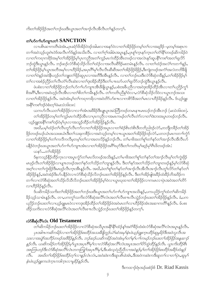ကိုးတၫ်အိဉ်ဖိုဉ်အတၫ်ဘဉ်ဃးဒီးယွၤအတၫ်အၫဉ်လီၤအီလီၤတၫ်နှဉ်တက့႑်.

# თθυδοτθυδοηπου SANCTION

လၢပစိၤဆၢကတိၤခဲအံၤႇပုၤခရံာ်ဖိအိဉ်ဝဲဒဉ်အါမးလၢအနာ်ဝဲလၢတၫ်အိဉ်ဖိုဉ်တမ့ၢ်တၫ်လၢအရှဒိဉ်–မ့တမ့ၢ်အစုၤက တၫ်ာအဝဲသုဉ်ဟူးဂဲၤဝဲဒ်အလီၤက်ဒ်န္ဉာ်အသိးလီၤ. လၢတ႑်ဂ့ါအါမံၤအပူၤန္နဉ်,ပုၤစူြက္ၤနှာ်က္ၤတ႑်တိၤနိြါတဖဉ်ဆိကမိဉ်ဝဲ လၢတၫိကၡၢကၛိဒ်အမ့ၢိတၫ်အိဉ်ဖိုဉ်မ့၊ိပုၤကညီအတ႑်ကူဉ်မၤကဲထိဉ်အိၤတဖဉ်လၢအလဲၤနှာ်ဆူပနိ<sup>႖</sup>ကစ႑်အတ႑်ရူလိုာ် ဘဉ်ထွဲဒီးယွၤန္ဉ်လီၤ. ဘဉ်ဆဉ်လံာ်စီဆုံသိဉ်လိတ႑်ထံဉ်လၢအလီၤဆီဒိဉ်မးတမံၤန္ဉ်လီၤ. လၢတ႑်ထံဉ်အလဲြကတ႑န္၄်, တၫ်အိဉ်ဖိုဉ်မှၤ်ယွၤအဘိအမှၤ်လၢဟိဉ်နိဉ်,အပုၤဂိၢမုၤ်လီၤလီၤဆီဆီအတၤ်အိဉ်ဖိုဉ်ရဲဖိုဉ်,ဒီးကျဲတဖဉ်အကံၤ်အလဲတဘိနိဖျိ လၢတၫ်ဝဲနဉ်အဝဲနိံၤဟ္ဥ်ာတၫ်ဘူူးတၫ်ဖိုဉ်ဆူပုၤလၢအတိဒီးအိၤန္ဥလီၤ. လၢတၫ်ဘဉ်ဃးဒီးလံာ်စိဆုံတခ်ိန္ဥ်ႇတၫ်အိဉ်ဖိုဉ်မှ႑ တၫ်လၢအစံဉ်ညိႆဉ်တၫ်လီၤတိၤလိၤဆဲးလၢတၫ်ဒုးအိဉ်ထိဉ်ဒီးတၫ်ပπဃာ်ပတၫ်ရှလိာ်ဘဉ်ထွဲဒီးယွၤန္ဉာလီၤ.

ဖဲပစံးလၢတၫ်အိဉ်ဖိုဉ်ဘဉ်တၫ်ဟ်ဂၢၢ်ဟ်ကျπအိၤနိဖျိယွၤန္5ဲႇပစံးအနိပညီလၢအဝဲဒုးအိဉ်ထိဉ်အီၤလၢတၫ်ပညိဉ်ကွ႑် စိအဂ်ိဳး,ဒီးလၢအဝဲဟုဉ်လီၤအီၤလၢတၫ်စိတ႑်ကမီၤန္ဉာလီၤ. တ႑်ကတိၤညီနှၤ်ဝဲလၢႇလံာ်စီဆုံသိဉ်လိဝဲလၢယွၤဘဉ်အသး လၢတၫ်အိဉ်ဖိုဉ်နဉ်လီၤ. အဝဲအံၤမ့္ပ်ာက်ရာကရိလၢအဝဲတိဉ်ဟ်စπလၢကစိဉ်နီအတၤ်မၤလၢဟိဉ်နိဉ်နဉ်လီၤ. ဒ်ယ့ဉ်ရူး အနိ<sup>5</sup>ကစ<sup>5</sup>ဒဉ်ဝဲစံးတ<sup>ှ</sup>ဖဲမးသဲ၁၆း၁၈:

ယကဟ်လီၤယတၫ်အိဉ်ဖိုဉ်လၢလၢၫ်အံၤအဖိ<sup>8</sup>ဉ်ဒီးပျုုပူၤအပဲတြိတဖဉ်တမၤနπမၤဃဉ်ဘဉ်အိၤဘဉ် (မးသဲ၁၆း၁၈). တၫ်အိဉ်ဖိုဉ်တမ့်ၢ်တၫ်ကူဉ်မၤကဲထိဉ်အီၤလၢပုၤကညီလၢအမၤကမဉ်တၫ်လီၤတဲဉ်လၢတၫ်ဒဲးဘးအပူၤတဖဉ်ဘဉ်လီၤ. ယ့ဉ်ရူးအနိ<sup>5</sup>ကစ<sup>ှ</sup>ဒဉ်ဝဲမ့<sup>ှ</sup>ပုၤလၢအသူဉ်ထိဉ်တ<sup>ှ</sup>အိဉ်ဖိုဉ်နှဉ်လီၤ.

အဃိႇပမ့ါ်ထံဉ်တါလီၤတူာ်လီၤကာ်လၢတါအိဉ်ဖိုဉ်အပူၤလၢတါစံဉ်စိၤတဲစိၤဒီတဘိညါဒဉ်လဲာ်ႇတဘျီတခ်ီဉ်တါအိဉ် ဖိုဉ်တဖဉ်ဃဉ်ယံၤအသးဖးယံၤဒီးတၫ်သးခုကစိဉ်လၢအဝဲသ့ဉ်တမ့ၢ်လπယ္ပၤအတၫ်အိဉ်ဖိုဉ်ဒဉ်လဲ၁်ႇပတဘဉ်မၤကတ႑ၢ်ကွံဉ် လၢတၫ်အိဉ်ဖိုဉ်မ့ၢ်တၫ်ကလီကလီမ့တမ့ၢ်တၫ်လၢအတလိဉ်နဉ်ဘဉ်လီၤႉ တၫ်မၢဖိအတ႑်ရှၤ်တ႑်နှဉ်တ႑်အၢဉ်လီၤအီလီၤဟာ် ပနိုဉ်ဝဲဘဉ်ဃးယွၤအတၫ်ဟ်ဂၢၢ်ဟ်ကျၤာအံၤလၢတၫ်အိဉ်ဖိုဉ်အဂိၢ်ဃှာ်ဒီးတၫ်ကတိၤမှၢ်ဆုဉ်မှၢိဂီၤဖိတဖဉ်အံၤ: ယန>်…တౕာအိဉ်ဖိုဉ်

ဒ်နကသုဉ်နိဉ်ထိဉ်က္ၤလၢအပူၤက္ဂံာ်တၫ်မၤလိတဖဉ်အသိးန္ဉာ်ႇတၫ်မၢဖိအတ႑်ရုၤ်တ႑်နာ်တ႑်အၫဉ်လီၤမ့ၤ်တ႑်ကွဲးဖိုဉ် မာဖုဉ်လီၤတၫ်အိဉ်ဖိုဉ်လာပျπတဖဉ်အတၫ်နှာ်တ႑်သိဉ်တ႑်ဘျာနှဉ်လီၤႉ ဒီးတ႑်နှာ်အတ႑်သိဉ်တ႑်ဘျာတဖဉ်နှဉ်မှ႑်လံာ်စီဆုံ အင့်္ဂလၢတၫ်ကွဲးဖိုဉ်ဒီးမၤဖုဉ်လီၤက္ၤအီၤန္ဉာလီၤႉ အဃိႇဖဲတၫ်ရုၫ်တၫ်နှာ်တ႑်အၫည်လီၤအၫဉ်လီၤတု႞လိာ်တ႑်နှာ်တ႑် အိဉ်ဖိုဉ်နဉ်,အဝဲအဲဉ်ဒိးဟ်ပနိဉ်ဝဲလၢလံာ်စိဆုံသိဉ်လိဘဉ်ဃးတၫ်အိဉ်ဖိုဉ်နဉ်လီၤ. ဒီးတၫ်အိဉ်ဖျဲအခိဉ်ထံးခိဉ်ဘိအဒိဉ်က တၫ်လၢလံာစီဆုံအတၤ်သိဉ်လိသိလိဘဉ်ဃးတၤ်အိဉ်ဖိုဉ်မှၤ်ဝဲလၢယွၤဃုထၢတၤ်အိဉ်ဖိုဉ်လၢကမၤလၢပှဲၤအဝဲအတၤ်တိဉ် လၢဟိံဉိခိဉ်နဉ်လီး.

ဒ်ပဆိကမိဉ်သကိႏတၫ်အိဉ်ဖိုဉ်အတ႑်ဘဉ်ဃးဒီးယွπအတ႑်ဟ်ဂ႑ၤ်ဟ်ကျπအသိးနှဉ်,ပကပညိဉ်ကွ႑်ထံတ႑်ဆိကမိဉ် ခိဉ်သုဉ်သၢမံၤန္ဉာ်လီၤ. တၢ,ပကကွ်၊သကိႏလံာ်စီဆုံအလိံၤလံၤအတၤ်လီၤစπလီၤသွဲဉ်ဘဉ်ဃးတၤ်အိဉ်ဖိုဉ်နှဉ်လီၤ. ခံ,ပက ပညိဉ်ဘဉ်ဃးတၫ်လၢယ့ဉ်ရူးမၤဝဲလၢကဒုးအိဉ်ထိဉ်တၫ်အိဉ်ဖိုဉ်ဖဲအဝဲမၤတၫ်လၢဟိဉ်ခိဉ်အံၤအဆၢကတိႝၤ်နှဉ်လီၤႉ မ်ပစး ထိဉ်သကိးလၢလံာ်စိဆုံအလိ်ၤလံၤအတၤ်လီၤစ႑ာလီၤသဲ့ဉ်ဘဉ်ဃးတၤ်အိဉ်ဖိုဉ်နဉ်တက္္ပါ.

#### လံာ်စီဆုံလိ<sup>ု</sup>လံၤ Old Testament

တၫ်ဆိကမိဉ်ဘဉ်ဃးတၫ်အိဉ်ဖိုဉ်လၢလံာ်စိဆုံအသိပူၤအနိ<sup>ု</sup>နို<sup>ု</sup>ထံဉ်နှၤ်အငံ၊်ခိဉ်ထံးဖဲလံာ်စိဆုံအလိၤ်လံၤအပူၤန္ဉာ်လီၤ ပုၤအါဂၤကဆိကမိဉ်လ႑တ႑်အိဉ်ဖိုဉ်စးထိဉ်အသးခ်ဳပ္ဖိုဘူဉ်ယဲ႑်ဆံအမှ႑်နံၤဖဲယ့ဉ်ရှူးက္ၤထိဉ်ဆူမှုခိဉ်ဒီးအဝဲလူလီၤအ သးလၢအပျဲ႞အဘိႆဉ်တဖဉ်အဗိႆခိဉ်နှဉ်လီၤ. ဘဉ်ဆဉ်ယဆိကမိဉ်အဝဲအံၤမ္໌ုတ႑်နှၤ်ပ႑ကမဉ်ဘဉ်ဃးတ႑်အိဉ်ဖိုဉ်အန္ဒဆ႑ာ နှဉ်လီး. ယဆိကမိဉ်တ1်အိဉ်ဖိုဉ်မှု ယွားအပု၊ ဂိၢမုၤ်လၢလံဉ်စိဆုံအလီၤ်လံးအပူးအတၤ်တိထွဲထိဉ်နှဉ်လီး. ယွားကိုးထိဉ်စိုး အၤဘြၤဟဉ်ဒီးလံဉ်စီဆုံအလိၤ်လံၤတကတြူၫ်အပုၤဂိၢမု႑် ဒီးပစံးသူဝဲညီညီလၤအဝဲနဉ်မှုၤ်တၤအိဉ်ဖိုဉ်စးထိဉ်အခိဉ်ထံးနှဉ် အဃိတၫ်အိဉ်ဖိုဉ်စးထိဉ်တဲ့ ၊်လ႑နှဉ်လံၤလံၤႇအဝဲဆဲးကဒီးဆူပစိၤခဲအံၤႇဒီးအဝဲကဆဲးကဒီးဆူတ႑်လ႑တ႑်ပုံၤႇဆူမှ႑်  $\mathcal{O}_\mathbf{Z}$ နံးဖဲယ္မွာ်ျူးကဟဲက္နၤကဒါက္နၤလၫမူခ်ိန္နာ်လီး.

ဒီးကထၢဉ်ရံၤအဉ်ခးစံဉ်စ် Dr. Riad Kassis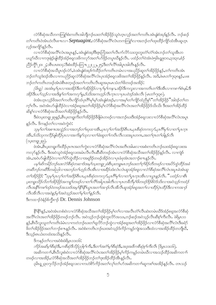လံာ်စိဆုံအသိတကတြူ<sup>နှ</sup>စံးကတိၤအါဘိုဘဉ်ဃးတ<sup>ရ</sup>အိဉ်ဖိုဉ်သူဝဲဟ့ၤလ္ဝ်အတ<sup>ရ</sup>ကတိၤ*အံၤချံစံအဉ်*နှဉ်လီၤႉ ဘဉ်ဆဉ် တၫ်ကတိၤဝဲအံၤဟဲလီၤစ႑ာလ႑ာ Septuagint,လံာ်စီဆုံအလိၤ်လံၤတကတြူၤ်လ႑အဘဉ်တၤ်ထုးထိဉ်ကျိဉ်ထံအီၤဆူဟူၤ လှဉ်အကျိဂ်နဉ်လီၤ.

လၢလံာ်စိဆုံအလိ<sup>ရ</sup>လံၤအပူၤန္ဉာ်*,အံၤချံစံအဉ်*ဒီးဇူးဘြံအတ႑်လီၤက်လိာ်သးဘူးဘူးတံ<sup>၎</sup>တံၤ်အားဘဉ်တၤ်သူအီၤတ ပယူာ်ဃီလၫကဒုးနဲဉ်ဖျါထိဉ်အံဉ်စရလးဖိကလှာ်အတ႑်ဟ်ဖိုဉ်တပူၤဃိန္ဉာ်လီၤႉ ပထံဉ်တ႑်ဝဲအံၤဖဲ၅မိၤရူႏာဝႇ၃၁း၃ဝႇစံဉ် ညီဉ်ကွီ<sup>၎</sup>၂၀း ၂;၁စီၤပၤၵး၁၄:ဒီးစံးထိဉ်ပတြπ ၂၂း၂၂, ၅;ဒီးတ႑်လိ<sup>ု</sup>အပြုၤအါတီၤန္ဉာလီၤ.

လၢလံာ်စိဆုံအသိပူၤဒဉ်လဲာ်*,ဖဲအံၤချံစံအဉ်*ကဲထိဉ်တ႑်ကတိၤတမံၤလၢအပည်ဉ်ဆူတ႑်အိဉ်ဖိုဉ်နှဉ်,တ႑်ကတိၤအံၤ ဘဉ်တၫ်သူဒံးဒဉ်အိၤလၫကပညိဉ်ဆူလံာ်စီဆုံအလိ်ၤလံၤပုၤအံဉ်စရူလးဖိအတၤ်အိဉ်ဖိုဉ်နဉ်လိၤႉ အဒိႇဖဲမၤတၫ်ာုး၃၈နဉ်ႇပဖး ဘဉ်တၢ်ကတိၤတဖဉ်အံၤဖဲစီၤစတ္ဖဖဉ်အတ႑်ကတိၤလီၤဆူအပုၤမၤသံတ႑်ဖိတဖဉ်အအိဉ်:

(မိၤၡ) အအံၤမ္ vုၤလ ၊အအိဉ်ဒီးတ ၊အိဉ်ဖိုဉ်လ ၊ပု ၊်မှ ၊်ကန ၊ အိဉ်ဒီးကလူးလ ၊အကတိၤတ ၊်ဒီးအီၤလ ၊ကစ ၊ ၊်စံၤနါ, ဒီး အိဉ်ဒီးပပ ်သူ့ဉ်လ ၊အဒိႏန္ ်တ ်၊အကလု မူ, ဒ်သိးအကဟုဉ်လီၤက္၊ လ ၊ပုၤပဝဲဒဉ်အံၤလိ၊ (မၤတၤ်ၫှႏ၃၈).

ဖဲအံၤဟ္ၤလ္ဥဴဖိအတ<sup>ၡ</sup>ကတိၤကျိဉ်ထံပုၤဂိ<sup>ု</sup>မှၫမ့်ၫ*အံၤချံစံအဥ်*ႇလၢအမ့္ပါတ႑်ကျိဉ်ထံညီနှ<sup>င္</sup>ံတ႑်အိဥ်ဖိုဉ်"အါဒဥ်တ႑်တ က္ခ႑်လီး အဝဲအံၤပာ်ဖျထိဉ်ဝဲလၢအံဉ်စရူအတ႑်အိဉ်ဖိုဉ်မှုလံဉ်စီဆုံအလိၤလံၤအတ႑်အိဉ်ဖိုဉ်ဒ်သိးသိုး ဒီးအတ႑်အိဉ်ထိဉ် ဆိန္ ်လၢလံ႒်စီဆုံအသိအတ႑်အိဉ်ဖိုဉ်နဉ်လီၤ.

ဒီးဖဲ၁ပူးတရူး၂း၉န္ **ဉ်ႇ**စီၤပူးတရူးကိုးတ<sup>ရ</sup>အိဉ်ဖိုဉ်ခ်ီဖြိုမံၤတဖဉ်လၢအဘဉ်ဃးဒီးအံဉ်စရူလးလၢလံာ်စီဆုံအလိ<sup>ရ</sup>လံၤအပူၤ နဉ်လီၤ. ဒိကနဉ်တ႑်လၢအဝဲကွဲးဝဲ:

သမ္ ါတ ်ါအစ πအသွဲဉ်လ ၊အဘဉ်တ ါဃုထ ၊အိၤႇပုၤလု ါတ ါအဒိဉ်စီၤပၤႇပုၤစီဆုံတကလုဉ်,ပုၤဂိါမု ါလ ၊တ ါပုၤက္၊ အီး,ဒ်သိးသုကလိဉ်ဖျံထိဉ်ပုၤလၢအကိုးနှ'်သုလၢတ႑်ခံးဆူတ႑်ကပိၤလီးလးအပူၤတဂၤ,အတ႑်ဂ္ဂၤတ႑်ဝါနှဉ်လီၤ (၁ပ္မႈတရူး၂ႏဨ).

ဖဲအံၤႇစီၤပူးတရူးကိုးထိဉ်ပုၤဂၤအတ႑်ကွဲးလ႑လံာ်စိဆုံအလိႝၤလံၤအတိၤအါမးလ႑အစံးကတိၤဘဉ်ဃးအံဉ်စရူလးးအ ကလှာ်နှဉ်လီၤႉ ဒီးအဝဲသူဝဲအံ့ဉ်စရူလးအမံၤလီၤလီၤဆီဆီတဖဉ်အံၤလၢလံာ်စီဆုံအသိအတၫ်အိဉ်ဖိုဉ်နှဉ်လီၤႉ လၢကျဲဒ် အံၤႇအဝဲဟ်ဖျါထိဉ်ဝဲလၢတၫ်ိပ်ာ်ထွဲထိဉ်လၢအရှုဒိဉ်တဖဉ်အိဉ်ဝဲလၢပုၤခံဖုအံၤအဘ႑ာ်စπနှဉ်လိၤႉ

ပမ္ 1ဆိကမိဉ်ဘဉ်ဃးလံဉ်စီဆုံတဆ႑ဒ်အမ္ 1၁ပူးတရူး၂ပဲစီၤပူးတရူးမၤဘဉ်ဃးတ႑်ဂူ1ခိဉ်တီတဖဉ်လ႑အပိဉ်ထွဲထိဉ်အခံ *တဆီဘဉ်တဆိဒိတခါညါလ ၊အဘဉ်တ* ၊်ဟ္*ဉ်လီၤအီၤလ ၊အခိဉ်ထံးလံၤလံၤဆူအံဉ်စရလ ၊လံဉ်စီဆုံအလိ* ၊်လံ*ၤအပူၤခဲအံၤဆူ* တၫ်အိဉ်ဖိုဉ်: "သုမ္ဓၢိပုၤလုၫ်တၫ်အဒိဉ်စီၤပၤႇပုၤစီဆုံတကလုဉ်,ပုၤဂိၢမုၤ်လၤတ႑်ပုၤက္ဥာအီၤလၤယ္စ႑န္ဥလိၤႉ" ပထံဉ်လၤစီၤ <u>ပူးတရူးသို5လိတ် ၊အို5မို5အကရူ ၊်တဖဉ်လ ၊တ ၊်လီ ၊အါပူ၊ အါတီ၊ လ ၊ပု၊ တစီဘီမှ ၊်ဗိတဖဉ်ဒိဉ်စိဝဲဒ်သိုးလ ၊အဝဲသု5ကထံ5</u> လီၤအနီ ်ကစ ်13ှာ်ဝဲတဖဉ်အသးဒ်အမှ 'နီ' ၊နိ 'ယူၤအတ ်၊အ႑ာ်လီၤအိလီၤဆူအံဉ်စရူအတ ်၊လ ၊ထိဉ်ပဲ့၊ ထိဉ်ဒီးလ ၊ကအ႑ာဴ လီၤအီလီၤလၢအဝဲနဉ်မှTအဝဲသုဉ်အတၤ်မှTတ႑်နဉ်လီၤ.

ဒီးကထၫဉ်ဒဲနံဉ်စ်ကွီစၫဉ် Dr. Dennis Johnson

နို<sup>ု</sup>နှိုနှဉ်,အဝဲအံၤတစံးဝဲလၢလံာ်စိဆုံအသိအတၫ်အိဉ်ဖိုဉ်မ့ှ်တ႑်လၢအလီၤတံ႑လီၤဆဲးတမံၤဃိဒ်အံဉ်စရူအလံာ်စိဆုံ အလိ်ိၢလံၤအတၫ်အိဉ်ဖိုဉ်တဖဉ်ဘဉ်လီၤ. အဝဲသူဉ်ဘဉ်တွဲစဲဘူးလိာ်အသး,ဘဉ်ဆဉ်အဝဲသူဉ်လီၤဆိစ့ၢ်ကီးလီၤ. ဖဲရိမ္ၤ၁၁ နှဉ်,စီၤပီလူးသူတၫ်ကတိၤခံမံၤလၤကတဲဘဉ်ဃးတ႑်ရှလိာ်ဘဉ်ထွဲလၢအံဉ်စရုအတ႑်အိဉ်ဖိုဉ်လၤလံာ်စီဆုံအလိၤ်လံၤဒီးခရံာ် .<br>ဖိတၫ်အိဉ်ဖိုဉ်အတၫ်ဘ႑ာ်စπနှဉ်လီၤ. အဝဲစံးကတိၤဘဉ်ဃးအဝဲသုဉ်ဒ်ကိဉ်ကမှဉ်ကျဲအသးဒီးထံလၢအအိဉ်ထိဉ်တဘိုုဃီ, ဒီးသုဉ်စၤယံးတထံးအသိးနဉ်လိၤႉ

ဒိကနဉ်တ႑်လၢအဝဲစံးဖဲရိမၤ၁၁း၁၆:

ကိုဉ်အဆိမ္ Yစီဆုံဒီး,ကစီဆုံဒီလိုဉ်ညါစွ Yကီး,ဒီးတ Yအငံ Yမွ Yစီဆုံဒီး,အဒ္ဒအဖီကစီဆုံစွ Yကီးလီၤ (ရြမ္ၤ၁၁း၁၆). အဆိကတၫ်ာနစီၤပီလူးစံးဝဲလၢလံာစိဆုံအလိ်၊လံၤအတၫ်အိဉ်ဖိုဉ်မှ၊်ကိဉ်ကမူဉ်တမံၤဃီလၢအသဉ်ထိဉ်အဆိကတၫ်၊ တဖဉ်လၢအအိဉ်,လံာ်စီဆုံအသိအတ႑်အိဉ်ဖိုဉ်ဘဉ်တ႑်ားအိဉ်ထိဉ်အီၤန္ဉာလီၤ.

၃မိၫရှု ု၃း၁၇လိဉ်ဘဉ်အံဉ်စရူလးလၢကဟဲစိ9်ကိဉ်အတ႑်လှၤ်တၤ်ဟ်အဆိကတ႑ါဆူကစၤ်အအိဉ်နဉ်လီၤ တၤသဉ်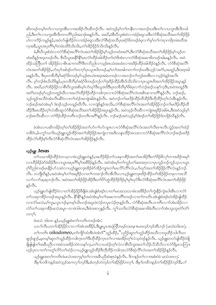ဆိတဖဉ်တမ့်ၢတၫ်လၢပကူးအီၤလၢအအိဉ်လီၤဆီဘဉ်လီၤႉ အဝဲသ္ဝ်မ့္၊်တၫ်တနိၤလၢအဘဉ်ဃးဒီးတ႑်လၢပကူးအီၤဒီတခါ ညါ,ဒီးတ႑်လၢပကူးအီၤဒီတကတိ႑်ညါအခ႑ာ်စးန္ ဉ်လိၤႉ အဃိႇဖဲစီၤပိလူးစံးဝဲလၤအံဉ်စရူလးဒီးလံာ်စိဆုံအသိအတ႑်အိဉ်ဖိုဉ် ဟဲလၫကိဉ်ကမူဉ်နှ်ဉ်,အဝဲပာ်ဖျါထိဉ်ဝဲလၫအံဉ်စရူလးဒီးလံာ်စိဆုံအသိပုၤခရံာ်ဖိတဖဉ်ခံဖုလ႑ာ်မ့ၢ်တၫကၡ႑ကရိတမံၤဃိအ က္ခအခ်ိဳႇယ္စၤအပုၤဂိၢမုၢိတမံၤဃိဒ်သိးသိးႇတၫ်အိဉ်ဖိုဉ်ဒ်သိးသိးန္ဉာလိၤႉ

ခံ,စီၤပီလူးစံးဝဲလၢလံာ်စိဆုံအလိၢ်လံၤအတ႑်အိဉ်ဖိုဉ်မှၤ်သုဉ်တထံးအင်္ဂၢ,ဒီးလံာ်စိဆုံအသိအတ႑်အိဉ်ဖိုဉ်မှၤ်သုဉ်တ ထံးဃိနဉ်အဒ္ဝာဖဉ်လီၤႉ စီၤပီလူးအနိ<sup>ု</sup>နိ<sup>ု</sup>မၤလဲ<sup>၎</sup>ထိဉ်အါထိဉ်တၫ်တဲဒိအံၤလၢလံာ်စိဆုံအဆၢဖိတဖဉ်အါမးနှဉ်လီၤႉ အဝဲ ထိဉ်သတြီၤတ႑် အိဉ်ဖိုဉ်လၢစိၤဆၢကတိ်ၤဒီတဘိညါလၢသ့ဉ်စၤယံးအထံးလၢအဒိဉ်ထိဉ်အါထိဉ်ဝဲနဉ်လီၤ လံာ်စီဆုံအလိ်ၤ လံၤအတၫ်အိဉ်ဖှိဉ်,ဟ်ဃုာ်အါဒဉ်တၫ်တက့ၫ်ပှၤယူအဖိတဖဉ်,မ့ၫ်တၫ်အအါကတၫၢ်ဘဉ်ဃးဒီးသ့ဉ် $:$ အငံၢိႇအထူဉ်,ဒီးအဒ့အါ မးနဉ်လီၤႉ ဒီးပုၤတခ်ိဘိမှၫ်ခရံာ်ဖိတဖဉ်မ့ၫ်သ္ဉ်စၤယံးအဒ့အမံၤတဖဉ်လၫအဘဉ်တၫ်ဘုဉ်စးအီၤလၢသ္ဉ်ဝဲနှဉ်အလိၤ လီၤ. မ့္ပ်ာာဉ်စံးယိယိဖိန္ဉွ်ႇပုၤတခ်ိဘီမှ ်ခရံှာ်ဖိတဖဉ်ဘဉ်တ ်ဒုးဒိဉ်ထိဉ်အီၤဒ်သိးသိးလၤပုၤယူဒၤဖိအတ ်အိဉ်ဖိုဉ်အပူၤန္ဉ လီၤႉ အဃိႇတၫ်အိဉ်ဖိုဉ်လၢစီၤ၀ိလူးအစိၤမ့ၢ်ပာ်ဃှာ်ဒီးယူအဖိဒီးပုၤတခ်ိဘိမှၫ်ဖိခံဖုလၫာ်ဘဉ်ဆဉ်သနာ်က္ခဒီးႇအ၀ဲအထူဉ်ဒီး အင်္ဂါတဖဉ်မ့္ပ်သွဉ်တထူဉ်ဃီလၢအလဲြထိဉ်ဒိဉ်ထိဉ်ကဒါက္ပၤလၤလံာ်စိဆုံအလိ်ၤလံၤအစိၤဆၢကတိ်၊နဉ်လီၤႉ ဘဉ်ဆဉ်, သူဉ်ထူဉ်အသိဝဲအံၤလိၤဆိဝဲလၢတၫ်ထံဉ်အကျဲအါမံၤန္ဉာလီၤႉ အဝဲဘဉ်တ႑်မၤဒိဉ်ထိဉ်ထိညီဒီးဘိုထိဉ်တှၤ်လံအိၤန္ဉာလီၤႉ ဘဉ်ဆဉ်အဝဲအံၤမ့္် ဒီးဒဉ်သုဉ်တထူဉ်ဃီလီၤ. လၢကျဲဒ်နှဉ်အသိး,လံာ်စီဆုံအလိၤ်လံၤအတၤ်အိဉ်ဖိုဉ်ဘဉ်တၤ်မၤဒိဉ်ထိဉ်ထိ ထိဉ်ဒီးမၤထိဉ်တ့်ၤလံအိၤဆူလံဉ်စိဆုံအသိအတ႑်အိဉ်ဖိုဉ်အပူၤန္နဉ်လီၤႉ အဝဲသ့ဉ်လီၤဆီလၤကျဲအရှဒိဉ်အါမံၤႇဒီးအဝဲသ့ဉ်မှ ် ခၢဉ်စးလီၤဆီလၢ တၫ်ဒိဉ်ထိဉ်တတိၤဘဉ်တတိၤအဂ်ိါနှဉ်လီၤႉ ဘဉ်ဆဉ်အဝဲသ့ဉ်မ့ၢ်ဒံးဒဉ်တၫ်အိဉ်ဖိုဉ်ဒ်တဖိုဉ်ဃိနှဉ်လီၤႉ

ခဲအံၤလၢပဆိကမိဉ်တ့ၢ်တၢ်အိဉ်ဖှိဉ်အတၤ်ဟ်ဂၢၢ်ဟ်ကျπလၢလံာ်စိဆုံအလိံၤလံၤအတၤ်လီၤစπလီၤသွဲဉ်အတၤ်ထံဉ် တခ်ိဳင်္ဂ•,မ်ပက္ဂၤ်သက်ိးယ့ဉ်ရူးသူဉ်ထိဉ်အတၤ်အိဉ်ဖိုဉ်အကျဲလၤအဒိးသန္ၤထိဉ်အသးလၤလံာ်စိဆုံအလိၤ်လံၤဘဉ်ဆဉ်မၤဒိဉ် ထိဉ်လဲြထိဉ်စ့<sup>၎</sup>ကီးလံဉ်စီဆုံလိ်<sup>င</sup>်္လာအတ<sup>ှ</sup>အိဉ်ဖိုဉ်နှဉ်လီၤ.

## ယ့ဉ်ရူး  $$

လၫဟိဉ်နိဉ်မဲဉ်ဖီးနိဉ်ဒီးလၫယ္ပၤအပုၤဂိၢမုၤ်အဖိနှဉ်နှဉ်လီၤ. အဝဲအံၤမ့ၤ်တ႑်ကူဉ်တ႑်ဆးအဂ္ဂၤလ႑ဟူဉ်ဘဉ်ကူဉ်သွလ႑ယ္ဂၤ ့ဂ်ပိညါတဖဉ်မာနိဉ်ဟ်သးဝဲလၢယ့ဉ်ရူူးတဒုးအိဉ်စံာ်အိဉ်ကျπတၫ်မၤလိ5်လိံၤ်လား ပာ်ဃှာ်အတ႑်အိဉ်ဖိုဉ်လိံၤလံၤန္ဉာ်ဘဉ် လီး တဘျီဃိန္၌ အဝဲအံၤမ္ တြအရှိဒိုည်လာတ ကေအာဉ်လီးအီလီးလာယူဉ်ရူးတဒုးအိဉ်ထိဉ်တ အိပ်စိုက်တယ်အသိ လၫာ်လၫာ်ဆ့ဆ့ဘဉ်လီၤ. အဝဲအတၫ်အိဉ်ဖိုဉ်အိဉ်ဒီးတၫ်ပိာ်ထွဲထိဉ်ဒိဉ်ဒိုမှ်မှ၊်မှာ်ဒီးလံာ်စီဆုံအလိံၤလံၤအတ႑်အိဉ်ဖိုဉ် နဉ်လီၤ.

ယ့ဉ်ရှူးပာ်ဖျါထိဉ်ဝဲလၢတၫ်အိဉ်ဖှိဉ်<sup>8</sup>ဖြိမံ၊ *အံၤချံစံအဉ်*လၢတၫ်မၤအသးသၢမံၤအ<sup>88</sup>ဉ်တ႑်ကွဲးနိဉ်ကွဲးဃါအိၤလၢလံာ် တၫ်သးခုကစိဉ်တဖဉ်အပူၤန္နဉ်လီၤႉ <sup>ဓွဴင်</sup>နှိ႖်နှဉ်အဝဲအံၤမ့ၫ်တၫ်အဆ႑ကတိႝၤ်တပဉ်လ႑တ႑်ကတိၤ*အီၤချီစံအဉ်*ဟဲအိဉ်ဖျဲထိဉ် လၢလံာ်မႈသဲ,မ<sup>၎</sup>ကူး,လူၤကဉ်မ့တမ့<sup>၎</sup>ယ်ၤဟဉ်အပူၤဖဲလဲဉ်တပူၤလဲဉ်ဂ္**ဂ**န္ဉာလီၤ. လံာ်စီဆုံအတိၤသၢတိၤလၫာ်အံၤအိဉ်လ႑ လံာ်တ<sup>ရ</sup>သးခုကစိဉ်မႈသဲအပူ၊ –တၢဖဲ၁၆း၁၈, ဒီးဖဲ၁၈း၁၇နဉ်လိၤ. ကွ<sup>ရ</sup>သက်းလံာ်စိဆုံအဆၫဖိခံတိၤလၫာ်အံၤဘူးဘူးတံရတံရ် တက¶.

# ဖဲမးသဲ ၁၆း၁၈ န*ု*ဉ်,ယှဉ်ရှူးစံးတ<sup>၎</sup>ကတိၤတဖဉ်အံၤ $\colon$

# ယပဉ်လီၤယတ႑်အိဉ်ဖိုဉ်လ႑လ႑ာအားအဖိနှိဉ်, ဒီးပျူပူၤအပဲတြိတဖဉ်တမၤန πမၤဃဉ်ဘဉ်အီၤဘဉ် (မးသဲး၁၆း၁၈).

တၫ်ကတိၤ  $oikodomeo,$ တၫ်ကျိဉ်ထံအိၤဖဲအံၤဒ်"သူဉ်ထိဉ်,"ပညိဉ်ဆူတၫ်သူဉ်ထိဉ်အသိလၢဟူထိဉ်သါလီၤတ ျောဉ်ဖျာဉ်ႇမ့တမ့<sup>ရ</sup>ဆူတ<sup>ရ</sup>သူဉ်ထိဉ်ကဒါက္πတ<sup>ရဒ္ဒိ</sup>းဘိုထိဉ်က္πတ်ရလၢအအိဉ်တွ<sup>ရြ</sup>ံသွ၀ဲဒဉ်နဉ်လိၤႉ ယှဉ်ရျူးတဟ်ဖျါထိဉ်ဝဲဖျိ ဖြိုဖျိုဖျိတ် အခ်ဳပညီလ ၊အဝဲသးအိဉ်တဲဝဲသနာ်က့ႇတ႑်လ ၊ပထံဉ်တဲ့ ်လံလ ၊စီးပီလူးအတ ်သိဉ်လိသီလိလ ၊လံာ်ရိမ့္၊ ၁၁ကြ ၊း ဟ့ဉ်ပုၤလၢတၫ်ကတူၫ်လိဉ်တ႑်ထံဉ်လၢယ့ဉ်ရူးသူဉ်ထိဉ်ဒီးဘိုထိဉ်ကဒါက္ၤလံဉ်စီဆုံလိႝၤလံၤအတ႑်အိဉ်ဖိုဉ်နဉ်လီၤ.

ယ့ဉ်ရူးအတ<sup>၎</sup>ကတိၤဖဲမးသဲ၁၈း၁၇မ့<sup>၎</sup>တ႑်လၢအခ်ဳပညီဆံးစုၤ၀ဲနဉ်လီၤႉ ဒိကနဉ်တ႑်လၢအစံး၀ဲဖဲ မးသဲ၁၈း၁၇**:** ဒီးမှ ်တဒိကနဉ်အဝဲသူဉ်အကလု၊်ဘဉ်ဒီး,စံးဘဉ်တဲဘဉ်တ ၊်အိဉ်ဖိုဉ်တက္ ၊်. ဒီးမှ ၊်တဒိကနဉ်တ ၊်အိဉ်ဖိုဉ်ဘဉ်ဒီး,ပဉ်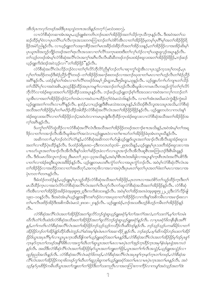*အီၤဒ်ပုၤကလုာ်တဖဉ်အဖိဒီးပုၤဃ့သွဲတဂၤအသိးနဉ်တက္* <sup>၄</sup> (မးသဲ၁၈း၁၇).

လၢလံာ်စီဆုံတဆၢအံၤအပူၤႇယ္၌ျူးစံးကတိၤဘဉ်ဃးတၫ်အိဉ်ဖိုဉ်အတ႑်သိဉ်ကူၤသိက္ၤန္ဉာလိၤႉ ဒီးအဝဲအတ႑်သ ဆဉ်ထိဉ်မှဂ်ဲလၤပုၤတဝိါယဂ်လိၤက္ပၤအသးတဂၤကြၢးဘဉ်တဂ်ဟဲစိဉ်အီၤလၢတဂ်အိဉ်ဖိုဉ်မှတမှါ်ပုၤဂိါမှဂ်အတဂ်အိဉ်ဖိုဉ်ရိ ဖြဉ်အမဲဉ်ညါနဉ်လီၤႉ လၢယူဉ်ရူးတ႑်သးခုကစီဉ်အတ႑်မၤအခဵဉ်ထံးခဵဉ်ဘိအတ႑်အိဉ်သးန္ဉာ် တ႑်အိဉ်ဖိုဉ်လ႑အအိဉ်ဆိုးမှု႑် ပုၤယူအဖိအဘူဉ်ဘိုဉ်တဖဉ်အတ႑်ရာလီၤအသးလၢတ႑်လိႝၤ်သကုၤဆးဒးဒီးတ႑်လှၤ်ဟုဉ်လၢဝ့ၤ်ယရူၤရလှဉ်အပူၤန္ဉာ်လီၤ တၫ်သူဉ်တဖဉ်အံၤမ့ၢ်လံာ်စီဆုံအလိံၤလံၤအက္ဒၤ်အဂ်ီၤလီၤလီၤဆီဆီတဖဉ်ဘဉ်ဃးအံဉ်စရူလးအတၤ်အိဉ်ဖိုဉ်ရိဖိုဉ်ႇဘဉ်ဆဉ် ယ့ဉ်ရူးကိုးဒုံးဒဉ်အဝဲသွဉ်လ႑"တ႑်အိဉ်ဖိုဉ်"နဉ်လီၤ.

လံာ်စီဆုံအလိ်၊လံၤလိဉ်ဘဉ်ဝဲလၢတၫ်ဂ္ဂၤလိာ်ဘိုလိာ်ညီနှၤ်ဘဉ်တၤ်ပၢဆုၢကွၤ်ထွဲအီၤလၢပုၤသူဉ်ကဲ့သးပုၤ်တဖဉ်ႇပုၤ လု၊်တၢ်အဒိဉ်တဖဉ်ဒီးစံဉ်ညိိဉ်ကွိ<sup>ရ</sup>တဖဉ်–တၢ်အိဉ်ဖိုဉ်အခၢဉ်စးတဖဉ်လၢအဘဉ်ဃုထၢတၤ်မၤလၢတၢ်ဟ့ဉ်လီၤတၢ်စံဉ်ညိိဉ် အဂ်ိဳးနဉ်လီး ပထံဉ်နှၤ်တၤ်အံၤလၢတၤ်လိၤ်တဖဉ်ဒ်အမ့္ပ်ျမိးရှ၁၈,ဒီး၅မိးရှ၁,၁၉နှဉ်လီး ယ့ဉ်ရူးဟ်ဂၢၤ်ဟ်ကျၤာတၤ်သိဉ် တၫ်သီမိ႑်ပှါလၢအဝဲအစိၤႇဒုးသုဉ်နိဉ်ထိဉ်အပုၤကမျၢၤ်လၢအဘဉ်တၤ်ဟ့ဉ်လီၤအီၤမူဒါလၢကမၤလီၤကဆုဉ်ကွံာ်တၤ်ဂ့ၤ်လိဉ် ဘိုလိ>်လၢအံဉိစရလးအတ<sup>ရ်</sup>ပ>်ဖိုဉ်ထိဉ်သးအပူၤနဉ်လီၤႉ ဘဉ်ဆဉ်ယှဉ်ရျူးဘဉ်စ့<sup>ရ</sup>က်ိဳးအသးလၢအဝဲအကလှ<sup>ရ်</sup>ကဘဉ်တ<sup>ရ</sup> သူအီၤလၢအတၫ်အိဉ်ဖိုဉ်ဒဉ်ဝဲ;တၢ်တမံၤလၢအဝဲယπထိဉ်တ့ၢ်ဝဲဖဲမးသဲဝ၆းနဉ်လီၤ. လၢတၢ်အံၤအဃိမးသဲကွဲးနိဉ်ကွဲးဃါ ယ့ဉ်ရူးအတၫ်ကတိၤလၢပဂိၢိန္ဉ်လိၤႉ နထံဉ်ႇလၢယ့ဉ်ရူးဒီးစီၤမးသဲအသးပူၤန္ဉ်ႇဒ်သိးဒဉ်စီၤပိလူးအသးပူၤအသိးႇလံာ်စီဆုံ အသိအတၫ်အိဉ်ဖိုဉ်မှု၊်တ၊်မာဒိုဉ်ထိဉ်အါထိဉ်လံဉ်စီဆုံအလိ၊်လံၤအတ႑်အိဉ်ဖြဉ်ရဖြဉ့်နှဉ်လီၤ. ယှဉ်ရူးတဟဲလၢကဟံးနှၤ် အံဉ်စရူလးအလိ်<sup>ရ</sup>လၢတၫ်အိဉ်ဖိုဉ်ဘဉ်;အဝဲဟဲလၢကမၤပူးဖျံးဒီးဘိုထိဉ်ကူးအံဉ်စရူလးလၢလံာ်စီဆုံအသိအတၫ်အိဉ်ဖိုဉ်အ က္ခ္က အပ္မွာဗိုဟ္မွာ

ဒ်ပက္ဂၤ်တၤ်ပိ5်ထွဲထိဉ်လၤလံာ်စီဆုံအလိၤ်လံၤဒီးအသိအတၤ်အိဉ်ဖိုဉ်တဖဉ်အဘၤှဉ်စπအသိးနှဉ်,အဝဲအံၤမ္ါတၤ်အရှ ဒိဉ်လၢတ<sup>ြ</sup>ကအၫဉ်လီၤအိလီၤမူဒါအကံ်ိုအလဲလၢယူဉ်ရူးမၤ၀ဲလၢတ<sup>ြ</sup>စၢဃာ်တၫအိဉ်ဖိုဉ်ခံဖုအံၤတပူၤဃိနဉ်လီၤ

အဆိကတ<sup>ျှ</sup>ာမှော်တဲ့လဲသော်လဲရန် မိုးလံုးစိုးဆိုအဆိုကတ<sup>ျှ</sup>ပတ်ဖျံယှဉ်ရှူးဒ်ယွာအတ<sup>ှ</sup>အာဉ်လီးအီလီးဆူအံဉ်စရလး အတၫ်လၢထိဉ်ပုံၤထိဉ်နဉ်လီၤ. ဒ်ပထံဉ်ဖဲရိမ္ၤၵး၁–၄ဒီးကလၤတံ၃း၁၆–၂၉အသိးနဉ်,ယ့ဉ်ရူးမ့ှ်ပုၤသးတိအံဉ်စရူလးလၢအ ပπဃာ်ယွၤအတၫ်အၫဉ်လီၤအီလီၤဒီးန႑်သါတ႑်ဆိဉ်ဂူခဲလ႑ာ်လ႑ယွၤအၫဉ်လီၤအိုလီၤဆူစီၤအၤဘြၤဟဉ်ဒီးစီၤမိၤၡနဉ် လီး. ဒီးဒ်ပမာလိဖဲလူာကဉ်၁း၃၂ဒီးမာတ1်၂း၃၁–၃၃အသိးနဉ်,အဝဲမှါစီာအပံံးအဖိခွါလာအပူာန္ ကြားစီာအပံံးအလိဂ်ပစိ>်ဒီး ပၢတၫ်လၢအံဉိစရု<sup>ရွှ</sup>းယူဒၤအ<sup>ဖွဲ့</sup>ခ်ိန်နဉ်လီၤ<sup>့</sup> ယ့ဉ်ရျူးတမၤဟးဂိၢက္ပံာ်တၫ်လၢအပူၤက္ပံာ်ဘဉ်လီၤ. အဝဲမ့ၢ်လံာ်စိဆုံလိ<sup>ရ</sup>လံၤအ တၫ်အိဉ်ဖိုဉ်လၫအထိဉ်ဘးလၫတၫ်အထိတုာ်,အကၡာဖိလၫအလၫအပုံၤဒီးပုၤမၤတၫ်ခဲ့တ႑်ပုၤအတ႑်ဖီးတ႑်မၤလၢအလၢအ ပုံၤကတၫ်တကန5်လီၤ.

ဒီးခံထံဉ်တထံဉ်နဉ်,ယှဉ်ရူးမ့ှ်ပုၤသူဉ်ထိဉ်လံာ်စီဆုံအသိအတၤ်အိဉ်ဖိုဉ်,ပုၤတဂၤလၢအဟဲစိာ်တၤ်သူဉ်ထိဉ်ကူၤဒီးတၤ် မၤသီထိဉ်က္ၤလၢအလဲလိဉ်လံာ်စီဆုံအလိြလံၤအတ႑်လီၤတုဉ်လီၤကဉ်ဆူလံဉ်စီဆုံအသိအတ႑်အိဉ်ဖိုဉ်နှဉ်လီၤ. လံဉ်စီဆုံ ကိုးအီၤလၢတၫ်အိဉ်ဖိုဉ်အခိဉ်ဖဲအ့ဖူးစူး၅း၂၃ဒီးကလီးစဲ၁း၁၈နဉ်လီၤႉ အဝဲမ့ၢ်တၫ်အိဉ်အဝၤဖဲအ့ဖူးစူး၂၂,၂၃ဒီးလံဉ်လိဉ်ဖျ ၁၉း၁–၁၀နဉ်လီၤႉ ဒီးအဝဲအံၤမ့္ပ်ယ္ဝိုျူးအနီးကစၤ်ဒဉ်ဝဲလၢအၰထၢတၤ်အိဉ်ဖိုဉ်လၢကဒိးန္ ၊်အစိကမီၤလၢအခ႑ာ်စးလၢ တၫိမၢလိၤဖ်းဒိဉ်အိဉ်ဒီးအစိကမိၤဖဲမ်းသဲ၂၈း၁၈–၂၀နဉ်လီၤႉ ယှဉ်ရှူးအဲဉ်ႇဘဉ်အသးဒီးဟှဉ်စိဟှဉ်ကမိၤတၫ်အိဉ်ဖှဉ်နဉ်  $\beta$ 1.

လံာ်စီဆုံအလိ<sup>6</sup>လံၤအတ<sup>႑</sup>အိဉ်ဖိုဉ်အတ႑်ရှလိာ်ဘဉ်ထွဲဆူယှဉ်ရှူးခရံာ်မှု တ႑်အကံ႑်အလဲ,တ႑်သးကံ႑်,မှု တ႑်တမံၤ ဃီလီၤတံၤလီၤဆဲးဒ်လံာ်စီဆုံအသိအတၤ်အိဉ်ဖိုဉ်အတၤ်ရှလိာ်ဘဉ်တွဲဆူယူဉ်ရှူးခရံဉ်နှဉ်လီၤ. လၤပုၤခရံဉ်ဖိတနိၤနိၤအဂီၤ် န္နဉ္နဲ့တ1်ကတိၤလံာ်စီဆုံအလီ1လံၤအတ1်အိဉ်ဖိုဉ်ဘဉ်သူဉ်သူဉ်ကသီဉ်လီၤဆီဝဲဒ္ဥန္နဉ်လီၤ. ဘဉ်သူဉ်သူဉ်ပကဆိမိဉ်လ႑တ႑် အိဉ်ဖိုဉ်ဘဉ်တ1်အိဉ်ဖျဲ့ဉ်ထိဉ်အီၤဖဲဘူဉ်ယဲ1်ဆံအမှ1်နံၤဖဲမၤတ1်အဆ13ိဉ နှုဉ်လီၤ. ဘဉ်ဆဉ်,ပမ္1်ဆကမိဉ်ဘဉ်ဃးတ1်အိဉ် ဖြဉ်§ယ္ပၤအပုၤဂိၢိမု႑်လ႑ယ္မ႑ဟုၤအီးခ်ဳပ္ဖိုကစ႑်ယ္ဉဴရှူးခရံှာ်အတ႑်မၤန္နဉ်ဒီးႇလံာစိဆုံအလီၤ်လံၤအတ႑်အိဉ်ဖိုဉ်မ္1ဒဉ်ပုၤစူ႑ က္နာနဉ်က္နာတ ်ာဖဉ်အနိ<sup>688</sup>ေလ ၊အကွ ်ဃိၤတ ်ဆူယွာအတ ်မာလ ၊မာပဲ့ၤတ ်အုဉ်က္နာခ်ိဳဉ်က္နာအမှ ်နံးဖဲမှာရှံအာကဟဲ နှဉ်လီၤ. အဃိဒီးလံဉ်စီဆုံလိ် လံၤအတ ်အိဉ်ဖိုဉ်နဉ်ယွၤအတ ်ဘူးတ ်ဖိုဉ်,ယွၤအတ ်ဂ ်လီၤအသွံဉ်,ယူဉ်ရူးအသွံဉ်လ ၊ ထူဉ်စုညါအလိၤနဉ်လီး. လံဉ်စီဆုံအလိၤ်လံၤခရံှာ်ဖိတဖဉ်,လံဉ်စီဆုံအလိၤ်လံၤအပုၤစူၤ်က္ၤနာ်က္ၤတၤ်တဖဉ်,လံဉ်စီဆုံအ ...<br>လိ<sup>6</sup>လာအတ<sup>6</sup>အိဉ်ဖိုဉ်ကရ*1*ဖိတဖဉ်ကွ<sup>င်္</sup>ဃားတိအညါဆူကစ<sup>င်္</sup>ယာဉ်ရှူးခရံဉ်အတ<sup>ြ</sup>မ၊ လ ၊မ၊ပဲ့၊ ကွၤအတ<sup>င်္</sup>မ၊ နှဉ်လီး အဝဲ သူဉ်နှ5်ပုၤစိဒိဉ်ကမီၤထိယ္ၤအတၤ်ဘူးတၤ်တၤ်ဖိုဉ်ဒီးတၤ်သးကညီၤလၤအတကြၤးကၤကိႆဉ်လၤကပျၤ်အဝဲသူဉ်အတၤ်ဒဲး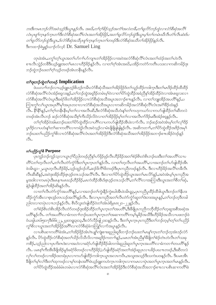ဘးဒီးကမၤဘဉ်လိဉ်အဝဲသူဉ်ဒီးယွၤနှဉ်လီၤ. အဃိ,တ႑်ဂုဒ်ဉ်သုဉ်အကံၤ်အလဲတခ်ီ,တ႑်ရှလိဉ်ဘဉ်ထွဲလ႑လံဉ်စိဆုံအလိၤ် လံၤပုၤစူ<sup>၎</sup>က္ငၤန>်က္ၤတ<sup>၎မ္ဘီး</sup>လံာစိဆုံအလိၤလံၤအတ႑်အိ>်8ှိန်,အတ႑်ရလိာဘဉ်ထွဲဒီးယွၤမ္ ါတ ါတမီၤဃီလီၤတံ ါလီၤဆဲးဒ်ပ တ႑်ရှလိာ်ဘဉ်ထွဲဒီးယွ $\tau$ , ဒ်လံဉ်စီဆုံအသိပု႑စူ ကြွ $\tau$ နှာ်ကွ $\tau$ တ႑်တဖဉ်ဒီးလံဉ်စီဆုံအသိတ႑်အိဉ်ဖိုဉ်နှဉ်လိ $\tau$ . ဒီးကထၫဉ်စဲမျှဉ်ယ႑ဉ်လ်လ့င် Dr. Samuel Ling

တုၤခဲအံၤႇပက္ဂၢိတ္ၫယ္ယာအတ႑်ပၥ်ဂ႑ၤ်ပာဴကျπတ႑်အိဉ်ဖိုဉ်လ႑အဝဲအလံာ်စီဆုံလိြလံၤအတ႑်ထံဉ်အတ႑်ဟဲလီၤ စπလီၤသွဲဉ်တ<sup>88</sup>ဒီးယှဉ်ရှူးအတ<sup>ှ</sup>မၤလၢဟိဉ်<sup>Sွ</sup>ဉ်နှဲဉ်လီၤႉ လၢတ်ၫ်ဂ့ၢ်အံၤအဃိႇပအိဉ်ကတိာ်ကတီၤပသးလၢကဆိကမိဉ်ဒုး ဘဉ်ထွဲဘဉ်ဃးတ<sup>၎</sup>ဂ္ဂ<sup>၎</sup>သူဉ်တဖဉ်အံၤတနိၤန္ဉာလီၤ**.** 

# တ<sup>ှ</sup>ဒုးဘဉ်ထွဲတ<sup>ှ</sup>တဖဉ် Implication

ဖဲပပလၫ်ာဘု်လၢယ့ဉ်ရူူးဟ့ဉ်စိဟ့ဉ်ကမီၤလံာ်စီဆုံသိအတၤ်အိဉ်ဖိုဉ်ဒ်တၤ်သူဉ်ထိဉ်ကဒါက္ $\mathbf n$ ဒီးတၤ်မာဒိဉ်ထိဉ်ထိထိဉ် လံာ်စီဆုံအလိ်ၤလံၤအံဉ်စရူလးနဉ်,တ႑်ဘဉ်ထွဲအရှုဒိဉ်တမံၤမ့ၤ်ဝဲလၤတၤ်ပိဉ်ထွဲထိဉ်အခံညီနှၤ်အိဉ်ထိဉ်ဝဲလၤအံၤစရူလးလၤ လံာ်စီဆုံအလိ်<sup>ရ</sup>လံၤပူၤဒီးခရံာ်ဖိတ<sup>ု</sup>အဉ်ဖိုဉ်လၢလံာ်စိဆုံအသိအပူၤအဘၢဉ်စπနှဉ်လီၤႉ လၢတၢ်ဘျုးအိဉ်အပတိ်၊နှဉ်ႇပ ကြားကွSလSယွာအပုာဂိြမှSအပုာတဝၢလာလံာ်စီဆုံအသိအပူာလာကဆိကမိဉ်အလံာ်စီဆုံလိြလံာအငံ်္ဂါခိဉ်ထံးနဉ် လီၤ. နိ<sup>ု</sup>နိ<sup>ု</sup>နဉ်,တၫ်ဂ့ၢ်တနိုၤနိၤမ့ၢ်တ႑်လၢအလီၤဆိ,ဒီးလံာ်စိဆုံအသိဟံးနှၤ်တၤ်ကဟုကယာ်လၢကဟာ်ဖျါထိဉ်တ႑်ဆိတလဲ တဖဉ်အံၤလီၤဘဉ် ဆဉ်လံာ်စီဆုံအသိစ့ၢ်ကီးသိဉ်လိဝဲလၢတၫ်အိဉ်ဖိုဉ်မှ၊်တ႑်လၢအလီၤက်ဒိဉ်မးဒီးအံဉ်စရူနှဉ်လီၤႉ

တၫ်ဂ့ၫ်အိဉ်ဝဲအါမးဘဉ်ဃးတၫ်ပိဉ်ထွဲထိဉ်လၢပဂိၢိလၢပကပာ်ဖျါထိဉ်အိၤခဲလၢာ်လီၤႉ ဘဉ်ဆဉ်အဝဲအံၤမ့ၢ်တ႑်လှၤ်ဒိဉ် ပ္ $\cdot$ ဒိဉ်လၢပဟံးန5်တ5်ဆၢကတိဵ်လၢကရဲဉ်လီၤအဝဲသ့ဉ်လၢမံၤဖိုဖြိုဖျိမျိန္ဉ်လီၤႉ အဆိကတ႑်ႇတာ်တိတွဲထိဉ်အဒိဉ်အမှ5် ာဉ်ဃးတၫ်ပည်ဉ်ကွ<sup>ရ</sup>စိလၢလံာ်စီဆုံအလိ<sup>ု</sup>လံၤအတၫ်အိဉ်ဖိုဉ်ဒီးလံာ်စီဆုံအသိအတၫ်အိဉ်ဖိုဉ်အဘ႑ာ်စπအိဉ်ဝဲဒဉ်နဉ်  $\circ$ 31.

# တ<sup>ှ</sup>ပညိ*ု*ကွ<sup>နေ Purpose</sup>

ပုၤကူဉ်ဘဉ်ကူဉ်သ့လၢယွၤဂ့ౕၢပိညါတဖဉ်ညီနှၤ်ပာ်ဖိုဉ်ဖှဉ်လီၤဟိဉ်ခိဉ်အတၤ်စံဉ်စိၤတဲစိၤဘဉ်ဃးဒီးတၤ်အပတိၤ်သၢပ တိြးတြတဲ့လီးတြဲ တြင်္လာတွေ့များကို တွေ့များ တွေ့များ တွေ့များ တွေ့ပါတွေ တွေ့များ တွေ့များ တွေ့များကို တွေ့များ ဖဲၥမိၤရ္ှာ–၂,ယွၤတ့လီၤဟိဉ်ခိဉ်,သ့ဉ်ထူဉ်ဝဉ်ဘိ,ဆဉ်ဖိကိ်ၤဖိတဖဉ်ဒီးပှၤကညီတဖဉ်နှဉ်လီၤ. ဒီးလၢဟိဉ်ခိဉ်အလိၤ်တခ်ီလီၤ လီၤဆီဆီနဉ်,အဝဲဒုးအိဉ်ထိဉ်ဇုၤဒ့ဉ်တၤသဉ်အလိ်ၤလီၤ. ဒီးလၢတၤ်ပိဉ်ထွဲထိဉ်ယွၤအတၤ်မၤလိဉ်နဉ်,အဝဲအံၤမ့ၤ်ပုၤကညီအ မူအဒါလၢကမာပုဲၤဒီးမာန႑ာမာဃဉ်ဟိဉ်နိဉ်,မာကဲထိဉ်အိၤဒ်ဇ္ာဒ့ဉ်တာသဉ်လိ1်,တ႑်လိ1်လၢအကြားဒီးယွာအတ႑်စိတ႑်ဆုံ, နဲ့ဉ်ဖျါထိဉ်အတ႑်အိဉ်ဆိုးနှဉ်လီၤ.

လၢတၫ်လီၤတဲ႒်ကွံ႒်အပတိႝၤန္၇်ႇလၢအဘဉ်တၤ်ကွဲးနိုဉ်ကွဲးဃါအီၤဖဲ၁မိၤရူ၃ႇပုၤကညီပူထိဉ်ထိဒါယွၤဒီးဘဉ်တၤ်နိဟး ထိဉ်ကွံာ်အီၤလၢဇ့ၤဒ့ဉ်တၤသဉ်အလိၢိန္ဉာ်လီၤ. ဒီးလၢပှၤကညီအတၫ်လီၤတဲာ်ကွံာ်ဆူတၫ်ဒဲးဘးအပူ၊ နဉ်ႇတၫ်ဘဉ်တဲ့ဒိတခါ ညါတလၢတပုံၤလπဘဉ်နဉ်လီၤႉ စီၤပီလူးတဲဖျါထိဉ်ဝဲတၫ်အံၤဖဲရိမ္ၤ၈း၂၀-၂၂နဉ်လီၤႉ

တၫ်စံဉ်စိၤတဲစိၤအိဉ်လီၤတဲာ်တဖဉ်ဒုးအိဉ်ထိဉ်တ႑်ပူးကူးတ႑်အပတိ႑်,ဒိုးခ်ီဖြိုပုၤကညီကဘိုထိဉ်တ႑်တူဆူအစီအဆုံအ ပတိႝန္ဉာ်လီၤႉ တၫ်အပတိႝၤ်လၢခံကတ႑ၤ်ဘဉ်ဃးတ႑်ပ္ၤက္ၤတ႑်အဆၤကတိႝၤ်ကမ့္ဂ်မူခ်ိဉ်အသိဒီးဟိဉ်ခ်ိဉ်အသိလၤပဖးဘဉ်ဖဲ ဝံယၡါယၤ၆၅း၁၇ဒီး၆၆း၂၂.၂ပူးတရူး၃း၁၃.ဒီးလံာ်လိဉ်ဖျံ|၂၁း၁နဉ်လီၤ. ဒီးတ႑်ပုၤက္ၤပုၤကညီဒီးတ႑်ဘဉ်တ့မ့႑်တ္႑်တ႑်ပည်ဉ် ကွ်ပြီလ ယွားအတ်အိန်ဖြိုင်အင်္ဂါလ လံုစီဆုံခံကတြူ်လ က်အပူးနှဉ်လီး.

လၢပစိၤဆၢကတိႝၤ်ခဲအံၤႇတၤ်အိဉ်ဖိုဉ်အံၤဂဲၤပျုၤ်ကျဲးစၢးဆူညါဆူဖိတ႑ာ်ဘဉ်ဃးတၤ်မၤန္ၤ်က္ၤတၤ်ဘဉ်တဲ့အံၤဒဉ်လဲဉ် နှဉ်လီၤႉ ပိာ်ထွဲထိဉ်လံာ်စိဆုံအတ႑်သိဉ်လိသီလိလၢအရှုဒိဉ်ကတ႑်နှဉ်ႇပမၤတ႑်အံၤညီနှၤ်ဒီဖျိတ႑်စံဉ်တဲၤတဲလိၤတ႑်သးခု ကစိဉ်,သူဉ်ညါလၢပုၤကိးကဒဲးလၢအဟဲလၢခရံဉ်ပာ်ဖျါထိဉ်ခိဉ်ခါတကါဆူညါဆူတ႑်ပုၤက္ၤအပတိႝၤ်လၢခံကတ႑ၤ်တပတိႝၤန္ဉဉ် လီၤႉ ပမၤစ္ၫ်ကီးအိၤဒီဖျိအိဉ်မူဒ်ခရံဉ်ဖိတဖဉ်လၢဟိဉ်ခိဉ်;ဟ်ဖျါထိဉ်ခရံဉ်အတ႑်အဲဉ်ဆူပှၤလၢပခိဉ်ပဃၤာတဖဉ်,ဒီးဆီတလဲ လှ်လ်ကဖဉ်လၢအိဉ်၀းတရီးပုံ၊ လၢကဟ်ဖျ်ထိဉ်ကဒါက္ခၤယ္ဒၤအလၤကပီး အသူးအသုဉ်ဒီးသကဲးပ၀းနဉ်လို၊ . ဒီးပမၤအီၤ နိဈိတၫ်မှၫလၫ်ဒီးတၫ်ထုကဖဉ်လၫမုၫ်တနံၤအဂ်ိၢဖဲယ့ဉ်ရှူးကဟဲက္ၤကဒါက္ၤလၫကမၤလၫပှဲၤအတ႑်ပ္ၤက္ၤအတ႑်မၤန္ဉာလိၤ တ<sup>ရ</sup>ပိ>်ထွဲထိဉ်အခံခံမံၤတမံၤလၤလံာစိဆုံအလိ်<sup>ရ</sup>လံၤအတ<sup>ရ</sup>အိဉ်ဖိုဉ်ဒီးလံာ်စိဆုံအသိအဘ႑ာ်စπလၤပစိၤဆၢကတိ<sup>ရ</sup>ခဲ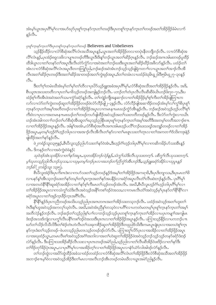အံၤမ့္ပ်ယ္လာအပုာဂ်ီးမုိလာအဟိဃုာ်ပုၢစူ်က္နာနာ်က္နာတကတစဉ်ဒီးပုာတစူ်က္နာနာ်က္နာတကတစဉ်အတၤ်အိဉ်ဖိုဉ်ခံမံၤလာာ်  $500.$ 

ပုဂရုိက္နာနဉ်ကူးတ႑်ဒီးပု၊တစ္ပါက္နာနဉ်ကူးတ႑်တဖဉ် Believers and Unbelievers

သ့ဉ်နိဉ်ထိဉ်လၢလံာ်စိဆုံအလိ်၊လံၤအသိအပူ၊နှဉ်,ယွၤအတၫ်အိဉ်ဖိုဉ်တလၢတပုံ၊နိတဘျိဘဉ်လိၤ. လၢလံာ်စိဆုံအ လိ်<sup>ရ</sup>လံၤန**ှ်ႇ**ပှၤအံဉ်စရလးဖိလၢပျπတဖဉ်တိဒီးယွၤဒီးဒိးန5်တဉ်ယွၤအတ5်ဆိဉ်ဂ့ၤနှဉ်လိၤ<sup>့</sup> ဘဉ်ဆဉ်အကအါမးတဖဉ်ပူထိဉ် ထိဒါယွၤလၢတၫ်တနဉ်တၫ်အပူၤဒီးလီၤတဲဉ်ကွံဉ်လၢအဝဲအတၫ်ဘဉ်ဃးဒီးယွၤအတၫ်ဆိဉ်ဃိဉ်အဖိလာ်နဉ်လီၤ. ပထံဉ်တ႑် အံၤလၢလံာ်စိဆုံအလိ်၊လံၤအပူၤဒိတကတြူ၊်ညါႇဘဉ်ဆဉ်အဝဲအံၤဘဉ်သ့ဉ်သူဉ်ဖျဲရဲကတ႑ာ်လၢယ္ပၤအတ႑်အ႑ာ်လီၤအိ လီၤအတၫ်ဆိဉ်ဂုၤတဖဉ်ဒီးအတၫ်ဆိဉ်အၢတဖဉ်အတၫ်ကွဲးဖှဉ်အပူၤႇဒ်တၫ်တမံၤလၢပထံဉ်ဖဲ၃မိၤရှု ဖြဒိး၅မိၤရှု ၂၇–၃၀နှဉ်  $\mathcal{S}_1$ .

ဒီးတၫ်ဂ့ၫ်တမံၤဃိအံၤမ္ၫ်တ႑်မှ႞တ႑်တိလ႑ပုၤပိဉ်ယူဉ်ရူးအခံအပုၤဂိၢ်မှ႑်ႇလံာ်စိဆုံအသိအတ႑်အိဉ်ဖိုဉ်နဉ်လိၤႉ အဒိႇ စီးယူဒၤအသးတတိလၢပုၤတၫ်မၢဖိသ့ဉ်တဖဉ်အကျိန္ဥဘဉ်လိၤႉ ပဘဉ်တၫ်တဲပုၤလီၤလီၤဆီဆီဖဲယိၤဟဉ်၆း၇၀–၇၁,ဒီးပ ထံဉ်စ့်ၫကီးအီၤဖဲအဝဲအတ႑်သမၢကွႆာ်ခရံာ်နှဉ်လီၤႉတ႑်ကျဲဉ်ကျီအန္ဒဆ႑ာ်လၢတ႑်အိဉ်ဖိုဉ်မှ ရစ္႑်ကီးတ႑်အိဉ်ဖျဲတြ πက လာ်လၢလံာ်တၫ်ကွဲးတဖဉ်ဆူတၫ်အိဉ်ဖိုဉ်တဖဉ်ဖဲလံာ်လိဉ်ဖျို ၂–၃နှဉ်လီၤ. လံာ်လိဉ်ဖျ်အဆၢဒိဉ်တဖဉ်အံၤမှၫ်လ႑်ကွၫ်စိပုၤစူ႑် က္နာနာ်ကူးတၫ်အမှၫ်အတိတဖဉ်လၢတၫ်အိဉ်ဖိုဉ်အပူးလၢကမၤနπမၤဃဉ်ကွံာ်အီၤန္ဉာ်လီၤ. ဘဉ်ဆဉ်အဝဲသူဉ်ဟုဉ်ပလိႝၤစ့ၫ် ကိုးဝဲလၢပုၤလၢအတမၤနπမၤဃဉ်တၫ်တဖဉ်ကပာဖြါထိဉ်အဝဲသူဉ်အတ႑်သးတတိတဖဉ်နဉ်လိၤႉ ဒီးလံာ်တ႑်ကွဲးလၢ၁ယ်ၤ ဟဉ်အံၤအါကတ႑ၢ်ဘဉ်တ႑်ဟ်စိဆုံအိၤဆူတ႑်ဃုသူဉ်ညါနိၤဖးပုၤစူၫ်က္ၤနှာ်က္ၤတ႑်အမ္နါအတိဒိီးအတမ့္ပါတတိအဘ႑ာ်စ႑ာ လၢတၫ်အိဉ်ဖိုဉ်အပူ၊ နဉ်လီ၊ . အါနှၤ်အအံ၊ ,လံာ်စီဆုံအတိၤအဂၤအါမးဟ့ဉ်ပလိၤ်ဘဉ်ဃးသရဉ်အဘျဉ်တဖဉ်လၢတၤ်အိဉ် ဖိုဉ်အပူၤႇမ့တမ့်္ဂဟုဉ်ဂံ်္ကဘုဘါပုၤလၢအအၫဉ်လီၤအီလီၤတ႑်နှာ်လၢတ႑်မၤစူၤသးတ႑်တုၤလၢတ႑်အကတ႑ာ်ဒ်သိးကဒုးနဲ့ဉ် ဖျါထိဉ်အတ႑်နှ5်နှဉ်လီၤ.

.<br>ဖဲ၂ကရံဉ်သူး၁၃း၅နဉ်္**,**စီၤပီလူးသ့ဉ်ညါဟ်သးတ<sup>ရ</sup>နဉ်ဝဲအံၤႇဒီးဟ့ဉ်ဂံ<sup>ရ</sup>ဟ္ဥာ်ဘါပှၤဂိ<sup>ရ</sup>မှ<sup>ရ</sup>လ႑ကဆိကမိဉ်ဟ်သးအိၤန္ဉာ် လီး. ဒိကနဉ်တ႑်လၢအဝဲကွဲးဝဲဖဲနဉ်:

သုဝဲဒဉ်အံၤသုအိဉ်လ ၊တ န်ှာ်အပူး,သုတအိဉ်ဘဉ်လဲဉ်နှဉ်,သံကွ ်သံဒိုးလီၤသုသးတက္ခ ်. ပစိကွ ်လီၤသုသးတက္ခ ်. မ့<sup>၎</sup>သုတသုဉ်ညါလီၤဘဉ်သုသး•လ႑သုမ္*တမ့်* ကဉ်ပှၤလ႑အဘဉ်တ႑်ညိက္ခံဉ်အီၤဘဉ်ဒီး•ယှဉ်ရှူးခရံဉ်အိဉ်လ႑သုပ္ပၤနှဉ် *ဘဉ်ဇါ* (၂ကရံဉ်သူး ၁၃း၅).

္မွာ<br>စီးဝီလူးအဲဉ်ဒိးပုၤကိုးဂၤဒဲးလၢကဟ်သးတၫ်သ့ဉ်တဖဉ်နဉ်ဒ်အမ့ၢ်တၫ်အိဉ်ဖှိဉ်အကရၢဖိႇဒိးပှၤဒိးဘျာသးႇဒိးပှၤမၤတၢ်ဖိ လၢပန>်နၵ်အီၤသ့ဘဉ်ဃးတ<sup>ရ</sup>နာ်တမ့်ၢိတၢိပ္ပ္၊ကဲ့ၤအတ႑်နာ်အပနိဉ်လၢခရံာ်အပူၤလီၤတံၤလီၤဆဲးဘဉ်နဉ်လီၤႉ ပှၤ<sup>8</sup>ါမှ<sup>ြ</sup> လၫအတဟဲနို<sup>ု</sup>နို<sup>ု</sup>ဆူခရံှာ်အအိဉ်လၫတ႑်နှာ်စ့ၫ်ကီးမၤတ႑်သွဉ်တဖဉ်အံၤလိၤ. အဃိ,စီၤ၀ီလူးဟ့ဉ်ဂံၫ်ဟွဉ်ဘါပုၤဂိၢ်မှ႑်လ႑ တၫ်အိဉ်ဖိုဉ်အပူ၊ လ<sup>ု</sup>ကသံကွ<sup>ှ်</sup>သံဒိးလိၤအဝဲသုဉ်အနိ<sup>5</sup>ကစၫ်ဒဉ်ဝဲအသး,လၢကမၤလီၤတံ<sup>၎</sup>အဝဲသုဉ်မှှပြာနဉ်တ႑်နိ<sup>ြ</sup>နို<sup>င်</sup>လျှ ခရံဉ်အပူၤလၢတၫ်အှဉ်က္πနိဉ်က္πအဂိ်ၢလိπ.

-<br>နှိ<sup>ု်ဇွ</sup>ြန္3၆ပုၤကညီတဖဉ်အသိးပသ့ဉ်ညါပုၤအဂၤတဂၤအတ<sup>ရ</sup>အိဉ်သးတသ့ဘဉ်လီၤႉ ပထံဉ်အဝဲသ့ဉ်အတ<sup>ရ</sup>ဟူးတ<sup>ရ</sup> ာ<br>က်ဒီးနှၤ်ဟူအဝဲသူဉ်အကလုၤ်သူဝဲလီၤ. အဃ်ိဳႇအဝဲအံၤညီနှၤ်တသူဝဲလ ၊ပဂိၤ်လ ၊ပကတဲမတၤမ့ၤ်ပုၤစူၤ်ကူၤနှာ်ကူၤတ<sup>ြ</sup>အမ့ၤ် အတိလဲဉ်နဉ်ဘဉ်လီၤႉ ဘဉ်ဆဉ်တ<sup>ရ</sup>သူဉ်ညါနှၤ်ပၢၤ်လၢဘဉ်သူဉ်သူဉ်ပုၤတစူၤ်ကူၤနှာ်ကူၤတၤ်အိဉ်လၢပပုၤကမျၤာ်အကျါမၤ ဒံးဒဉ်အသးဒ်ကျဲလ ၊ပက္ဂ<sup>ြ</sup>လီၤပနိ<sup>၎</sup>ကစ<sup>်</sup>၊ဒဉ်ဝဲအသးဒီးပုၤကလ ၊တ<sup>ြ</sup>အဉ်ဖိုဉ်အပူ၊ နဉ်လီၤ. ပကြ ၊းသူဉ်နိုဉ်လ ၊ပကဘဉ်ပ ၊ ၊ ဃာ်တၫ်သိဉ်လိသိလိဒီးတၫ်စံဉ်တဲၤတဲလီၤတၫ်သးခုကစိဉ်ဆူတၫ်အိဉ်ဖိုဉ်ဒီတဖှညါဒ်သိးဒီးကမၤပူၤဖျဲးပုၤလၢအတဟဲစူၫ်ကူၤ နှာ်ကူၤဒီးတ႑်သူဉ်တဖဉ်–ဖဲပတသူဉ်ညါမတၤသူဉ်တဖဉ်ဒဉ်လဲာ်လီၤ. ပကြၫးတှ႑်လိာ်ပုၤလၫအအိဉ်လ႑တ႑်အိဉ်ဖိုဉ်အပူၤ လၢအဃုထံဉ်ယွၤႇတမၤလီၤစၫ်အဝဲသူဉ်အငံ္ဂါအဘါလၢအတ႑်ဟဲဆူတ႑်အိဉ်ဖိုဉ်ဖဲအဝဲသူဉ်ဘဉ်သူဉ်တုနဉ်ခရံဉ်ဒံးဒဉ် လဲ၁နဉ်လီၤ. ဒီးပကြၫးသးအိဉ်ဆိဉ်လီၤသးလၢပှၤကတဖဉ်အမဲာ်ညါ,သူဉ်ညါလၢတၫ်လီၤဆီအိဉ်ဝဲဖးဒိဉ်လၢတ႑်နှာ်ဒီး တ<sup>ှ</sup>ဒြဉ်တုာ်ခိဉ်ပုံၤအပူၤႇလၢပုၤဂိၢမှၫ်လၢအအိဉ်တဲ့ၫ်လၢတ႑်အိဉ်ဖိုဉ်အပူၤလၢနံာ်ယံာ်လါအါဒဉ်လဲာ်နှဉ်လီၤႉ

-<br>တၫ်ဘဉ်ထွဲလၫအပိ>်ထွဲထိဉ်အခံသၫထံဉ်တထံဉ်လၫလံာ်စိဆုံအလိ်ၤလ်ၤတၫ်အိဉ်ဖိုဉ်ဒီးလံာ်စိဆုံအသိအတၫ်အိဉ်ဖိုဉ် အဘၫဉ်စπမ္ဒါဝဲလၢအဝဲသွဉ်အိဉ်ဒီးတၢိမၤလၢအလိၤဘဉ်အီၤတဖဉ်တမံၤဃိလၢယ္ၤအမဲဉ်ညါန္ဉဉ်လိၤ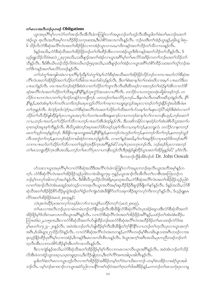#### တ်မာလေးအလီးဘဉ်ဟုတဖဉ် Obligations

ယ္ဇၤအပုၤဂိၢိမှၤ်လၢလံာ်တၤ်အၫဉ်လီၤအီလီၤခံကတြူၤ်လၫာ်အပူၤဘဉ်တၤ်ဟ့ဉ်လီၤအီၤမူဒါတၤ်ဖံးတၤ်မၤဘဉ်ဃးတၤ် အဲဉ်ယွာ ရာလီၤအဘိအမှ1်လ1ဟိဉ်8ဉ်သကုၤဆးဒး,ဒိုးဟဲစိဉ်အလာကပိၤနဉ်လီၤ. ဘဉ်ဃးဒီးတ1်အဲဉ်ယွာနဉ်,၅မိၤရှ ၆း၅-၆ သိဉ်လိလံာ်စီဆုံအလိ်၊လံၤအတ႑်အိဉ်ဖိုဉ်လၢကအဲဉ်ယွၤလၢသး,ကဒိကနဉ်အတ႑်သိဉ်တ႑်သိလၢသးနှဉ်လီၤ.

ဒ်နဉ်အသိး,လံာ်စီဆုံသီအတၫ်အိဉ်ဖိုဉ်ဘဉ်တၫ်ကိုးထိဉ်အီၤလၢကအဲဉ်ယွπဒီးဒိကနဉ်အတ႑်သိဉ်တ႑်သိန္ဉာ်လီၤ. ဒ် ယူဉ်ရူူးသိုဉ်လိဝဲဖဲမးသဲ၂၂း၃၇အသိးႇသးဒီဖျာဉ်အတ႑်အဲဉ်လၢယ္ပၤအဂ်ိါမ့္ပ်ာတၤ်မၤလိဉ်အဒိဉ်ကတ႑)ဘဉ်ဃးတ႑်သိဉ်တ႑် သိနဉ်လိုၤ. ဒီးဒ်စီၤယိၤဟဉ်သိဉ်လိဝဲဖဲ၁ယိၤဟဉ်၅း၃အသိး သးဒိဖျာဉ်တၫအဲ့ဉ်လၢယ္ပၤအဂိၢ်ဟဲစိဉ်ထိဉ်သးအတ႑်တူ၂်ဘဉ်အ တၫ်ဒိကနဉ်အတ႑်မၤလိ႒်တဖဉ်နဉ်လီၤ.

တ႑်သံကွ ၊်အကျါတမံၤလၢပုၤဂိၢမု႑်ညှိန္ ၊်သံကွ ၊်ဝဲမ္၊်လံဉ်စီဆုံအသိအတ႑်အိဉ်ဖိုဉ်လိုဉ်ဘဉ်လ႑ကပ႑ာဃာ်လံဉ်စီဆုံအ လိ်းလံၤအတၤ်အိဉ်ဖိုဉ်အတၤ်သိဉ်တၤ်သိကြေတပ္ပπဃာ်ကြောဉ်နဉ်လိၤ. ဒီးတၤ်စံးဆၢမ့္ပါတၤ်တမံၤဃိလၢအမ့္ပါ ပ႑ာဃာ်ဒီးတ ပ ။ ဃာိန္နာ်လီး . တပ ။ ဃာ်ဘဉ်အဲဉ်ဒိုးစံးဝဲလ ၊တ ၊်သိဉ်တ ၊်ဘျ၊လီးလီးဆီဆီတဖဉ်လ ၊အဘဉ်တ ၊်ထံဉ်နှ ၊်အီးလ ၊လံာ်စီ ဆုံအလိ<sup>င္</sup>လံၤအတ<sup>င္</sup>သိဉ်တ႑်သိအပူၤနိ<sup>၎</sup>နိ<sup>ု</sup>နည်သူးကွာ်အသးလၤပဂိ<sup>ု</sup>လိၤ*. တလိဉ်လၤပကကူးတရံးပဖိခွါတဖဉ်ဘဉ်. တ* .<br>လိုဉ်လ ၊ပကလဲၤလ ၊တ ်လှ ်ဟဉ်တနံ့ဉ်သ ၊ဘိုဘဉ်. ပတဘဉ်တ ်မၤလိဉ်ပုၤဘဉ်…ဒီးနှလဲၤလီၤတဆီတဆီသဲ့ဝဲနှဉ်လိၤ. နှိ် ် နိ<sup>6</sup>န5့်,အဝဲအံၤမ့္ပ်ာက်ကတိၤ*သက်းဘဉိဃးပုၤကူဉ်လိ>်တ*်ကရာလာယရှုၤရုလ္*ဉ်အပူၤလၫဘဉ်တၤ်ကွဲးနိဉ်ကွဲးဃါ*အီၤဖဲမၤ တၫ်၁၅နဉ်လီး. ဒ်လဲဉ်ဂူးဒ်လဲဉ်ဂူး,လံဉ်စီဆုံအလီၫလံၤအတ႑်သိဉ်တ႑်သိအတ႑်ပဉ်သးမှု၂်တ႑်မန္ဒၤလဲဉ်? အဲဉ်ဒိုးစီးဝဲလ႑တ႑် သိဉ်တ႑်သီလိဉ်ဖျံထိဉ်နှၤ်ပုၤလၢယ္ပၤအလှၤ်လၤ်သကဲးပဝးဒီးအန္ဒဆ႑ာ်လၤပကဘဉ်ဆၢမှၤ်လၤ်လၤပကနီၤဟ္ဥာ်,ဘဉ်ဃးတ႑် လ႑,ပဘ္ဥပ႑ာဃာ်,တ႑သိဉ်တ႑သိလ႑ပဘဉ်ပ႑ာဃာ်အီၤဒီးဒဉ်နဉ်လီး - ဒီးယဆိကမိဉ်လ႑နထံဉ်တ႑်အံၤဖဲစီၤပီလူးအတ႑်ပ ရาတဖဉ်အပူၤစ္ဥကြီးနည်လျှ. စီၤ၀ိလူးစံးဘဉ်အပုၤဖးလံဉ်ဖိတဖဉ်သစ္စြကီးလ႑တမူကာဉ်,နသဘျှလံ. တလိဉ်လ႑နကဘဉ် မၤတ႑်သူဉ်တဖဉ်နည်ဘဉ်. ဒီးဒီဖျိလ႑နဿဘျှအဃိ,နို႑နိ႑နှဉ်,နတဘဉ်လဲၤဟုဉ်တ႑်ဘဉ်,နတဘဉ်လီတ႑်ဘဉ်,နတဘဉ်သူဉ် လီးသးကွံတ ်ာာဉ်,နတဘဉ်အဲဉ်ဘၤမါအဲဉ်ဘၤ၀ၤဘဉ်နှဉ်လီး. လၤတ ်နှဉ်အဃိ,မ့္်ာဘ်အရှဒိုဉ်လၤပုၤခရံှာ်ဖိတဖဉ်အင်္ဂိ လၢကပπဃာ်တ႑်သို့ည်တ႑်သို့လၢပတ႑်အှဉ်ကူးခြံဉ်ကူးအင်္ဂြန္ဓဉ်ေပါ? တမ္နါလူးတကူးဘဉ်လီး. ဘဉ်ဆဉ်ဒ်ပုံးလၢအဘဉ် တ fမၤသဘျှထိဉ်က္ၤအိၤအသိႏႇပဘဉ်တ fမၤလိဉ်ပုၤလ ၊ပကနိၤဟ္ဥာလိၤဒိႏဒုးနဲ့ဉ်ပျံထိဉ်ယွၤအတ ်အိဉ်မှုန္ဥေတြ မှ မြဲလိၤ. ဒီးကထ႑ာ်ကွီန်အိစ်ဝဉ်ထ် Dr. John Oswalt

ပာ်သးလၢယ္ပၤအပုၤဂိၢမုၤ်လၢလံာစိဆုံအသိဒီးအလိၤ်လံၤခံကတြူၤ်လၢာ်အပူၤကဘဉ်ရၤလိၤယ္ပၤအဘိအမုၤ်န္ဉာ်တ က့်ၤ. လံာ်စီဆုံလိ်ၤလံၤအတၤ်အိဉ်ဖိုဉ်သူဉ်ညါဝဲလၤဖဲ၁မိၤရှ၁၇း၄–၅နဉ်,ယွၤအၤဉ်လီၤအီလီၤတၤ်လၢစီၤအၤဘြၤဟဉ်က ဘဉ်မ့်ကလှာ်အါကလှာ်အပါ်နဉ်လီၤ. ဒီးဒ်စီၤပီလူးသိဉ်လိဝဲဖဲရိမှၤ၄း၁၃အသိး,လံာ်စီဆုံအလိါလံၤအတၤ်အိဉ်ဖိုဉ်သူဉ်ညါဝဲ လၢတၫ်အၫဉ်လီၤ၀ဲအံၤမၤဆူဉ်အ၀ဲသ့ဉ်လၢကရာလီၤယွၤအဘိအမှၢ်ဆူဟိဉ်<sup>႙ွ</sup>ဉ်ဒိဖျာဉ်ဒိဖျိတၫ်နဉ်နဉ်လီၤႉ ဒ်နဉ်အသိး<sub>•</sub>လံာ်စိ ဆုံသိအတၫ်အိဉ်ဖိုဉ်စိဉ်မတိုင်မှုထွဲဒံးဒဉ်တ႑်ရဲဉ်တ႑်ကျဲၤဝဲအံၤဒီဖျိစိဉ်တ႑်သးခုကစိဉ်ဆူကလုဉ်ကိုးကလုဉ်နှဉ်လိၤႉ ဒ်ယှဉ်ရူးမၤ လိ5်အတ<sup>ု</sup>အိဉ်ဖိုဉ်ဖဲမႈသဲ ျား၁၉နဉ်:

လဲၤ*ဒုးကဲထိဉ်ပုၤအကလှာ်တဖဉ်ခဲလ႑ာ်လၤယပျဲ<sup>ငျ</sup>ယဘီဉ်တက္*႑ (မးသဲ၂၈း၁၉).

တၫ်မၤလၢအလီၤဘဉ်ပုၤသၢမံၤတမံၤဘဉ်တၫ်နိၤဟ္ဥာ်လီၤအိၤဒိဖျိလံာစိဆုံလိ်ၤလုံၤဟုအံဥ်စရူလးဒီးလံာ်စိဆုံသိအတ႑် အိဉ်ဖိုဉ်မှS်သိႏကမၤလၤကပီၤယွၤအဂ်ိါန္ဉာလီၤ. လၢလံာစီဆုံလီ်ါလံၤအတၤ်အိဉ်ဖိုဉ်အဂ်ိါန္၄်,ပထံဉ်တၤ်အံၤဖဲစံးထိဉ်ပ တြπ၈၆း၁၂,၁၁၅း၁၈, ဒီးလၢလံ႒စီဆုံသီအတ႑်ပာဖျါထိဉ်ဘဉ်ဃးလံ႒စီဆုံအလိၤ်လံၤအဟိဉ်ခိဉ်တ႑်မၤသးဒဉ်လဲ႒်ဒ်အ မ့်္ဂမၤတၢ်၁၇း၂၄–၂၈နဉ်လီၤႉ အဝဲအံၤဘဉ်တ႑်ပာဖျထိဉ်စ့ၤ်ကီးအီၤဒီဖျိတၤ်ဂုၤ်နိုၤနိုြလၤပဘဉ်တၤ်တဲ့လီၤပုၤလၤယွၤအက္ အဂ်ဳ•,§်မိၫရှား၂၇သိဉ်လိဝဲနဉ်လီၤ. လၢလံာ်စီဆုံအလိ်ၤလံၤအတဝၢန္ဉာ်,တၤ်ဂီၤတဖဉ်မှၤ်စီၤပၤစိးပျၤသးအဂ်ီၤတဖဉ်လၢအ ဒုးသုဉ်နိဉ်ထိဉ်ပုၤဂိႝ်ျမှၤ်လၢကအဲဉ်,ဒိကနဉ်ဒီးမၤလၤကပိၤစီၤပၤန္ဉာ်လီၤႉ ဒ်ယွၤအက္်ၤအဂိၤအသိး,ပုၤကညီတဖဉ်ဘဉ်တၤ် တဲ့လှုံးသွားတယ်တွယ်လွှင့်သွားလည်းပွားလှုပ်းန

ဒီးလၢကျဲဒ်နဉ်အသိး,လံာ်စီဆုံသိအတၫ်အိဉ်ဖိုဉ်မှရစ့်၊ကီးလၢကမၤလၤကပိၤယ္ပၤအဂ်ိါနဉ်လိၤ. အဝဲအံၤဘဉ်တ႑်သိဉ် လိအိၤဖဲ၁ကရံဉ်သူး၁၀း၃၁,၁ပူးတရူး၄း၁၁,ဒီးလိဉ်ဖျငှး၁၁,ဒီးတ႑်လိြအဂၤအါပူၤအါတီၤန္ဉဉ်လီၤ.

မူဒါတၫ်ဖီးတၫ်မၤလၤယ္မွၤတုဉ်လီၤလၤတၫ်ဒါဉ်ဖိုဉ်အဖိခိဉ်တမ့ၫ်တၫ်ဝံဃၤယိးဃၤဘဉ်–တမ့ၫ်ဖဲပအိဉ်လၢခရံဉ်ပူၤအခါ ဘဉ်လီး ပမ့္ပ်ာဘုန်ဆၫထၫဉ်လ႑ယ္မွာအမဲှာညါလ႑ပနိ<sup>6</sup>ကစၫ်ဒဉ်ဝဲအတ႑်ဂ္႑တ႑်ဝါအဖိခိဉ်နှဉ် ပကဘဉ်တ႑်မာသဘုံးပုၤလ႑မှု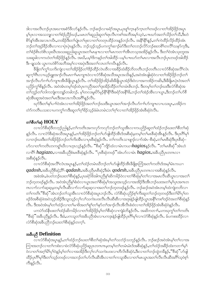ဒါလၢအလိၤဘဉ်ပုၤအဃၢအစံာ်ဖီလာ်နဉ်လိၤႉ ဘဉ်ဆဉ်လၢခရံာ်အပူၤႇပုၤစူ်ကူၤနှာ်က္ၤတၢ်တဖဉ်လၢတၢ်အိဉ်ဖိုဉ်အပူၤ မှ ်ပုၤလၢအသဘျှလၢတၫ်စံဉ်ညိဉ်ဃဉ်,ပမၤတၫ်ဆူညါဆူတၫ်ရၤလိၤကစၫ်အဘိအမှၫ်သံ့ဝဲ,ပπဃာ်အတ႑်သိဉ်တ႑်သိ,ဒီးဟဲ စိ႒်န1်အီၤအလၤကပြီး တအိဉ်ဒီးတ1်ပျံုးတ1်ဖုးလၢတ1်တတုၤထိဉ်ဘးနဉ်ဘဉ်လိၤႉ အနိ1်နိ1်နဉ်,တ1်ကဲထိဉ်လိဉ်ထိဉ်အံၤ ဘဉ်တၫ်အှဉ်ခိဉ်အီၤလၢလၢပှဲၤပှဲၤန္နဉ်လီၤ. ဘဉ်သ့ဉ်သူဉ်ပကကွၤ်ဆၢဉ်မဲာ်ဒီးတၢ်တဘဉ်လိာ်ဘဉ်စးတစိၤ်တလိၤ်သနာ်က္ဒဒီး, တၫ်စံဉ်စိၤတဲစိၤသုးဃိၤအသးဆူညါဆူယွၤအတၫ်မၤန ၤၤလၢတ႑်မၤကတ႑်၊အိၤတသ္စအအိဉ်နဉ်လိၤႉ ဒီးတၫ်ဝဲအံၤသုးဘူးအ သးဆူခါလၫကဟဲတၫ်အိဉ်ဖှိဉ်နဉ်လီၤႉ အဃိႇပမ့ၫ်ဒိကနဉ်တၫ်အါထိဉ်–ပမ့ၢ်ပπဃာ်တၫ်မၤလၢအလီၤဘဉ်ပုၤတဖဉ်အါထိဉ် ဒီး–ချသဒံး ယွၤကဟဲစိ႒်အဘိအမှၫ်လၢအပှဲၤဒီးအတ႑်လၤတ႑်ကပိၤန္နဉ်လီၤ.

နိၛိတ်ကွ်၊သကိႏကျဲလၢတၫ်အိဉ်ဖိုဉ်တၫ်ဒိဉ်ထိဉ်လဲၤထိလၢအခိဉ်ထံးခိဉ်ဘိတတိၤဘဉ်တတိၤလၢလံာ်စိဆုံအလိၤ်လံၤ ဆူက့ౕၢဂိဳၤလၢယ့ဉ်ရူူးအၫဉ်လီၤမၤဂၢၤ်မၤကျπဝဲလၢလံာ်စိဆုံအသိအပူၤအသိးန္ဉ်ႇအဝဲအံၤဖျါဆုံဝဲလၢတၤ်အိဉ်ဖိုဉ်ဘဉ်တၤ် အၫဉ်လီၤပာ်ဂၢၤ်ပာ်ကျπအိၤနိဖျိယွၤန္နဉ်လီၤ. တၫ်အိဉ်ဖိုဉ်အိဉ်ဆိုးနိဖျိယွၤအဲဉ်ဒိုးဝဲလၢအကအိဉ်ကဆိုး,ဒီးနီဖျိမၤပုံၤဝဲအတ႑် ပညိဉ်ကွ\်စိနဉ်လီၤႉ အဝဲအံၤတမ့\်ဒဉ်ထဲပုၤကညီအတ`ုဒုးအိဉ်ထိဉ်တ`ုတမံၤ&ၤဘဉ်ႉ ဒီးတမ့\်တ`ုဘဉ်ဃးဒီးလံာ်စီဆုံအ တၫ်ဘူဉ်တၫ်ဘါကဘုုံးကဘျဉ်တခါဘဉ်. မ့ၢ်တလးမူးပိ႒်မှဉ်နိ<sup>ု</sup>နိ<sup>ုဒ္ဌ</sup>ီးခရံှာ်အနိ<sup>ု</sup>ဒ်,ဘဉ်တၫ်အဲဉ်အီၤလၢယွၤႇဒီးဘဉ်တၫ်ဟ်စိ ဆုံအီၤဆူအဝဲအတၤ်မၤဒီးအလၤကပီၤအဂ်ိါနဉ်လီၤ.

ဃု>်ဒီးတၫ်နှၤ်ပၫာ်ဝဲအံၤလၫတၫ်အိဉ်ဖိုဉ်အတ႑်ဘဉ်ဃးဒီးယွၤအတ႑်အၫဉ်လီၤပာ်ဂ႑ါပာ်ကျπလၢပသးပူၤ**,**ပအိဉ်က တဲဉ်ကတိၤပသးလၢပကကွ¶ကဒီးဆူတ¶ဂ္ဒ္မ္မ်ာနည့်နဲ့မံၤတမံၤ:တ¶ဂ္ဒ္မ္မလ႑တ႑အိဉ်ဖိုဉ်အံၤစီဆုံဝဲလီၤ.

# တ**်**စီတ**်**ဆုံ  $HOLY$

လၢလံာ်စိဆုံဒိတဘ့ဉ်ညါနှဉ်,တၫ်ကတိၤအကလှာ်ကလှာ်ဘဉ်တၫ်သူအိၤလၢကပညိဉ်ဆူတၫ်ထံဉ်ဘဉ်ဃးတၫ်စိတၫ်ဆုံ နှဉ်လီၤႉ လၢလံာ်စီဆုံအသိအပူ၊နှဉ်ႇတၫ်အိဉ်ဖိုဉ်ဘဉ်တၫ်ဟ်ဖျ်ထိဉ်အီၤဒ်အစီဆုံမ့တမ့ၢ်တ႑်မျာစီဆုံအီၤနှဉ်လီၤႉ ဒီးပုၤဂိၢမှ႑် လၢဘဉ်ဃးဒီးတၫ်အိဉ်ဖှိဉ်ဘဉ်တၫ်ကိုးအီၤလၢပှၤစီဆုံနဉ်လီၤႉ တၫ်ကတိၤသၢဖျာဉ်လၢာ်အံၤ–စီဆုံႇတၫ်မၤစီဆုံဒီးပှၤစီဆုံ– ဟ်လၢတၢ်ကတိၤတကၡျ်ဃိလၢဟ္ၤလ့ဉ်နဉ်လိၤႉ "စိဆုံ"ကျိဉ်ထံလၢမံၤကယၫ $\textit{hagios}$ နဉ်လိၤႉ "တၢိမၤစိဆုံ"အံၤဟဲ လၢ<sup>8</sup>ြ *hagiazo*,လၢအခ်ိဳပညိစံးမၢစိဆုံနဉ်လီၤ. "ပု၊စိဆုံတဖဉ်"အံၤဟ်လၢမံၤ *hagios*,အခ်ိဳပညိပု၊တဂၤလၢ အစီဆုံနဉ်လီၤ.

လၢလံာ်စိဆုံအလိ်၊လံၤအပူၤန္ဥ်ႇတၫ်ထံဥ်တမံၤဃိဘဥ်တၫ်ဟ်ဖျဲထိဉ်အီၤဒီဖြို့ေဘြံအတ႑်ကတိၤဒ်အမ္ါမံၤကယ႑  $qadosh$ ,အခ်ဳပညီစီဆုံ; $8$ ြ $qadash$ ,အခ်ဳပညီမာစီဆုံ;ဒီးမံၤ $qodesh$ ,အခ်ဳပညီပုၤတကလၢအစီဆုံနှဉ်လီၤ.

အခဲအံၤႇဖဲပတဲဘဉ်ဃးတၫ်စီဆုံန္ဉွဉ်ႇပုၤခရံှာ်ဖိအါကညီနှၤ်ဆိကမိဉ်ဝဲလၢတၫ်စီဆုံမ့ၢ်တ႑်လၢအမၤလီၤဆီယွၤလၢအတ႑် ဘဉ်တူတဖဉ်နဉ်လီၤႉ အဝဲအံၤညီနှၤ်စံးဝဲလၢယွၤအတၤ်စီဆုံမ့ၤ်အသူးအသ္ဥ်လၢအအိဉ်ဒီးအီၤဘဉ်ဃးအတၤ်မ့ၤ်ပုၤအဂၤတ ဂၤလၢာ်လၢာ်ဆဲ့ဆဲ့မှတမှါလွှဲ၊ဆိုလၢာ့လည်ဆံ့ဆံ့လၢအတ}တဉ်တဲ့တဖဉ်နဉ်လိုး တဉ်ဆဉ်အဝဲအံၤတမှါထဲကျဲတဘိလ၊ တၫ်ကတိၤ ပိုစိဆုံိိအံၤဘဉ်တၫ်သူအိၤလၢလံာ်စိဆုံအပူၤဘဉ်လိၤႉ လံာ်စိဆုံပညိဉ်စ့ၢ်ကီးဆူတၫ်ဘဉ်တဲ့တဖဉ်ဒီးတၫ်မိၤ်ပုၤ်တ ဖဉ်ဒ်အစီဆုံဖဲအဝဲသ့ဉ်အိဉ်ဒီးသူးသ့ဉ်လှၤ်လၤ်သကဲးပဝးလီၤလီၤဆီဆီလၤအဒုးနဲဉ်ဖျါထိဉ်ယွၤအနိၤ်ကစၤ်ဒဉ်ဝဲအတၤ်စီဆုံနှဉ် လီၤႉ ဒီးအဝဲအံၤမ္ါတ႑်ထံဉ်လၢတ႑်မၢဖိအတ႑်စူၫ်တ႑်နှာ်တ႑်အၫဉ်လီၤအီလီၤစံးဝဲလၢတ႑်အိဉ်ဖိုဉ်အံၤစီဆုံဝဲန္ဉာလီၤႉ

ပကပဲာ်ထံနီၤဖးတၫ်ထံဉ်ဆိကမိဉ်လၢတၫ်အိဉ်ဖိုဉ်မ့ၢ်တၢ်စီဆုံလၢကျဲခံဘိန္နဉ်လိၤႉ အဆိကတၫၢ်ႇပကၰကွၢ်တၫ်ကတိၤ "စိဆုံ"အခ်ိပညိန္ဉာလိၤႉ ဒီးခံႇပကသူတၫ်အခ်ိပညိအံၤလၢပကဒုးနဲ့ဉ်ဖျါထိဉ်ပုၤဂိၢ်မှၤ်လၢလံာစိဆုံနှဉ်လိၤႉ မ်ပကစးထိဉ်လ႑ လံာ်စီဆုံအခ်ဳပညီဘဉ်ဃးတၫ်စီဆုံနဉ်တက့ၤ်.

#### အခ်ိဳပညီ Definition

လၢလံာ်စိဆုံအပူၤန္ဉာ်ႇတၫ်ထံဉ်ဘဉ်ဃးတၫ်စိတၫ်ဆုံအံၤမ္ျတ႑်သဘုံဉ်သဘုဉ်နှဉ်လိၤႉ ဘဉ်ဆဉ်အဝဲအံၤမ္ျတ႑်လၢအ ကြားအဘဉ်လၢတၫ်ကစံးလၢဖဲလံာ်စိဆုံပညိဉ်ဆူပုၤတဂၤဂၤမ့တမ့ၢ်တၫ်တမံၤမံၤဒ်အစိဆုံန္ဉာ်,တၫ်ထံဉ်အခဵဉ်ထံးကတ႑ၢ်မ့႑် ဝဲလၢတၫ်အဂ္ဂါမိ1ပု1်ဝဲန္ဉာမ့ါတ႑်လၢအအိဉ်ဒီးလုၤ်လၤ်သကဲးပဝးလၢတီလိၤစိဆုံဝဲႇဒီးလၢတၤ်ဘဉ်ထွဲတခ်ိန္ဉာ်, ပိုခံဆုံ"ပာ်ဖျါ ထိဉ်ပု၊ဂိၢိမှา်ဒီးတၫ်သွဉ်တဖဉ်လၫအဘဉ်တ႑်ဟ်လီၤဆီအီၤလၢတ႑်ကသူအီၤလၢတ႑်မၤယ္ပၤအတ႑်လီၤလီၤဆီအဂိၢ်သ္ဝဲစ့႑် ကီးနဉ်လီး.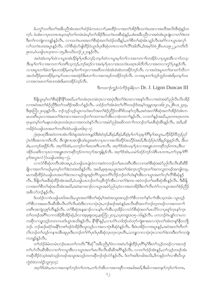မ်ပက္ဂၤ်သက်းတၤ်အခ်ဳပညီအံၤအတၤ်ထံဉ်ခံကပၤလၢာ်ႇစးထိဉ်လၢအတၤ်အိဉ်ဒီးသကဲးပဝးလၢအတိအလိၤစီဆုံနဉ်တ က့်ၫ. ဖဲပစီးလၢပုၤတဂၤဂၤမုတမ့္ပါတ႑်တမံၤမံၤမ့္ပ်တ႑်အိဉ်ဒီးသကဲးပ၀းစီဆုံန္႕်ႇပစံးအခ်ဳပညီလၢအ၀ဲအံၤပူၤဖျံးလၢတ႑်ဒဲးဘး ဒီးတၫ်ကဘုုံးကဘျဉ်နှဉ်လီၤ. လၢသကဲးပ၀းအတၫ်စိဆုံအတ႑်ထံဉ်တခ်ိန္ဉဉ့်တၫ်စိတ႑်ဆုံအံၤသူဉ်လီၤအငံံ႑လၢယ္ပၤအလု႑် လၫ်သကဲးပဝးအပူၤန္ဉၥ်လီၤ. လံာ်စီဆုံဟ်ဖျါထိဉ်ဝဲယွၤဒ်ပုၤစီဆုံတဂၤလၢတၫ်လိ႑်အါတိၤ,ဒ်အမ္႑်ဝဲဖဲ၂စီၤပၤာ၉း၂၂,ကတိၤဒိ ုႏာဝႇဝံယရှါယၤ၃၀း၁၁–၁၅ႇဒီး၁ယိၤဟဉ်၂း၂၀နဉ်လီၤႉ

အဝဲအံၤတမ္ ါထဲလ ၊ယ္ဂၤအံၤဒိဉ်န္ ၊ိပုၤဇိၤဘဉ်; တမ္ ါထဲလ ၊ယ္ဂၤမ္ ါတ ၊်လ ၊အကတ ၊ ါတအိဉ်လ ၊ပုၤဒူးအီၤလ ၊ာ်တသ္ ဒီးပမ္ ໂတ ໂလ ၊အကတ ၢ ်ဟးဂ်ီး သူဘဉ်,ဘဉ်ဆဉ်လ ၊အဝဲမှ ်ပုၤလ ၊အသကဲးပဝးဂ္ဂၤဝါတီလိၤလ ၊အတလ ၊ကွံ၁်ပုၤန္ ဉ်လီး. လၢအပူးတၫ်ခံးတ႑်နးတအိဉ်မှတမှက်တကာတယာအဆိတလဲခဲအံုးခဲအံုးတအိဉ်ဘဉ်လီး လ၊အဝဲအပူးတ႑်အ၊တ႑်သီလ၊ အဟဲထိဉ်ဖုးတအိဉ်မှတမူ ်သးလၢအအဲဉ်ဒိုးမၤတ႑်လၢအကမဉ်တအိဉ်ဘဉ်လီၤ. လၢအပူၤတ႑်ဟူဉ်ကူဉ်တစဲးဖိမှတမူ ်သး လၢအကမၤတၫ်အၢတစဲးဖိမးတအိဉ်ဘဉ်လီး.

ဒီးကထၫဉ်က္ဉဉ်လံကိဉ်ဒူခါန်သ႑ Dr. J. Ligon Duncan III

ခ်ဳိဖျိယ္နာမ္ ါတ ၊စီဆုံနိ<sup>ုင္အ</sup>်ြအဃိႇတ ၊်တမံၫဂ္နာတမံၫဂ္နာလ ၊အပဲု၊ ဒီးတ ၊ဒဲးဘးလ ၊အနဉ်လီၤလ ၊အဝဲအမဲာ်ညါလိၤလိၤအိဉ် လၢအဝဲအတၫ်စံဉ်ညီဒီးတၫ်သးဒိဉ်အဖိလာ်နှဉ်လီၤ. ပထံဉ်တၫ်အံၤဖဲတၫ်လိႝၤ်တဖဉ်ဒ်အမှ္ပါ၁ရမှုၤအ့လး၆း၂၀,၂စီၤပၤ၂၄း၃, ဒီးဇူးဘြံ၁၂း၁၄နဉ်လီၤ. ဘဉ်သ့ဉ်သ့ဉ်ယွၤကဟံးဃာ်အတၤ်စံဉ်ညိဉ်တစိၤ်ဖိသနာ်က္ခဒီး,အဝဲအတၤ်စီဆုံအတၤ်အိဉ်ဝဲအံၤက မၤဟးဂ်ီၤပုၤလၢအမၤတၫ်ဒဲးဘးလၢအတဘဉ်တၫ်ကးဘၢဃာ်အီၤလၢခံကတၫၢိန္ဉာ်လီၤႉ လၢတၫ်န္ဉာ်အဃိႇပုၤတဂၤဂ္ၤတဂၤ ဂ္နာမှတမှ့်၊တ႑်မနုၤတမံၤဂ္ဂၤတမံၤဂ္ဂၤလၢအကဟဲနှာ်လီၤလၢအမဲှာ်ညါအဆိကတ႑)ကဘဉ်တ႑်မၤစီဆုံအိၤန္ ဉ်လီၤ. အဒိ,ဆိ ကမိဉ်ဝံယရှါယၤအတ႑်ကတိၤဖဲဝံယရှါယၤ၆း၃–၇:

(စ္စ္ပရၤဖး)ဒီးအဝဲတဂၤအံၤကိုးဝဲဆူအဝဲတဂၤန္နာဒီးစံးဝဲဒၨာ့,စီဆုံ,စီဆုံ,စီဆုံမှု က႑သုံးမှ iဂိ႑်မ္ iအယွၤ,ဟိဉ်ခိဉ်ဒိဘ္ဉညါ ပုံၤ၀ဲဒီးအလၤကပိၤလိၤ. ဒီးကျဲစ႑ာအကျိၤထံးဟူး၀း၀ဲလ႑ပုၤလ႑အက်ိးထိဉ်အသိဉ်အဃိ.ဒီးဟံဉ်ပုဲၤ၀ဲဒီးမှဉ်အူခုဉ်လိၤ. ဒီးယ စီး,ယဘဉ်အ၀ှိဉ်လီၤ. အဂ္ဂါဒ်အံၤ,ယဘဉ်တၫ်မၤဟးဂိၤယၤလိၤ. အဂ္ဂါဒ်အံၤယမ္ါပှၤလၢအပျု၊တကဆိုဘဉ်တဂၤ,ဒီးယ အိဉ်ယဆိုးလၢပုၤလၢအပျုၤတကဆိုဘဉ်တကလှာ်အကျိန္နဉ်လီၤ. အဂ္ဂါဒ်အံၤ,ယမဲာ်ထံဉ်ဘဉ်လံစီၤပၤတဂၤ,တ႑်သုံးမှ<sup>၎</sup>ဂိ *မှ<sup>5</sup>အယ္*7*လံ* (ဝံယရှါယၤ၆း၃–၇).

လၢလံာ်စိဆုံတတိၤအံၤအပူၤႇဝံယရှါယၤပုံံၤဝဲလၢအဝဲကဘဉ်တၫ်မၤဟးဂိၤအိၤလၢကစၫ်စိဆုံအမဲာ်ညါလီၤလီၤဆီဆိနိ ဖြိုလၢအတၫ်ကမဉ်မ့တမ့ၢ်တၫ်ဒဲးဘးအဃိန္ဉာလိၤႉ အဃိႇစ့ရာဖးႇယ္ပၤအတၫ်အံးက္ၤက္ဂၤ်က္ၤတၫ်အကလူးတဖဉ်အကျါတဖုႇ မၤကဆိုထိဉ်ဝံယရှါယၤအတၫ်ဒဲးဘးလၢမှဉ်အူအ့ဉ်ကိၤ်သွးတကိၤ်လိဉ်ဘဉ်တၫ်ဟံးန္1အိၤလၢယွၤအတ႑်လှၤ်လိၤ်စိဆုံန္ဉဉ် လီၤ. ခ်ီဖျိတౕါမၤစီဆုံထိဉ်အံၤအဃိႇဝံယရှါယၤဘဉ်တౕၢသ့စိိက္ဂာ်အိၤလၢတၤ်ဲးဘး–အဝဲဘဉ်တၤ်မၤစိဆုံအိၤန္ဉာ်လီၤ. ဒီးခ်ီဖျိ လၢအတၫ်စိတၫ်ဆုံအသိအံၤအဃိႇအဝဲဆၢထၢဉ်လၢယ္ပၤအမဲဉ်ညါသဲ့ဝဲလၢအတအိဉ်ဒီးတၫ်လီၤတဲဉ်လၢယ္ပၤအတၫ်စံဉ်ညိဉ် အဖီလာ်ဘဉ်နဉ်လီၤ.

ဒ်ပထံဉ်လၢဝံယရှါယာ၆အသိး,ယွာအတၫ်စီတၫ်ဆုံမ့ၢ်အဝဲအသူးအသှဉ်ကံၢိစိလၢတ႑်နှၤ်ပၢၢ်အိၤသ့တမံၤ–သူးသ့ဉ် ကံ်)စီလၢအမၤလီၤဆီအီၤလီၤတိၤလီၤဆဲးဒီးလၢလၢပုံၤပုံၤႇဘဉ်ဆဉ်အဝဲနဉ်မၤလီၤဆီအတၤ်ဘဉ်တ္စ္ကာဖဉ်လၢအကတၤါ ဟးဂီၤအကျဲသ့စ့ౕnကီးန္ဉ္်လီၤႉ တ႑်စီဆုံအန္နဆ႑ာ်လ႑ပန႑်ပ႑ၤ်အီၤသ့အိဉ်လ႑လံာ်စီဆုံအတ႑်မၤလိာ်လ႑ပုၤစူၫ်က္ၤနာ်က္ၤ တၫ်တဖဉ်အဂိ်္ဂ်လ႑ကအိဉ်စီအိဉ်ဆုံႇဒ်လ႑အ့ဖူးစူး၁း၄ႇဇ့ၤဘြံ၁၂း၁၄ႇ၁ပူးတရူး၁း၁၅–၁၆နဉ်လီၤ ပကဘဉ်ဂဲၤပျုၤ်လ႑ပက ကဆိုလၫသူးသူဉ်တတကပၤဒ်ယွၤအသိးန္ဉာ်လီၤႉ နိ<sup>ု</sup>နိ<sup>ု</sup>န္ၟာ်ႇလၢပဂံ်ျပဘါဒဉ်ပ၀ဲပဂုာ်ကျဲးစၫးမၤလၢပုဲၤတၫ်အံၤတန္ၫ်နိတဘျို ဘဉ်ႉ ဘဉ်ဆဉ်ခရံာ်အနိ<sup>ု</sup>ကစၫ်ဒဉ်ဝဲအိဉ်ဒီးသူးသ့ဉ်လၢအလၢပုံၤစီဆုံဝဲနှဉ်လီၤႉ ဒီးဖဲပအိဉ်လၢအပူၤန္<mark>ဉ</mark>်,အဝဲအတၫ်တိတ႑် လိၤဘဉ်တၫ်ဟ့ဉ်ကနπဒၶိဳၤဆူပုၤဒီးပဘဉ်တ႑်ဂံ႑်ပုၤဒ်ပုၤစိဆုံလူၤတုၤလ္ၤတိၤႇသဘျှလၢလၢပှဲၤပုဲၤလၢတ႑်ဒဲးဘးဒီးတ႑်ကဘုံး ကဘျဉ်နဉ်လီၤ.

တၫ်ထံဉ်ခံမံၤတမံၤဘဉ်ဃးပတၫ်ကတိၤ ၱိစိဆုံ"အခ်ိဳပညိမှၫ်ဝဲလၢအဝဲဟ်ဖျါထိဉ်ပုၤဂိၢ်မှၢ်ဒိီးတ႑်သူဉ်တဖဉ်လၢအဘဉ် တၫ်ဟ်လီၤဆီအီၤလၢတၫ်ကသူအီၤလၢယ္ပၤအတ႑်မၤလီၤလီၤဆီဆီအဂိၢိန္ဉ်လီၤ. လၢတ႑်ထံဉ်အံၤန္ဉ်,တ႑်သ္ဉ်တဖဉ်အံၤ ကဆိုထိဉ်ဝဲသ့ဖဲအဝဲသ့ဉ်တဖဉ်အသူးအသ့ဉ်တကဆိုဘဉ်ဒဉ်လဲာ်နှဉ်လီၤႉ ဒ်တၫ်အဒိတခါအသိးႇဒိကနဉ်တ႑်လၫစိၤပိလူး ကွဲးဝဲဖဲဝကရံဉ်သူး၇း၁၄:

အဂ္ဂါဒ်အံၤ,၀ၤလၢအတနဉ်ဘဉ်တ1်တဂၤ,တ1်ဟ်အီၤလၢအကဆိုလၢအမါအဃိ,ဒီးမါလၢအတနဉ်ဘဉ်တ1်တဂၤ,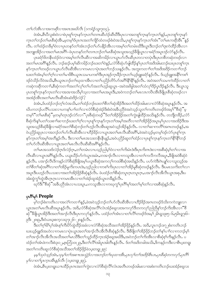တ႑်ဟာအိၤလ၊အကဆိုလ၊အဝၤအဃိလီး (၁ကရံဉ်သူး၇း၁၄).

ဖဲအံၤႇစီၤ၀ီလူးစီး၀ဲလၢဖဲပုၤစူၫ်က္ၤနာ်က္ၤတၫ်တဂၤဆီဟံဉ်ဆီဃီဒီးပုၤလၢအတစူၫ်က္ၤနာ်က္ၤတၫ်န္ဉာ်ႇပုၤတစူၫ်က္ၤနာ် က္ၤတၫ်ဘဉ်တၫ်မၤစီဆုံအိၤႇမ့တမ့ၫ်ဒ်ပုၤကအတၫ်ကျိဉ်ထံတဖဉ်စံးဝဲအသိးႇပုၤစူၫ်က္ၤနှာ်က္ၤတၫ်အံၤ ၱိတ႑်မၤကဆိုအိၤ ႆိန္ဉာ် လီၤႉ တၫ်ထံဉ်တခ်ိမ့ၫ်ဝဲလၢပုၤတနဉ်တ႑်အံၤဘဉ်တ႑်ဟ်ပနိဉ်အီၤလၢအမ့္ပါတ႑်တမံၤဃိဒိုးယွၤဒီးဘဉ်တ႑်းကဲထိဉ်အီၤလၢ အဘျူးအိဉ်လၢအတၫ်မၤအဂိ်ၫ်–ဖဲပုၤတနာ်တၫ်တကဘဉ်တၫ်မၤစီဆုံအသူးအသုဉ်ခ်ီဖျိယွၤလၢခရံာ်အပူၤဒဉ်လဲာ်နဉ်လိၤ.

ပုၤခရံာ်ဖိတနိုၤထံဉ်၀ဲလၢအမ့္ပ်ာတၤ်လီၤဆီလၢအဆိကမိဉ်လၢယွၤပာ်လီၤဆီပုၤတလၢတပုဲၤဒီးပုၤတစီတဆုံတဖဉ်လၢ အတ႑်မၤအဂိ်ါန္ဥ်ာလိၤႉ ဘဥ်ဆဥ်ပမ့္ခ်ဆိုကမိဥ်ဘဥ်ဃးတ႑်ဝဲန္ဥ်ႇလံာ်စီဆုံဟာ်ဖျထိဉ်နှၤ်ပုၤတ႑်အဒိအါမးဘဥ်ဃးပုၤတစူၤ်က္ၤ နှာ်က္�ာတၫ်တဖဉ်လၢယွာဟ်လီၤဆီအီၤလၢကမၤလၢပုံၤအတၫ်ဘဉ်သးနဉ်လီၤႉ အဘူးကတ႑ၢ်တၫ်အဒိအဒိဉ်ကတ႑ၢ်ဘဉ် ဃးတၫ်အံၤမ့ၢ်တၫ်ဂ့ၢ်လၢတ႑်မၢဖိစီၤယူဒၤသမၢပကစၢ်ဒီးပုၤအုဉ်က္ၤခိဉ်က္ၤတၫ်ယ့ဉ်ရူူးခရံာ်နှဉ်လီၤ. ဒ်ယ့ဉ်ရူုးအနိႝၤ်ကစ႑် ဒဉ်ဝဲသိဉ်လိဝဲအသိႏႇစီၤယူဒၤဘဉ်တၫ်ဃုထၢအိၤလၢတ႑်ပညိဉ်တိ5်ဟ်အဂ်ိါနိ1နိ1နှဉ်လီၤႉ အဝဲအတ႑်သမၢကဲထိဉ်လၢတ႑် ကဆဲုကဆိုကတ႑) စီဆုံကတ႑)အတ႑်လှ၂တ႑်ပာအတ႑်ဟူဉ်ဆူယွၤ –အဝဲအဖိခွါအတ႑်သံလု ဒြဉ်ပူၤဒြဉ်နှဉ်လိုၤ . ဒီးယွၤသူ ပုၤတစူ်က္နာန>်က္ၤတၤ်လၢအအၫအသိမ့ၤ်သ့လၢအတၤ်မၤအပူၤဒိိးႇအ၀ဲကဘဉ်တၤ်မၤလၤကပိၤအိၤဒိဖျိပုၤစိဆုံတဖဉ်လ႑ အအဲဉ်အီၤအတၤ်မၤလီၤဆီအံၤဆံးဒိဉ်လဲဉ်?

ခဲအံၤႇဒ်ပထံဉ်ဘဉ်တ့ၢ်လံအသိးႇတၢ်ထံဉ်ဘဉ်ဃးတၢ်စိတၢ်ဆုံအိဉ်ဒီးအတၢ်ထိဉ်အါမးလၢလံာ်စိဆုံအပူၤန္ဉာ်လီၤႉ အ ဃိပကဘဉ်ပလိ်ျပသးလၢပကနှါပၢါတၢ်လၢလံဉ်စိဆုံအဲ့ဉ်ဒိးစံးဝဲအခ်ဳပညီဖဲအဝဲသူဉ်သူတၢ်ကတိၤတဖဉ်ဒ်အမှ1်မိဆုံ"မှ တမ္န<sup>ေန</sup>တၫ်မၤစီဆုံိမ့တမ့္ပ်တုၤဒဉ်လဲဉ်လ႑"ပုၤစီဆုံတဖဉ်"ဒ်တ႑်အိဉ်ဖိုဉ်အတ႑်ကွဲးဖျထိဉ်အသိးန္ဉာလိၤႉ တဘျိတခ်ိဉ်ႇလံဉ် စီဆုံကိႏၵ္န ်ပတ႑်သးစ႑ာဆာသည်ဃးတ႑်ဂ့ၤ်လ႑ပုုစူးက္နာနဉ်က္နာတ႑်အမ္နာအတိလ႑တ႑်အိဉ်ဖိုဉ်အပူးမ့္ပြပုုလ႑အအိဉ်ဒီးအ သူးအသုဉ်စီဆုံခ်ီဖြိုလ ၊ခရံဉ်အတ႑်စီဆုံဘဉ်တ႑်ဟုဉ်လီၤအီၤဆူအဝဲသုဉ်အိဉ်နှဉ်လီၤ. လ ၊တ႑်ဆ႑ကတိၤအကတဖဉ်နှဉ်,အ ဝဲပညိဉ်ဆူပုၤလၢအဘဉ်တၫ်ပာ်လီၤဆီအီၤလၢဟိဉ်ခိဉ်လၢယွၤအတၫ်မၤလီၤဆီအဂိ်ၤ,ဖဲအဝဲသ့ဉ်မ့တမ့ၢ်ဒဉ်လဲာ်ပုၤစူၫ်က္ၤ နှာ်က္ၤတၢ်အမ့ၢ်အတိန္နဉ်လီၤႉ ဒီးလၢတၢ်မၤအသးတနိၱၤနိၱၤန္နဉ်ႇအဝဲပညိဉ်ဆူတၢ်ထံဉ်လၢပုၤစူၫ်က္ၤနှာ်က္ၤတၢ်နိံၫနိံုဘဉ် တ႑်ဟလေးအအားကားအတြေးထိုးထိုးအိုအိုအိုးနည်လိုး

တၫိမၤအသးဒ်လဲဉ်ဂုၤဒ်လဲဉ်ဂုၤႇတ႑်တမံၤလၢပသွဉ်ညါမှ1်ဝဲလၢတ႑်ကိုးမံၤဒဲးဒီးပုၤကိုးဂၤဒဲးလၢအစီဆုံမှ1်တ႑်လၢအ လီးဆီလၢယ္မွၤအဂ်ိဳးန္5်လီး. ပယူးယီဉ်ဟ်ကဲယ္မွၤအမံၤ,တအၫဉ်လီၤလၢကသူအီၤလၢတၤ်ကလီကလီအပူၤ,ခ်ီဖိုုအဝဲစီဆုံဝဲ နှဉ်လီၤႉ ပအၫဉ်လီၤဒိကနဉ်လံာ်စိဆုံခ်ိဖျိအမှၤ်ပယ္ဂၤစိဆုံအကလုၤ်ကထါစိဆုံအဃိန္ဉာလီၤႉ ပဟ်ကဲဒီးကဲပျူၤ်လၢသူးသ့ဉ်အ တၫ်စီတၫ်ဆုံအဂိၢိလၢတၫ်အိဉ်မူကိႏကပၤဒဲး,သူဉ်ညါလၢကစၫ်ကိႏပုၤလၢတၫ်အိဉ်မူစီဆုံတဖဉ်နှဉ်လီၤႉ ဒီးပမၤသက်းတ႑်လ႑ အပူၤဒီးပဟ္၄်လီၤပသးလၢအတၫ်အိဉ်ဖိုဉ်စီဆုံနှဉ်လီၤ. ဖဲပထံဉ်တၫ်စီဆုံတပူၤဂ္ဂၤတပူၤဂ္ဂၤ,ပအၢဉ်လီၤအီလီၤယွၤအစု,ဒီးပ အံးထွဲကွ<sup>ှ</sup>ထွဲအီးဂုၤဂုၤလၢကမၤအီၤလၢတၫ်အဲဉ်ထူအဲဉ်ယွၤတခ်ိန္ဉာလီၤ.

ၰာ်ဒိး ပိုစိဆုံိအခ်ိပညိအံၤလၢပသးပူၤႇပကသူအိၤလၢကၰကၠၢိပုၤဂိၢမှ်ျအတ႑်မှ္ပါတ႑်လၢအစိဆုံန္ဥာလိၤႉ

# γι<sup>8</sup>ίφς People

မ့်ၫဘဉ်စံးကတိၤလၢအလဲ်ၤကတၫၤ်နှဉ်,ဖဲအဝဲသ့ဉ်ဘဉ်တၤ်ဟ်လီၤဆီအီၤလၢဟိဉ်ခိဉ်အဂၤတဖဉ်ဒ်သိးကကဲဘျုးလၢ ယ္ဇၤအတၫ်မၤလီၤဆီအပူၤန္ဉာ်လီၤ. အဒိႇလံာစိဆုံအလိၤ်လံၤအံဉ်စရ္ဒလးအကလှာ်ဒီတကလှာ်ညါညီနှၤ်ဘဉ်ကိုးအီၤလၤ်ံစိ ဆုံ"်ီဒီဖြယ္ပၤအိဉ်ဒီးအတၫ်အၫဉ်လီၤဒီးပုၤကလုာ်န္ဉာ်လီၤႉ ပထံဉ်တၫ်အံၤလၢတၫ်လီၫ်တဖဉ်ဒ်အမ့႑် မြိၤရု၁ုႏ၅–၆,၅မိၤရု၇ႏ၆– ုဒ္မီး ၂၈း၉,ဒီးဝံယဃူးစက္ခလး၃၇း၂၆–၂၈န္) လိၤ

-<br>ဒီးတ<sup>ရ</sup>ဂ္ဂါမိ<sup>ရ</sup>ပု<sup>ရ</sup>အံၤစ့<sup>ရ</sup>ကီးပိ9်ထွဲထိဉ်အခံလၢလံာ်စီဆုံအသိအတၢ်အိဉ်ဖိုဉ်နဉ်လီၤႉ အဒိႇလူၤကဉ်၁း၇၂စံးကတိၤဘဉ် ဃးယ့ဉ်ရူးဒ်အဟဲလၢကမၤလၢပုံၤယွၤအတၫ်အၢဉ်လီၤအီလီၤစီဆုံနှဉ်လီၤ. ဒီးခီဖျိတၫ်အိဉ်ဖိုဉ်ဘဉ်တ႑်နှၤ်ပၢၤ်လၢကဘဉ်မှၤ် တၫ်အၫၣ်လီၤအီလီၤအသိအတၫ်မၤၖိဒီးတၫ်သူဉ်ထိဉ်ကူၤအံဉ်စရူအဃိဒ်း အဝဲဘဉ်တၫ်က်းအိၤလၢစိဆုံစ့ၫ်ကိုးနှဉ်လီၤ. ပ ထံဉ်တၫ်အံၤဖဲကလီးစဲ၃း၁၂,ဇ့ာဘြံ၁၀း၂၉,ဒီးတ႑်လိ႑်အါပူၤအါတိၤန္ဉာ်လီၤ. ဒ်တ႑်အဒိတခါအသိး,ဒိကနဉ်ကဒီးလ႑စီၤပူးတရူး အတ႑်ကတိၤဆူလံာ်စီဆုံအသိအတ႑်အိဉ်ဖိုဉ်ဖဲ၁ပူးတရူး၂ူး၉:

မ့မ့်သုဝဲသူဉ်အံၤႇသုမ္းတၫအစ႑ာအသွဲဉ်လ႑အဘဉ်တ႑်ဃုထ႑အိၤႇပုၤလုၤ်တ႑အဒိဉ်စီၤပၤႇပုၤစီဆုံတကလုဉ်,ပုၤဂိၤ် *မှ<sup>င်္ဂ</sup>လၢတ<sup>င်္</sup>ပုၤကၠၤအီၤန္နဉ်လီၤ* (၁ပူးတရူး၂ႏ<u>၉</u>).

ဖဲအံၤႇိစီၤပူးတရူးယπထိဉ်ပုၤဂၤအတ<sup>5</sup>ကွဲးလၢလံာ်စိဆုံလိြလံၤအတိၤတဖဉ်အါမးလၢအစံးကတိၤဘဉ်ဃးအံဉ်စရလး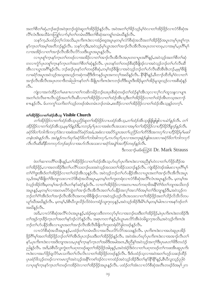အတၫ်စိတၫ်ဆုံႇဘဉ်ဆဉ်အဝဲဒုးဘဉ်ထွဲဝဲဆူတၫ်အိဉ်ဖိုဉ်နှဉ်လီၤႉ အဝဲအတၫ်ဂ္ဂါခိဉ်သူဉ်မှါဝဲလၢတၫ်အိဉ်ဖိုဉ်လၢလံာ်စီဆုံအ လိြလံၤဒိီးအသိခံကတြူြလၢာ်မ့္ပ်ာတြကမံၤဃိဒိုးတ႑်စိဆုံအကၡျ်တမံၤဃိန္ဉာလိၤႉ

သနၥ်က့ႇဒ်ပထံဉ်တ့်ౕလံအသိးႇပုၤကိးကဒဲးလၢအံ့ဉ်စရ္ခအပူၤမ့တမ့်ၢလံာ်စီဆုံအသိအတၫ်အိဉ်ဖိုဉ်အပူၤတမ့္ပ်ပုၤစူ်ကူၤ နာ်က္ၤတၫ်အမ့ၢ်အတိဘဉ်နဉ်လိၤႉ သနာ်က္ဒဒိႏႇအဝဲသုဉ်မ့ၢ်ယ္ပၤအတၫ်အၫဉ်လီၤအိလိၤအပုၤတဝၢတဖုႇလၢအမ့ၢ်ႇပုၤဂိၢမု႑် လၢအအိဉ်လၢတၫအၫဉ်လီၤအီလီၤလိဉ်သးဒီးယွာအပူၤန္နဉ်လီၤ.

လၢပုၤစူၫ်က္၊ နာ်က္၊ တ႑်တဖဉ်လၢအအိဉ်လၢတ႑်အ႑ာ်လီ၊ အိလီ၊ အပုၤတဝၢပူ၊ အဂ်ိဳၫန္႕်ႇအဝဲသူဉ်အတ႑်စိတ႑်ဆုံ တလၢကွံ၁်ပှၤတစူ်က္πနာ်က္ၤတ<sup>႖</sup>အတ<sup>႖</sup>စိတ႑်ဆုံနဉ်လီၤႉ ပှၤတနာ်တၤ်တဖဉ်စီဆုံခီဖြိုဒဉ်လၢအဝဲသ့ဉ်ဘဉ်တ႑်ဟ်လီၤဆီ အီၤလၢယ္ပၤအဂ်ိဳ\န္ဉ်လိၤႉ ဘဉ်ဆဉ်ပုၤန္ာ်တၤ်တဖဉ်စီဆုံႇတမ့ၤ်ဒဉ်ခ်ီဖျိလၢအဝဲသ့ဉ်ဘဉ်တၤ်ဟ်လီၤဆီအီၤ&ၤဘဉ်ႇမ့မ့ၤ်ခံဖျိ လၢခရံာ်အပူၤအဝဲသ့ဉ်အသူးအသ့ဉ်ကဆုဲကဆိုဒီးဒိကနဉ်ယွၤအကလုၤ်အဃိန္ဉာ်လီၤ. နိ<sup>၎န္ဓ</sup>ိန္ဉာ်,ဖီတၫဉ်ထိဘိမ့<sup>၎</sup>ဝဲလၢတၤ် အၫဉ်လီၤအိလီၤအပုၤတ၀ၫဒိတခါညါကနဉ်တ႑်–ခ်ိဖြိုပုၤကိႏၵၤဒဲႏကဘဉ်တိဒီးယွၤဒီးအိဉ်မူတ႑်အိဉ်မူသူးသူဉ်လၢအစီဆုံနဉ်  $\circ$ 31.

ကျဲလၢအကဲထိဉ်တၫ်မာစπလၢတၫ်ကဆိကမိဉ်ဘဉ်ဃးပုာစိဆုံတဖဉ်တၫ်ထံဉ်နှၤ်အီာသ့လၢလှၤ်လှ၊်ထူသန္နလၢပျπ အတၫ်ဟဲလီၤစπလီၤသွဲဉ်အတၫ်လီၤဆီလၢတၫ်အိဉ်ဖှိဉ်လၢတၫ်ထံဉ်အီၤသ့ဒီးတၫ်အိဉ်ဖှိဉ်လၢတၫ်ထံဉ်အီၤတ်သ့အဘၢဉ် စπန္ဉာ်လီၤႉ မ်ပကကွ<sup>ရ</sup>သက်ိးတ<sup>ရ</sup>သွဉ်တဖဉ်အံၤတမံၤဘဉ်တမံၤႇစးထိဉ်လၢတၫ်အိဉ်ဖိုဉ်လၢတၫ်ထံဉ်အီၤသ့န္ဉာ်တက့<sup>၎</sup>ႉ

# တ<sup>ှ</sup>အိဉ်ဖိုဉ်လၢတ<sup>ှ</sup>ထံဉ်အီးသ့ Visible Church

တၫ်အိဉ်ဖိုဉ်လၢတ႑်ထံဉ်အီးသူပည်ဉ်ဆူတ႑်အိဉ်ဖိုဉ်လၢပထံဉ်အီးသ့ႇတ႑်ထံဉ်အီးသူဖြိုဖြူဖျပြလၤပမဲဉ်နှဉ်လီး. တ႑် အိဉ်ဖိုဉ်လ 1တ ်ထံဉ်အီၤသ့,မမူ ်ဒန္နဉ်ဒီး,ကဘဉ်မှ ်ပုၤလ 1အစံးလီၤအသးလ 1အမူ ်တ ်အိဉ်ဖိုဉ်လ 1ဟိဉ်ခိဉ်ဒီဖျ 1ှာ်နှဉ်လီၤ ခရံဉ်8တ ်ဘါကိုးကလုဉ်ဒဲးလ ၊အစီးအဝိဉ်ခရံဉ်အခံ,အစီးလ ၊အဝိဉ်ယွၤအတ ်ပညိဉ်တ ်က်ိဳင်ဒီးအကလု ်လ ၊ဟိႆဉ်ခ်ိဉ်မှ ်မဆါ တနံၤအံၤန္နဉ်လီး အဝဲန္နဉ်ကပာိဃုာ်ခရံှာဖြတ် ကါအါကလုာ ကပာိဃုာ်ပုၤလၤအတဒုးနဲ့ဉ်ဖျံအသးလၤခရံှာဖြတ် ကါကလုာ် လီၤလီၤဆီဆီနီတကလုာ်ဘဉ်ဆဉ်လၢအပာ်လီၤအသးလၢခရံာ်အပျဲ႞အဘီဉ်တဖဉ်နဉ်လီၤ.

ဒီးကထၫဉ်မႈခ်စတြဉ်စ် Dr. Mark Strauss

ဖဲတౕာဆၢကတိိၢတနိၱၤန္ဥ်ႇတၢဴအိဉ်ဖိုဉ်လၢတၢ်ထံဉ်အီၤသ္စပာ်ဃှာ်ပုၤကိႏၵၤဒဲးလၢအညီနှၤ်ဟဲလၢတၤ်ပာ်ဖိုဉ်ထိဉ်အ တၫ်အိဉ်ဖိုဉ်,လၫအတအိဉ်ဒီးတ႑်ပလိႝၤ်သးဘဉ်ဃးအဝဲသ့ဉ်အသးတၫ်အိဉ်သးဘဉ်နဉ်လိၤ<sup>့</sup> ကျဲအိဉ်ဝဲဒဉ်အါမးလ႑ပုၤဂိ<sup>ု</sup>မှြ တၫ်ဂံၫ်ာ့းအီၤဒ်တၫ်အိဉ်ဖိုဉ်လၢတၫ်ထံဉ်အီၤသ္နန္နဉ်လီၤ. အဝဲသူဉ်ဘဉ်တ႑်ပာ်ပနိဉ်အီၤလၢယ္ပၤအတ႑်အၫဉ်လီၤအိလီၤအပူၤ သ့ႇဒ်အမှS်ဖိဖြတ်ဒြိးဘျာသးလၢလံာ်စိဆုံအသိအပူၤႇမ့တမ့SတSကူးတရံးလၢလံာ်စိဆုံအလိSလံၤအပူၤန္ဉာ်လီၤ. မ့တမ့Sအ ဝဲသုဉ်အိဉ်ဝဲဒီးမှတမှ<sup>6</sup>အၫဉ်လီၤတ<sup>ု</sup>နဉ်ရော်နှဉ်လီၤ. လၢတ<sup>ု</sup>အိဉ်ဖိုဉ်လၢအတပπဃဉ်ကရၫဖိအနိ<sup>6</sup>ဂိ်ၢ်ဒ်တ႑်ာျာအသိးဘဉ် း<br>အပူ၊ နဉ်,မတမ့်၊လၫအတမၤပိ⁄ာ်ထွဲတ်၊အาဉ်လီၤအီလီၤအတ႑်ပာပနိဉ်အလု၊်အလၤ်ဒ်အမ့ှ၊်တၤ်ဒိးဘျာနဉ်ဒီး,အဝဲသုဉ်က ဘဉ်တ႑်ဂံၫအိၤဒ်တ႑်အ႑ာ်လီၤအိလီၤအကၡၫဖိခံဖျိဒဉ်လ႑အဝဲသုဉ်ဟုဉ်လီၤအသးလ႑တ႑်အိဉ်ဖိုဉ်အတ႑်သိဉ်လိသိလိတပ ယှာ်ဃီအဃိနဉ်လီၤ. မ့တမ့်ၫ့်ဒ်စီၤပီလူးသိဉ်လိဝဲဖဲ၁ကရံဉ်သူး၇း၁၄နဉ်္ာအဝဲသ့ဉ်အိဉ်ဒီးမိ်ၤပါမှတမ့်၊်မါတလၢအနဉ်ဒဉ်တ႑် အဃိန5်လီၤ.

.<br>အဲဒိႇလၢလံာ်စိဆုံအလိၤ်လံၤအပူၤန္ဥ်ႇအံဥ်စရူလးဒီတကလှာ်မ့ၤ်လၢအဘဉ်ဃးဒီးတၤ်အိဉ်ဖိုဉ်ႇဖဲပုၤကိႏၵၤဒဲးတအိဉ်ဒီး တၫ်အှဉ်က္ $a$ နိဉ်က္ $a$ တၫ်အတ႑်နာ်ဒဉ်လဲာ်နဉ်လီ $\cdot$  အစုၤကတ႑်နဉ်,ဒ်ယွာမၤလိာအီၤဖဲ၁မိရှ၁၇အသိႏႇအဝဲသ့ဉ်ကိုးဂၤဒဲး ဘဉ်တၫ်ဟ်ပနိဉ်အီၤလၢယ္ပၤအတၫ်အၫဉ်လီၤအီလီၤခီဖျိတၫ်ကူးတရံးပိ5်ခွါတဖဉ်နဉ်လီၤ.

လၢလံာ်စိဆုံအသိအပူ၊ နဉ်,ပထံဉ်တၫ်တမံ၊ဃိလၢအလိၤပလိဉ်လိဉ်အသးနဉ်လိၤ. ပု၊ကိႏၵၤဒဲးလၢအဟဲဆူပု၊အိဉ် ဖိုဉ်ဂြိမ်များအတုအသုံဖြည့်တွင်းပွဲများ အများ အသုံးပွဲများ အသုံးပွဲများ အသုံးပွဲများ များများ ပွဲများများ န9်,ပုၤကိႏၵၤဒဲးလၢအဒိႏဘျၢအသး,ပုၤစူၫ်က္ၤန9်က္ၤတၫ်အဖိဒိႏအမါအ၀ၤ,ဒိႏညိနုၫ်အ၀ဲသ္ဥဴအကုၫ်ဒိႏပုၤမၤတၫ်ဖိဒိတဟံ့ဉ် ညါနဉ်လီၤႉ အဒိႇ္၀ဲစီၤ၀ီလူးကွဲးတၫ်ပရၢတဖဉ်ဆူတၫ်အိဉ်ဖိုဉ်အါဖုန္ဉ်ႇအ၀ဲအဲဉ်ဒိုး၀ဲလၢတၫ်ပရၢတဖဉ်တၫ်ကဖးအိၤဆူပုၤကိုး ကဒဲးလၢအပာ်ဖိုဉ်ရှလိာ်မာသကိုးတၫ်လိၤလၤတၫ်အိဉ်ဖိုဉ်တဖဉ်နဉ်လီၤႉ ဒီးဒ်ပထံဉ်သ့လၢအဝဲအတၫ်ဟ့ဉ်သဆဉ်ထိဉ် ပုၤခရံာ်<sup>8</sup>သ္ဥာ်တဖဉ်လၢကမၤကွ<sup>၎</sup>အဝဲသူဉ်အနိ<sup>ု</sup>ကစ<sup>႑</sup>ဒဉ်ဝဲလၢကထံဉ်အဝဲသုဉ်အိဉ်ဒီးတ႑်နှာနို<sup>ု</sup>နှဉ်,စီၤပီလူးသုဉ်ညါဝဲ .<br>လၢပုဂ္စာ်ကူးနဉ်ကူးတက်တဖဉ်ကအိဉ်ဝဲလၢတကအိဉ်ဖိုဉ်အပူးနဉ်လီး ပထံဉ်တက်ော်လၢလံာ်စီဆုံအတီးတဖဉ်ဒ်အမှ1၂က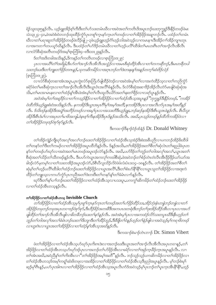ရံဉ်သူး၁၃း၅နဉ်လီၤႉ ယ့ဉ်ရူူးအိဉ်စ့ ်ကီးဒီးတ ်ပာ်သးတမံၤဃီလၤအဝဲအတ ်ကတိၤဒိအပူၤဘဉ်ဃးဘုက္ခူဉ်ဒီးနိုဉ်တဖဉ်ဖဲမး သဲ၁၃း၂၄–၄၀,ဖဲအဝဲစီးဝဲတဘဉ်ထုးထိဉ်ကွဲ၁်ပု၊တစ္ပါက္နာနဉ်က္နာတပတဖဉ်လာတပ်အိဉ်ဖိုဉ်အချာဘဉ်လီး. ပထံဉ်တပ်တမံး ဃီလၢတၫ်ပရာဆူတၫ်အိဉ်ဖိုဉ်တဖဉ်ဖဲလိဉ်ဖျို ၂–၃ဖဲယ့ဉ်ရူးဟ့ဉ်ဂံၫ်ဟ့ဉ်ဘါအဝဲသ့ဉ်လၢကမာနπဒီးအိဉ်ဂၢၢ်အိဉ်ကျπတုၤ လၫအကတၫါတပယူဉ်ဃိနဉ်လိၤႉ ဒီးပထံဉ်တၫ်ဟ်ဒိဉ်တမံၤဃိလ႑တ႑်ဟ္ဥာပလိ႑်ထိဒါတ႑်မၤဟးဂိၤတ႑်အ႑ဉ်လီၤအိလိၤ လၢလံာ်စီဆုံအတိၤတဖဉ်ဒ်အမှ့<sup>၎</sup>ဇ္ဇာဘြိ၆း၄–၈ဒီး၁၀း၂၉နှဉ်လီၤ.

ဒ်တၫ်အဒိတခါအသိးန္၄်ႇဒိကနဉ်တ႑်ကတိၤတဖဉ်လၫဇ့ၤဘြံ၁၀း၂၉:

ပုၤလၢအယိႝၤ်တာဖိခွါ,ဒီးပာတကာၣကိုလီၤအိလိၤအသုံဉ်လၢအမၢစိဆုံထိဉ်အီၤလၢတၤ်တကဆိုဘဉ်,ဒီးမၤတရီတပါ သးဘဉ်ဃးဒီးတၫ်ဘျုးတၫ်ဖိုဉ်တဂၤနှဉ်,သုကဆိကမိဉ်လၢအဂ္ဂၤဘဉ်တၫ်ဒဲးဘးနးနှၤ်အနှဉ်တက့ၫ်ဆံးဒိုဉ်လဲဉ် (ဇ့ၤဘြံ၁၀း၂၉).

လၢလံာ်စိဆုံတဆၢအံၤအပူၤႇပုၤကွဲးလံာ်ဇူးဘြံပာ်ဖျါထိဉ်ဝဲဒဉ်လၢအဝဲအံၤမ့္ပ်ာက်လၢအကဲထိဉ်သူလၢတ႑်ကညိက္ငံဉ် ခရံှာ်ဖဲတ<sup>ှု</sup>မျာစီဆုံကူၤလၢတၫ်အၫဉ်လီၤအီလီၤဒီးယွၤဝံၤအလိၢိခံနှဉ်လီၤႉ ဒ်လံဉ်စီဆုံအဆၢဒိဉ်အိဉ်လီၤတဲဉ်မၤဖျါဝဲဆုံဆုံအ သိႏ္ႇတၫိမၤအာမၤနးလၢတၫ်ထံဉ်နှၤ်အီၤဖဲအံၤမ့ၢ်တ႑်လီၤထူလီၤယိဉ်အတ႑်နူးတ႑်ဖိုဉ်လၢလရာ်ပူၤန္ဉာလီၤ.

အဝဲအံၤမ္ ါတ ါအရှဒိဉ်လ 1တ ါကသူဉ်နိုဉ်လ 1တ ါအိဉ်ဖိုဉ်လ 1တ ါထံဉ်အီၤသ္စ္မအပူၤန္ဉ "ဘုက္ဂူဉ်ဒီးနိုဉ်တဖဉ်, "ကအိဉ် ဝဲထီဘိဒ်ယ္ဥ်ရူးစံးဝဲအသိးန္ဥလီၤ. နကအိဥ္မ်ားယ္ဥအပုၤဂိၢမုၢအမ္ုအတိ; နကအိဥ္မ်ားပုၤလ႑အလီၤဂဉ်ပုၤအမ္[အတီန္ဥ လီး. ဒ်သီးဒဉ်နအိဉ်ဒီးအပျဲ၊အဘိဉ်တဖဉ်လ ၊အမှ ၊ိပုၤလ ၊အသးတိဒီးယှဉ်ျူး,ဘဉ်ဆဉ်နအိဉ်ဒီးစီးယူဒၤဖဲနဉ်လီး. စီးပီလူး အိဉ်ဒီးစီၤဒံမ႞လၢအပုၤတ႞မၢဗိအကျါႇဖဲနၤစ္႞ကီးနအိဉ်ဒီးပုၤဒ်န္ဥအသိးလိၤႉ အဃိႇပုၤသူဉ်တဖဉ်နှဉ်ထိဘိကအိဉ်ဝဲလ႑ တ႑်အိဉ်ဖိုဉ်တဖုဒဉ်ဝဲစုဉ်စုဉ်နဉ်လီး.

ဒီးကထၫဉ်ဒိန႑ဉ်ဝံဉ်ထိနံဉ် Dr. Donald Whitney

တၫ်အိဉ်ကျဲဉ်ကျီဃှာ်အလှၤ်အလၤ်ဘဉ်ဃးတၤ်အိဉ်ဖိုဉ်လၤတၤ်ထံဉ်အိၤသ့အဲဉ်ဒိးစံးအခ်ဳပညီလၤပကဘဉ်အိဉ်ခိုးထီဒါ တၫ်တနဉ်တၫ်ဒီးတၫ်ကမဉ်လၢတၫ်အိဉ်ဖိုဉ်အပူၤထိဘိန္နဉ်လိၤႉ ဒ်န္နဉ်အသိးႇတၫ်အိဉ်ဖိုဉ်အတ႑်စီတ႑်ဆုံလဲၤတ႑်ဆူညဖြဲပုၤတ နှာ်တၢ်တဖဉ်ဟ်ဃှာ်လၢအဝဲအတၢ်မၤတဖဉ်အပူၤဒဉ်လဲာ်နှဉ်လီၤႉ အဃိႇပဟ်ဒိဉ်တၢ်ဘူဉ်တၢ်ဘါအလှၢ်အလၢ်ႇယွၤအတ႑် စီဆုံအတၫ်သိဉ်တၫ်သိတဖဉ်နဉ်လီၤ. ဒီးပဟ်ကဲယွၤအကလုၤ်ကထါစီဆုံ,ဖဲအဝဲဘဉ်တၫ်စဉ်တဲၤတဲလီၤအီၤဖိုဉ်ဖိုဉ်ယာ်ယာ်အ ခါဒဉ်လဲ၁်မှတမှာ်လာတာ်သးတအိဉ်အပူၤဒဉ်လဲ၁်,ဒ်စီၤပီလူးသိဉ်လိဝဲဖဲလံးပံၤား၁၄–၁၈နဉ်လီၤ. တာ်အိဉ်ဖိုဉ်အတာ်စိတာ် ဆုံမှကြားဟုဉ်ပလိ်းထိဒါတ႑်ထံဉ်ဘဉ်ဃးတ႑်အိဉ်ဖိုဉ်လ႑ယွၤအလိ်း,ဒီးတ႑်စံးဟ်နို<sup>ု</sup>န္ဓိ<sup>ု</sup>လ႑ယွၤသူတ႑်အိဉ်ဖိုဉ်လ႑အဒုးကဲ ထိဉ်တၫ်ဘျုးသ့လၢကပာ်ကွံာ်ပုၤကညီအတၫ်ဒဲးဘးဒိးတၫ်တနာ်နှၤ်တၫ်ခံမံၤလၢာ်နှဉ်လိၤႉ

ၰာ်ဒီးတၫ်နှၤ်ပၢၤ်ဘဉ်ဃးတၤ်အိဉ်ဖိုဉ်လၢတၤ်ထံဉ်အီၤသ့လၢပသးပူၤႇပကကွၤ်ဆိကမိဉ်တၤ်ထံဉ်ဘဉ်ဃးတၤ်အိဉ်ဖိုဉ် လၢတၫ်ထံဉ်အီၤတသ္နနှဉ်လီၤ.

#### တ<sup>ှ</sup>အိဉ်ဖိုဉ်လကာ်ထံဉ်အီးတသ္ Invisible Church

တၫ်အိဉ်ဖိုဉ်လၢတ႑်ထံဉ်အီၤသ့မ္ ၊်ပုၤစူ ၊်က္နၤနှာ်က္နၤတ႑်တဖဉ်အတ႑်ပာဖိုဉ်ထိဉ်သး,အိဉ်ဘုံးနံၤတန္တံဘဉ်တန္တံလၢတ႑် အိဉ်ဖိုဉ်တဖုဘဉ်တဖုအပှၤတဝၢဒဉ်ဝဲစု၁်စု၁်, ဒီးဟိဉ်မိဉ်အဘးခီဒီးအကပၤဝးတရံးဒီးဘဉ်တ1်ဒုးအိဉ်ထိဉ်အီၤလၤပုၤလၢအပဉ် ဖျါထိဉ်တ<sup>ှ</sup>အၫှာ်လီၤအီလီၤဖျါလၫခိတခ်ီဘှာ်ဃးတ႑်နှာ်နှဉ်လီၤ. အဝဲအံၤမ္ဒပုၤလၢအကထံဉ်လိာ်သးတပူၤဃိဒ်ိးနိုၤဟ္ဥတ႑် ဘူဉ်တ႑်ဘါအလှ ၊်အလ ၊်ခံမီၤဘဉ်ဃးတ ၊်ဒိးဘျ ၊ဒီးတ ၊်အိဉ်ဘူဉ်, ဒီးခီဖျိတ ၊်ဝဲန္နာ်ဟုဉ်တ ၊်နဲ့ဉ်ဖျါလ ၊အဝဲသုဉ်မှ ၊်ကရ ၊ဖိတဖဉ် လၢဟူးဂဲၤလၢယ္ဗၤအတ႑်အိဉ်ဖိုဉ်လၢတ႑်ထံဉ်န္ ၊်အီၤသ္စ္မအဃိန္နဉ်လီၤ.

ဒီးကထၢဉ်စဲမၢဉ်ဘဲၤဘၢဉ် Dr. Simon Vibert

ဖဲတၫ်အိဉ်ဖိုဉ်လၢတၫ်ထံဉ်အီၤသ့ဟ်ဃှာ်ပုၤကိုးဂၤဒဲးလၢအဘဉ်ဃးဒီးယွၤအတၫ်အၫဉ်လီၤအိလီၤအပုၤတဝၢန္ဉဉ်,တ႑် အိဉ်ဖိုဉ်လၢတၢ်ထံဉ်အီၤတသံ့ဟ်ဃှာ်ဒဉ်ပုၤလၢအဘဉ်တၫ်ဟ်ဖိုဉ်အီၤလၢခရာ်လၢတၢ်အှဉ်ကူးခိဉ်ကူးအပူးနှဉ်လီၤ. လၢ တၫ်အံၤအဃိႇအဝဲညီနှၤ်တၫ်ကိုးအီၤလၤ်ဴတၫအိဉ်ဖိုဉ်အမှၤ်အတိႛိန္ဉာလီၤႉ ဘဉ်သ္ဉာ်သူဉ်ပကဆိကမိဉ်လၤတၫ်အိဉ်ဖိုဉ်လၤ တၫ်ထံဉ်အီၤတသ့ဒ်အမှ္ပါကရှု၊်ဆံးဖိတဖုလၢအအိဉ်လၢတ႑်အိဉ်ဖိုဉ်လၢတ႑်ထံဉ်အီၤသ့ဒိဖုညါအပူ၊နှဉ်လီၤ. မ့ှါဘဉ်စံးမှြ ဆူဉ်မှ<sup>ု်ရွ</sup>ာနဉ်,ပဟ်ပုၤအါဂၤလ႑တ႑်အိဉ်ဖိုဉ်လ႑တ႑်ထံဉ်အီၤသုအပူၤလီၤက်ဒ်အဝဲသူဉ်မှုပြုဘဉ်တ႑်ပုၤက္ၤအီၤနီြန်ြိႇဟ္ဉဉ်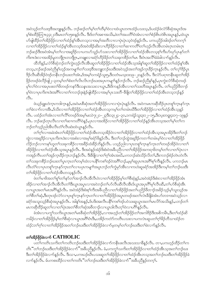အဝဲသ့ဉ်တၫ်သးဒ့ဒိအဘျူးနှဉ်လိံၤ. ဘဉ်ဆဉ်တၫ်မှၫ်တၫ်တိမ့ၫ်ဝဲလၢထဲယွၤတဂၤထံဉ်ပသးသ့ႇဒ်ပထံဉ်ဖဲလံာ်စိဆုံအပူၤဒ်အ မှ ်စီးထိဉ်တြπ၄၄း၂၁ဒီးမ်းတ်ၫ၁၅း၈နဉ်လီး အိုးဒ်တ႑်အစ္ဍာအသိႏႇဖဲတ႑်အပတိ႑်ဝဲအံုလာတ႑်စဉ်မ်းတဲစိုးအပူးနှဉ်ႇထဲယွာ ဟ်ဖျါထိဉ်တၫ်အိဉ်ဖိုဉ်လၢတၫ်ထံဉ်နှၤ်အီၤတသ့လၢအမ့ၢ်အတိလၢလၢပုံၤပုံၤသ့၀ဲဒဉ်နှဉ်လီၤႉ ပကပညိဉ်အါဒဉ်တၤ်တက့ၤ် လၢတၫ်အိဉ်ဖိုဉ်လၢတၫ်ထံဉ်နှၤ်အီၤတသ့ဒ်အဝဲအိဉ်ဆိုးလၢတိဉ်ခိဉ်လၢတ႑်ဆၢကတိႝၤ်တုဉ်လီၤအီၤတမံၤဂ္ဂၤတမံၤဂ္ဂၤ ဘဉ်ဆဉ်ဒီးအဝဲအံၤမ့ါတ1်လၢအရှဒိဉ်လၢပကပဉ်သူဉ်ပာ်သးလၢတ1်အိဉ်ဖိုဉ်လၢတ1်ထံဉ်အီၤတသ္စစ္1်ကီးပာ်ဃှာ်ပုၤနှာ်တ1် ကိႏၵၤဒဲးလၢအအိဉ်မူတဘျီဂုၤတဘျီဂုၤ,တချူးလၢခရံှာ်ဟိဉ်ခိဉ်တ႑်သးခုကစိဉ်တ႑်မၤ ဒီးဝံၤအလိ႑်ခံခံခါလ႑ာနှဉ်လိၤ.

ထိဘိန္ဉ်ႇလံာ်စိဆုံဘဉ်တၫ်ကွဲးဟုဉ်လီၤအိၤဆူတၫ်အိဉ်ဖိုဉ်လၢတၫ်ထံဉ်အိၤသ့အါန္1်ဆူတၫ်အိဉ်ဖိုဉ်လၢတၫ်ထံဉ်န္1်အိၤ တသ့ႇဘဉ်ဆဉ်အဝဲညီနှၤ်ဟ့ဉ်အကမျาၤ်တၤ်သးဒ့ဒိအဘျူးဘဉ်ဃးဒိးအဝဲသ့ဉ်အတၤ်အှဉ်ကူးနိဉ်ကူးနှဉ်လီး တၤ်လုၤ်ဒိဉ်ပုၤ ဒိဉ်လီၤဆီအိဉ်ဝဲဒဉ်တနိၤဘဉ်ဃးတၤ်အံၤႇဒ်အမှၤ်၁ကရံဉ်သူး၅ႇဒီး၁တံၤမသူး၁း၁၉–၂၀နဉ်လီၤႉ ဒီးလံာ်ပရၢတနိၤဆူတၤ်အိဉ် ဖိုဉ်တဖဉ်ဖဲလိဉ်ဖျို –၃တမ့်္ဂတ႑်စီးတ႑်လိၤလိၤဘဉ်ဃးအပုၤကမျ႑်နှဉ်ဘဉ်လိၤႉ ဘဉ်ဆဉ်ညီနှၤ်နှဉ်,ပုၤကွဲးလံာ်စီဆုံတဖဉ် မှ<sup>ိ</sup>လၫိဝဲလၫအပုၤဖးတၫိဖိတဖဉ်ကနဉ်ဒီးသနၤအသးလၫယ္ဗၤ,ဒီးဒိကနဉ်အီၤလၫတၫ်သးတိအပူၤန္ဉဉ်လိၤႉ တ႑ိပညိဉ်ဖိတ႑ဉ် မ့်)ဝဲလၢပုၤကိးကဒဲးအဂိါလၢတၤ်ကဘဉ်ဒုးနဲ့ဉ်ဖျါထိဉ်လၢအမ့်၊ပုၤသးတိ–ဒီဖျိတၤ်အိဉ်ဖိုဉ်လၢတၤ်ထံဉ်အီၤတသ့ဘဉ်နှဉ်  $\Omega$ 

ဖဲယ့ဉ်ရူးဟဲက္ၤကဒါက္ၤန္ဉ\$ႇအ၀ဲမၤစီဆုံအတၫ်အိဉ်ဖိုဉ်လ႑လ႑ပုံၤပုံၤန္ဉဴလီၤႉ အ၀ဲကမၤကဆိုထိဉ်ပုၤတစူၫ်က္ၤနှာ်က္ၤ တၫ်ခဲလၫာ်လၢအိၤႇဒ်သိးလၢတၫ်အိဉ်ဖိုဉ်လၢတၫ်ထံဉ်အီၤတသ့ကမ့ၢ်တၫ်တမံၤဃိဒိးတၫ်အိဉ်ဖိုဉ်လၢတၫ်ထံဉ်အီၤသ့နဉ် လီၤႉ ပထံဉ်တၫ်အံၤလၢတၫ်လိႝၫ်တဖဉ်ဒ်အမ့ၢ်မးသဲ၇း၂၁–၂၃ဒိီး၁၃း၂၄–၃၀ႇ၁ကရံဉ်သူး၃း၁၂–၁၅ႇဒိီး၁ပူးတရူး၄း၁၇–၁၉နှဉ် လီး တဉ်ဆဉ်တုၤလီၤလၢတၫ်ဆၢကတိႝၤ်ဝဲနဉ် ပုၤလၢအအိဉ်လၢတၫ်အိဉ်ဖိုဉ်လၢတၫ်ထံဉ်နဉ်အီၤတသ္အာတ႑်မ္၂တ႑်က ဘဉ်တၫ်သ့ဉ်ညါအီၤလီၤတံၤ်လီၤဆဲးထဲယွၤန္ဉာ်လီၤ.

တၫ်ဂ့ၢ်လၢအခဲအံၤတၢ်အိဉ်ဖိုဉ်လၢတၫ်ထံဉ်အီၤတသ့အိဉ်ဝဲလၢတၫ်အိဉ်ဖိုဉ်လၢတၫ်ထံဉ်အီၤသ့အပူၤအိဉ်ဒီးတၢ်ဘဉ် ထွဲလၢအရှ3်ဉလၢပုၤကိႏၵၤဒဲးလၢအစံးလၢအမှSခရံှာ်ဖိနဉ်လီၤ. ဒီးတSဘဉ်ထွဲအရှ3်ဉကတ႑ာ်တမံၤမ့SဝဲလၢတSအိဉ်ဖိုဉ် လိဉ်ဘဉ်လၢကန<်ပာူတ႑်သးခုကစိဉ်လၢအခိဉ်ထံးခိဉ်ဘိန္နဉ်လီၤ. ပသ္စဉ်ညါလၢပုၤတစူ်က္နာနဉ်က္နၤတၤ်တဖဉ်အိဉ်ဝဲလၢတ႑် အိဉ်ဖိုဉ်လၢတၫ်ထံဉ်အီၤသ့အပူၤန္ဉာ်လီၤႉ ဒီးအဝဲန္ဉာ်အဲဉ်ဒိးစံးဝဲအခ်ဳပညီလၢတၫ်အိဉ်ဖိုဉ်အကၡၢဖိတမ့ၢ်တၫ်လၢတၫ်ပုဲၤလၢ ကအုဉ်ကီၤပတၫ်အုဉ်ကူးခ်ိဉ်ကူးဘဉ်နှဉ်လီး. ဒီးခီဖျိလၢတၫ်ဂုၤ်အံၤအဃိႇပကဘဉ်ဆဲးသိဉ်လိတ႑်,ဒီးကဘဉ်စံဉ်တဲၤတဲလီၤ တၫ်သးခုကစိဉ်ဘဉ်ဃးတၫ်ပူးကူးတၫ်တမ့ၫ်ထဲလ႑ပနိ႖်ကစၫ်ဒဉ်ဝဲအဂိၢိဘဉ်ႇမ့မ္္မာ်ဆူပုၤကအဂိၢိစ္႑်ကိုးနှဉ်လီး . ပကဘဉ်မၤ လီၤတံႝၤလၤပုၤတစူါက္ၤနာ်က္ၤတၤ်လၤပပုၤကမျၫ်အပူၤဘဉ်တၫ်ကွဲမှာ်အီၤလၤကဟဲဆူခရံာ်အအိဉ်ဒီးကမ့ါတၫ်ဘဉ်ဃးဒီး တၫ်အိဉ်ဖိုဉ်လၢတၫ်ထံဉ်အီၤတသ္နန္ဉာလီၤ.

ဖဲတၢ်မၢဖိအတၢ်စူၫ်တၢ်နှာ်တၢ်အၫဉ်လီၤအီလီၤ၀ဲလၢတၢ်အိဉ်ဖိုဉ်မ့ၢ်တၢ်စီဆုံနှဉ်ႇအ၀ဲအဲဉ်ဒိုးစံးလၢတၢ်အိဉ်ဖိုဉ်အံၤ အိဉ်လၢတၢ်အၫဉ်လီၤအီလီၤတၢ်ဒီးယွၤအပူၤလၢအဝဲဘဉ်တၫ်ဟ်လီၤဆီလီၤအီၤဒ်ယွၤအပုၤဂိၢိမှၢ်လီၤဆီ,တၫ်ဟ်စိဆုံအီၤ လၫယ္ဇၤအတ႑်မၤအဂ်ိဳြန္ဥလိၤႉ အဝဲအဲဥဒိုးစံးစ့႑်ကီးအခ်ဳပညီလ႑တ႑်အိဥ်ဖိုဥ်အတ႑်ပည်ဥစီတ႑ဥ်အခ်ဥ်သူဥမ္ သူးသူဥအ တၫိစိတၫ်ဆုံႇဒီးတုၤဒဉ်လဲ႒်လ႑ပုၤစူၫ်က္ၤနှာ်က္ၤတ႑်လ႑တ႑်အိဉ်ဖိုဉ်အပူၤတဖဉ်အတ႑်လဲၤခီဖျိခဲ့အံၤဟ်တဒ႑အဝဲသူဉ်လ႑ ခရံာ်အသူးသုဉ်စိဆုံအပူၤန္ဉာ်လီၤႉ အါန1်အန္ဉာ်,ဒ်ပဒိးအးလီၤပနိၤ်ကစၤ်ဒဉ်ပဝဲသးဆူယွၤအတၤ်မၤလိာ်အသိးန္ဉာ်,ပဘဉ်တၤ် မၤကဆိုထိဉ်ဆူတၤ်လၢတၤ်ပုဲၤအတၤ်စိတၤ်ဆုံအဖိတၢဉ်လၢယ္ပၤဒါလိၤတ့ၤ်ဝဲလၢပဂိၢ်န္ဉာလိၤ.

ခဲအံၤလ ၊ပက္ဂ<sup></sup>ါသကိႏယ္ပၤအတ<sup>ၡ</sup>မၤစီဆုံတ<sup>ရ</sup>အိဉ်ဖိုဉ်ႇလ ၊အဟ္ဥတ႑်အိဉ်ဖိုဉ်တ<sup>ရ်</sup>အကါဒိဉ်ဒီးအစိကမိၤႇဒီးတ႑်ထံဉ်ဆိ ကမိဉ်လၢတၫ်အိဉ်ဖိုဉ်မှ၊်တၫ်စီဆုံလၢယွၤအင်္ဂါဝံၤဒိ<mark>ႏ</mark>ယ်အိဉ်ကတိာ်ကတိၤပသးလၤပကလဲၤဆူပတၫ်ဂ့ၢ်ခိဉ်တိသၢထံဉ်တ ထံဉ်:တၫ်ဂ္ဂါလၢတၫ်အိဉ်ဖိုဉ်အတ႑်ဘဉ်ဃးဒီးတ႑်အိဉ်ဖိုဉ်ခဲလ႑ာ်မှတမှ၂်တ႑်ဘဉ်ဃးဒီးတ႑်ခဲလ႑ာနှဉ်လီၤ.

# တ<sup>ှ</sup>အိန်ဖို့န်ခဲ့လက် CATHOLIC

ပတ႑်ကတိၤသကိႏတ႑်ကတိၤဘဉ်ဃးဒီးတ႑်အိဉ်ဖိုဉ်ခဲလ႑ာ်ကနိုၤဖးလီၤအသးသ႑ခ်ိန္ဉာလိၤႉ တ႑ႇပကဟ္ဝာ်ထိဉ်တ႑်က တိၤ်ဳတၫ်ဘဉ်ဃးဒီးတၫ်အိဉ်ဖိုဉ်ခဲလ႑ာိ"အခ်ဳပညီနှဉ်လီၤႉ ခံ,ပကကွၤ်သက်းတၫ်အိဉ်ဖိုဉ်လ႑တ႑်ထံဉ်အီၤသ့အတ႑်ဘဉ်ဃး ဒီးတၫ်အိဉ်ဖိုဉ်ခဲလၫာ်နဉ်လီၤႉ ဒီးသ႑ႇပကဃဉ်ဃီၤပသးဆူတၫ်အိဉ်ဖိုဉ်လ႑တ႑်ထံဉ်အီၤတသ့အတ႑်ဘဉ်ဃးဒီးတ႑်အိဉ်ဖိုဉ်ခဲ လၫာ်နဉ်လီၤ. မ်ပကစးထိဉ်လၢတၫ်ကတိၤ်ဴတၫ်ဘဉ်ဃးဒီးတၫ်အိဉ်ဖိုဉ်ခဲလၫာ်ႛအခဵိပညီန္ဉာ်တက္ᆡ.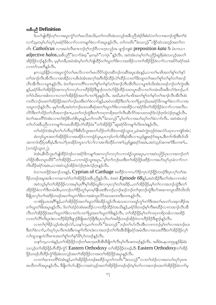# အနီပညီ Definition

—<br>ဒ်ပဟ်ဖျထိဉ်တ့<sup>၎</sup>လၢအပူၤကွံာ်တ<sup>ု</sup>မၤလိအသိႏႇတၫ်ကတိၤခဲးသလ္ဉ်အခ်ီပညီအဲဉ်ဒိးစံးဝဲ**:**တ႑်လၢအဘဉ်ထွဲဒီးတ႑်ခဲ လၫာ်;မ့တမ့်၊ဟာ်ဃုာ်ပှၤခရံာ်ဖိခဲလ႑ာ်လ႑ကမျ႑ာ်ခဲလ႑ာ်အပူၤန္ဉာ်လီၤ တ႑်ကတိၤ်ံခဲးသလ္ဉာိႆကျိာ်ထံလးတ္ဉ်အတ႑်က တိၤ Catholicus လၢအဟဲလီၤစπဘဉ်ဂ့ါဘဉ်ဝီလၢဟ္ၤလ့ဉ်အ ဖျာဉ်ဘျးစဲ preposition kata ဒီး မံၤကယ႑ adjective halos,အခ်ီဟုပ္လိ"ခဲလၫာ်ခဲဆ့"မှတမ့<sup>ရ</sup>"လၫပုံ၊ "နဉ်လီၤ. အဝဲအံၤတမ့္ပ်တ႑်ပညိဉ်ဆူရြဲမဲခဲးသလ္၄်အတ႑် -<br>အိဉ်ဖိုဉ်ဘဉ်နဉ်လီၤႉ မ့မ့ၢ်တခ်ိဳႇအဝဲအံၤမ့ၢ်တၫ်ဟ်ဖျ်ထိဉ်တၫ်ဃူတၫ်ဖိးလၢအအိဉ်လၢတၫ်အိဉ်ဖိုဉ်ခဲလၫာ်လၢအပိဉ်ခရံဉ်အခံ လၢတ႑်သးတိန္ ဉ်လီၤ.

နကသ့ဉ်နိဉ်လၢအပူၤကွံာ်တၢိမၤလိလၢတၢ်မၤလိပိာ်ထွဲတဆိဘဉ်တဆိအပူၤအံၤန္ဉာ်ႇလၢတၢ်မၢဖိအတၢ်စူၢ်တၢ်နှာ် တၫ်အၫဉ်လီၤအီလီၤလၢအအိဉ်လၢပစိၤခဲအံၤအက့ၢ်အဂီၤဒိဉ်ထိဉ်လဲၫ်ထိဉ်လၢတၫ်ဒိးဘျာတၫ်အတ႑်စူၫ်တ႑်နှာ်တ႑်အ႑ဉ် လီၤအီလီၤလၢပျπန္ဉ $\beta$ လီၤႉ ဖဲတౕၢဆၢကတိၲၢလၢတၢိစူၫ်တ႑်နာဴတ႑်အ႑ာဴလီၤအီလီၤလၢပျπဒ်သိးအံၤတဖဉ်ဘဉ်တ႑်ကွဲးအီၤ န**ှ**်ာ့ခရံာ်<sup>8</sup>တၫ်အိဉ်ဖြဉ်အကလှာ်ကလှာ်လၢဟိဉ်<sup>8</sup>ဉ်<sup>8</sup>ဖျာဉ်တဟဲဟ်ဖှိဉ်ထိဉ်သးတပူ၊ဃီလၢတၢ်တမံၤဃီအဖိလာ်ဒံးဘဉ်္ တၫ်ဝံယိးဃၢအါတလၢလၢတၫ်အိဉ်ဖိုဉ်အတ႑်ပၢတ႑်ပြးနှဉ်လီၤ. အဃိ,ဖဲတ႑်မၫဖိအတ႑်စူၫ်တ႑်နှဉ်တ႑်အၫဉ်လီၤအီလီၤစံး ကတိၤဘဉ်ဃးတၫ်အိဉ်ဖိုဉ်အတၫ်ဘဉ်ဃးဒီးတၫ်ခဲလၫာ်နှဉ်,အဝဲတအိဉ်ဒီးတၫ်ပၢတၢ်ပြးဘဉ်ဃးခရံာ်ဖိကမျၫာ်ခဲလၫာ်လၢအ သးပူးဘဉ်နဉ်လီး. မ့မ့်္ဂတခ်ိဳႇအဝဲတဲဘဉ်ဃးသးစိဆုံအတၤ်ဃူတၤ်ဖိးလၤအအိဉ်လၢခရံာ်ဖိတၤ်အိဉ်ဖိုဉ်ခဲလၢာ်လၤအလီၤပ လိ5်ဒီးတၫ်သိဉ်တၫ်သိအဘၫဉ်စπ ,ပတၫ်ဘဉ်ထွဲဒီးတၫ်ကရၫက်ရိအတၫ်လီၤဆီလိ5်အသးတဖဉ်ဒ်လဲဉ်ဂူၤဒ်လဲဉ်ဂူးနဉ်လီၤ ဖဲတౕာအပတိႝၤ်ဝဲအံၤလၢတၤ်စံဉ်စိၤတဲစိၤပူၤန္ဉ9ဲႇတၤ်ကတိၤ်ံခဲးသလ္ဉ်ိဳမ့ၤ်တၤ်လၢအပာ်ဃှာ်တၤ်ခဲလၢာ်လီၤႉ အဝဲအံၤဘဉ် တၫ်ဟ်အခီပညီလၫကမျၫ်ကမၤထိထိဉ်လဲၫ်ထိဉ်မံၤ်ဴတၫ်အိဉ်ဖိုဉ်ႛႛဆူခရံာ်ဖိကမျၫ်ကိးကဒဲးန္ဉာ်လီၤႉ

တၫ်ထံဉ်ဝဲအံၤမ္နှုတ႑်ဟ်တိဃှာ်ဒီးစီးပိလူးအတ႑်သိဉ်တ႑်သိဖဲ့ဝကရံဉ်သူး၁း၂,ဖဲအဝဲကွဲးဟူဉ်ဝဲအလံဉ်ပရၫလၫကျဲဒ်အံၤ: စံးဘဉ်ယွၤအတၫ်အိဉ်ဖိုဉ်လၢအအိဉ်လၢကရုံဉ်သူး,ပုၤဘဉ်တ႑်ဟစိဆုံအီၤလၢယူဉ်ရှူးခရံဉ်အပူၤ,ဒီးတ႑်ကိုးအီၤဒ်သိုး အကကဲထိဉ်ပုံ၊စီဆုံ,ဒီးကယဲ`ါပု၊အိဉ်တပူ၊လ`ါလ ်ါလ ၊အကိုးထိဉ်ပကစ`ါယှဉ်ရှူးခရံဉ်အမီ၊,အဝဲသူဉ်အကစ`ါဒီးပကစ`ါ… (၁ကရံဉ်သူး၁း၂).

ဖဲအံၤႇစီၤ၀ီလူးဟ်ဖျါထိဉ်ဝဲဒဉ်လၢခရံာ်ဖိကမျၫ်အကလုာ်ကလုာ်လၢကရံဉ်သူးအပူၤႇလၢအဝဲပညိဉ်ပှၤလၢအဘဉ်တ႑် ဟ်ဖိုဉ်အီၤတပူၤဃိဒ််ံတၫ်အိဉ်ဖိုဉ်…လၢကရံဉ်သူးအပူ၊ႇိမ့်ၫ်တၫ်ဘဉ်ဃးဒီးတၫ်အိဉ်ဖိုဉ်ဖးဒိဉ်လၢအဟ်ဃှာ်ပုၤခဲလၢာ်လၢ ကိုးထိဉ်ခရံဉ်အမံၤႇလၢအဝဲသူဉ်အိဉ်ဖဲလဲဉ်ဂူၤဖဲလဲဉ်ဂူၤန္ဉာလီၤ.

ဖဲသာယာဖြဉ်အခၢဉ်သးနှဉ်, Cyprian of Carthage စးထိဉ်လၢကဟာ်ဒိဉ်ကူးဘံဉ်ရှိဉ်တဖဉ်ဒီးပုၤလှါတ<sup>ျ</sup>အ ဒိဉ်တဖဉ်အမှုအဒါလၫကဆ႑တဲာ်တၫ်အိဉ်ဖိုဉ်အခီပညိန္နဉ်လီၤ. ဖဲအဝဲ  $Episode$   $68$ န္ဉ $\hat{}$ ,အဝဲအိဉ်ဒီးတၫ်အံၤလ႑ကစံး $\colon$ 

အဝဲသူဉ်မှၤ်တၤ်အိဉ်ဖိုဉ်လၢအမှၤ်ပုၤဂိၢ်မှၤ်အိဉ်ဃူဖိးလၢပုၤလှၤ်တၤ်အဒိဉ်…တၤ်အိဉ်ဖိုဉ်,မှၤ်တၤ်လၢအဘဉ်ထွဲဒီးတၤ် အိဉ်ဖိုဉ်ခဲလ<sup>ှ</sup>ာ်ဒီးတမံ၊ ဖို့၊ တဘဉ်တ<sup>ရာ</sup>ခိုတုဉ်မှတမှ<sup>ရု</sup>နိၤဖးအိၤဘဉ်,ဘဉ်ဆဉ်ဘဉ်တ<sup>ရား</sup>ဘဉ်ထွဲဒီးပာ်အဆၢတပူ၊ ဃီဒ်သိးသိး ခ်ီဖြိုပုၤလှၤ်တၤ်အဒြဉ်တဖဉ်အတၤ်ဃူတၤ်ဖိးလၤအစဲဘူးလိဉ်အသးတဂၤဒီးတဂၤနှဉ်လီၤ.

လၢစဲဖြံယၤအဂ်ိါန္ဉာ်ႇတၫ်အိဉ်ဖိုဉ်အတၫ်ဃူတၫ်ဖိးအိဉ်သူဉ်လီၤအသးလၢသရဉ်ကွၢ်တၫ်ဒီးအတ႑်မၤတ႑်သးခုကစိဉ်အ တၫ်ဃူတၫ်ဖိးအပူၤန္ဉာ်လီၤႉ ဒ်တ႑်ထံဉ်ဝဲအံၤစးထိဉ်လ႑ကဒိဉ်ထိဉ်ဝဲအသိးန္ဉာ်,ခရံာ်ဖိတဖဉ်စ့ၢ်ကိဳးစးထိဉ်လ႑ကအ႑ာလီၤအိ လီၤတၫ်အိဉ်ဖိုဉ်အတၫ်ဃူတၫ်ဖိးလၢတ႑်ပၢတ႑်ပြးအတ႑်ဃူတ႑်ဖိးနှဉ်လီၤ. တ႑်အိဉ်ဖိုဉ်မှၤ်တ႑်ကရ႑ကရိတခါလ႑အအိဉ် လၢတၫ်လိႝၫကိႏပူၤဒဲးလၢဟိဉ်<sup>႙ွ</sup>ဉ်ဒီဖျၫဉ်ခီဖျိအဘံဉ်ရိုးဒီးပုၤလှၤ်တၤ်အဒိဉ်တဖဉ်အိဉ်ဝဲလၢဟိဉ်ခိဉ်ဒီဖျၫဉ်နှဉ်လီၤ

လၢတၫ်ဂု<sup>ရွ</sup>ဉ်သှဉ်အံၤဒဉ်လဲ9်,သန5်က့,တ<sup>ြ</sup>ကတိၤ<sup>"</sup>ခဲးသလ့ဉ်"ဘဉ်တ<sup>ျ</sup>ဟ်လီၤအီၤလၢကဘဉ်မှ<sup>ြ</sup>တၫ်လၢအဘဉ်ဃး ဒီးတၫ်ခဲလၫာ်ႇပာ်ဃှာ်ပုၤကိးကဒဲးဒီးကမျၫ်ကိုးကဒဲးလၢအဘဉ်တၫ်ကိုးအီၤဒီဖျိုခရံာ်အမံၤဒီးလၢအသးတိဒီးတၫ်အိဉ်ဖိုဉ်လှ႑် လၫ်ထူသနူဟဲလီၤစπအတၫ်စူၫ်တၫ်နဉ်မိ႑်ပုၫ်တဖဉ်နဉ်လီၤ.

သန>်က့ႇလၢခံနဉ်ႇတၫ်အိဉ်ဖိုဉ်ဘဉ်တၫ်မၤက့မၤခီအိၤခီဖျိတၫ်လီၤမှၢ်လီၤဖးတဖဉ်နဉ်လီၤႉ အဒိဖဲခႉနႇ၁၀၅၄နဉ်ရိမဲခဲး သလ္နဉ်တၫ်အိဉ်ဖိုဉ်ဟီထိဉ်ကွဲဉ် Eastern Orthodoxy တၫ်အိဉ်ဖိုဉ်တဖဉ်, ဒီး Eastern Orthodoxyတ႑်အိဉ် ဖိုဉ်တဖဉ်ဟိထိဉ်ကွံာ်ရိမဲခဲးသလ့ဉ်အတၫ်အိဉ်ဖိုဉ်လၢအတၫ်အိဉ်ဖိုဉ်အပူၤန္ဉာလီၤ.

လၫတၫ်ဆၫကတိႝၫ်ဝဲအံၤန္၌ တ႑်အိဉ်ဖိုဉ်တဖဉ်စးထိဉ်သူတ႑်ကတိၤ်ာ်းသလ္ဉ်ိံလ႑တ႑်ထံဉ်လ႑အတပာ်ဃုာ်ပုၤဂၤ အသီတဘိအပူးနှဉ်လီး နီဖြိုတ်၊ပဉ်ပနီဉ်လျှအဝဲသွဉ်အတျ်အိဉ်ဖိုဉ်တဖဉ်ဒဉ်ဝဲမှု၊်တ႑်လျှအဘဉ်ဃးတ႑်အိဉ်ဖိုဉ်ခဲ့လျှာမှ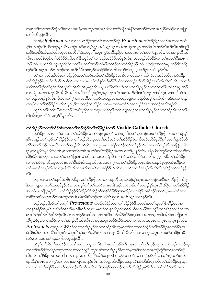တမ့်္ဂတ႑်လ႑အဘဉ်ထွဲတ႑်ခဲလ႑ာ်အဃိႇတခါဘဉ်တခါအဲဉ်ဒိုးလ႑ပဟ်ပနိဉ်အနို်ကစ႑်ဒဉ်ဝဲဒ်တ႑်အိဉ်ဖိုဉ်တဖဉ်လ႑အပြ႑ တSဒီးအီၤန္Sလီၤ.

လၢခံ,ဖဲ $Reformation$  လၢ၁၆ယၤဖိုဉ်အတ<sup>ု</sup>ဂဲၤဆၤထၢဉ်နှဉ်, $Protestant$  တၫ်အိဉ်ဖိုဉ်တဖဉ်အါကတ႑်ဟံး-နှ်တ်လိုည်လို၊ဆီတဖဉ်နဉ်လို၊ တဉ်ဃးဒီးတၢ်ဂ့ၢ်နှဉ်,အဝဲသွဉ်ကူၤကဒါကူးဆူတၢ်စူၢ်တၢ်နှာ်တၢ်အၢဉ်လီၤအီလီၤအခ်ီပညီ အခိဉ်ထံးခိဉ်ဘိႇပတံထိဉ်ဆူတၫ်ကတိၤ "ခဲးသလ့ဉ်"အပူၤက္ငံဉ်အခ်ိပညီလၢအဘဉ်ဃးတၫ်ခဲလၢာ်နှဉ်လိၤႉ တၫ်အၢဉ်လီၤအိ လီၤလၢလံာ်စီဆုံဒီးတၫ်အိဉ်ဖိုဉ်ခံခါလၫာ်နီၤဟုဉ်တ႑်လၢခရံာ်အခိဉ်ဖီလာ်နဉ်လီၤႉ အဝဲသုဉ်ဟ်ပနိဉ်လၢတ႑်ဃူတ႑်ဖိုးအံၤက ဘဉ်တၫ်ပπဃာ်အီၤတုၤဒဉ်လဲာ်လၢတၫ်မၤသကိႏဃုာ်တ႑်မှုာ်တအိဉ်လၢတ႑်အိဉ်ဖိုဉ်တ႑်ပၢတ႑်ပြးအကဝိၤပူၤဘဉ်ဒီးတ႑်နီၤ ဟ့ဉ်လီၤအဂ္ဂၤတဖဉ်လၢဘဉ်တၫ်မၤအီၤခီဖျိအဝဲသ့ဉ်အခရံာ်ဖိတၫ်ဘါကလှာ်ကလှာ်မှတအိဉ်ဒဉ်လဲာ်နဉ်လီၤ.

တၫ်အၫဉ်လီၤအီလီၤတၫ်အိဉ်ဖိုဉ်အတ႑်ဘဉ်ဃးဒီးတ႑်အိဉ်ဖိုဉ်ခဲလ႑ာ်လ႑ပစိၤဆ႑ကတိႝၤ်ခဲအံၤအခ်ဳပညီတ႑်ဟ်ပနိဉ် တၫ်အိဉ်ဖှိဉ်ခဲလၫာ်တၫ်ဟ်တီဟ်လိၤလၢအပπဃာ်တၫ်စူၫ်တၫ်နှာ်မိ၊်ပှၢ်လၢအဘဉ်တၫ်ဟ်ပနိဉ်အၫဉ်လီၤအီလီၤအီၤလၢတ႑် မၢဖိအတၫ်စူၫ်တ႑်နှာ်တ႑်အ႑ာ်လီၤအိလီၤအပူၤန္နာ်လီၤႉ ပုၤခရံာ်ဖိက်းကဒဲးလၤတ႑်အိဉ်ဖိုဉ်လၤတ႑်သးတိခဲလၤာ်အပူၤအိဉ် လၢခရံာ်အတၫ်အၫဉ်လီၤအိလီၤအခိဉ်အဖိလာ်ဒီးပုၤစူၫ်က္ၤနာ်က္ၤတၫ်အမှၤ်အတိကိႏၵၤဒဲးဘဉ်တ႑်ဆိဉ်ဂ္ၤလ႑သးစိဆုံအ တၫ်ဟ္ဥာ်တဖဉ်နှဉ်လီၤ. ဒီးလၢတၫ်ဂ့ၫ်အံၤအဃိႇပကဘဉ်သးဆူဉ်လၢကဘဉ်ဘူူးလၢခရံှာ်ဖိအမှၤ်အတိကိႏၵၤဒဲးအတ႑်ဟ္ဥာ် တဖဉ်လၢတၫ်အိဉ်ဖိုဉ်အတိကိႏဖုဒဲးႇဒီးပကဘဉ်သးအိဉ်လၢကမၤသဃဲၤတၫ်ဒီးအဝဲသုဉ်ဒ်အသ့အဘဉ်အသိးနဉ်လီၤႉ

ၰာ်ဒီးတၫ်ကတိၤ "်ခဲးသလ္ဉ်"အခ်ီပညီလၢပသးပူၤႇပကကွၤ်သကိႏကျဲတဖဉ်လၢတၫ်အိဉ်ဖှိဉ်လၢတၫ်ထံဉ်အီၤသ့တ႑် ကိုးအီးသွလၢ"ခဲးသလ္နဉ့ိ့နဉ်လီး.

# တၫ်အိဉ်ဖိုဉ်လၫတၫ်ထံဉ်အီၤသ္အာတ႑်ဘဉ်ထွဲဒီးတ႑်အိဉ်ဖိုဉ်ခဲလ႑ာ Visible Catholic Church

ပဟ်ဖိုဉ်ပတ႑်နှၤ်ပ႑ာဘဉ်ဃးတ႑်အိဉ်ဖိုဉ်လ႑အဘဉ်ထွဲတ႑်ခဲလ႑ာ်ဃှာ်ဒီးပတ႑်နှာ်ဘဉ်ဃးတ႑်အိဉ်ဖိုဉ်လ႑တ႑်ထံဉ်နှ႑ အီၤသ့န္5ဲႇပပာ်ဟ္ဥတၫအိဉ်ဖိုဉ်လ႑တ႑်ထံဥအီၤသ္မအတ႑်ဘဉ်ထွဲဒီးတ႑်အိဉ်ဖိုဉ်ခဲလ႑ာအခ်ဳပညီဒ်ပုၤဂိၢမှ႑်အတ႑်ရှလိာမှာ လိ>်အတၫ်ထံဉ်တမံၤဃိလၢတၫ်အၫဉ်လီၤအိလီၤလၢယ္ပၤပူၤလၢခရံာ်အခိဉ်အဖိလာ်နဉ်လိၤႉ လၢတၫ်ထံဉ်အိၤသ္ဖဖြိဖြုဖြုအ ပူး တော်ရူလိ5်မှာ်လိ9်ဝဲအံၤမ့်သးအတၤ်တမံးအါန္းဒီးတၤ်အိဉ်ဖိုဉ်အတၤ်ပၢတၤ်ပြးနှဉ်လီး. ခရံာ်ဖိတၤ်ဘူဉ်တၤ်ဘါကလုာ်တ အိဉ်ဝဲနိတကလှာ်လၢအတ႑်ပၢတ႑်ပြးမၤလဲ႑်ထိဉ်အသးလၢခရံာ်ဖိကမျာ႑်ခဲလၫာ်အဖိခိဉ်ဘဉ်လိၤ. မွမ့္ပ်ာတိဳႇတ႑်အိဉ်ဖိုဉ် လၢတၫ်ထံဉ်နှၤ်အီၤသ့အတၤ်ဃူတၤ်ဖိးအံၤဒိးသန္ၤထိဉ်အသးတၤ်ဂ့ၤ်လၢတၤ်အိဉ်ဖိုဉ်တဖုဘဉ်တဖုဒဉ်ဝဲစုာ်စုာ်အံၤအိဉ်လ႑ တၫ်မၤတၫ်အၫဉ်လီၤလၢယ္ပၤဒ်သိးသိးတဂၤဃိအပူၤဒီးလၢခရံှာ်ဒ်သိးသိးတဂၤဃိအတၫ်အၫဉ်လီၤအိလီၤအခိဉ်အဖိလာ်နှဉ်  $\circ$ 31.

ဘဉ်ဃးလၢတၫ်စံဉ်စိၤတဲစိၤတခ်ိန္ဉာ໋ႇတၫ်အိဉ်ဖိုဉ်လၢတ႑်ထံဉ်အိၤသ္နဃုထံဉ်နှၤ်က္ၤအတ႑်ဘဉ်ဃးဒီးတ႑်အိဉ်ဖိုဉ်ကိႏဖု ဒဲးလၫကျဲအကလှာ်ကလှာ်နှဉ်လိုၤ. လၫလှၤ်လၤ်တၤ်ဟဲလိၤစπတနိၤန္ဉာ်,အဝဲဘဉ်တၤ်ဃုထံဉ်နှၤ်က္ၤအိၤဒီဖျိလ႑တၤ်အိဉ်ဖိုဉ် အတ႑်ပၢတ႑်ပြးနဉ်လီၤႉ တ႑်အိဉ်ဖိုဉ်ဒိဉ်ထိဉ်လဲ႑်ထိဉ်ဝဲဒ်အနိ<sup>႖</sup>ဂံႝနိ<sup>႖</sup>ဒွးအါထိဉ်လၢအနိႝိုကစ႑်ဒဉ်ဝဲအသိး<sub>•</sub>ပုၤမၤတ႑်သးခု ကစိဉ်အသိတဂၤဘဉ်တဂၤဘဉ်တၫ်ဒိးဟ်စုအိၤဒိးဘဉ်တ႑်ဟ်လီၤစုလၢအလိၤသ့ဉ်တဖဉ်နဉ်လီၤႉ

ဘဉ်ဆဉ်အါဒဉ်တၫ်တက့ౕ Protestants တဖဉ်ဟ်ဒိဉ်ဝဲလၢတၫ်အိဉ်ဖိုဉ်ဒီတဖုညါအတၫ်ဃူတၫ်ဖိးအိဉ်ဝဲလၢပ တၫ်နဉ်ခရာ်အပူ၊ဒီးသးစိဆုံအတၫ်မၤအါန႑်းသျပုပျပာတ႑်သးခုကစိဉ်လၢအဒိုးပဉ်စုတဖဉ်ဒီးပုၤလုပ်တ႑်အဒိဉ်တဖဉ်လၢအ မၤတၫ်ကဲထိဉ်လိဉ်ထိဉ်နဉ်လီၤ. လၢတ႑်နှဉ်အဃိ,ကမျาၫ်အသိတဖဉ်အိဉ်ထိဉ်ဝဲသွဖဲသးအတ႑်ဃူတ႑်ဖိုးအိဉ်ဝဲတဘိုဂူၤတ ဘိုဂ္ဂာ ,ဖဲပှာလာအအိဉ်လာတ်အာဉ်လီာအီာလီာလာယွာအပူာဟ်ဖှိဉ်ထိဉ်သးလာခရံာ်အမံာအပူာတပူာဂ္ဂာတပူာဂ္ဂာနဉ်လီာ .  $\mathit{Protestants}$  တဖဉ်ဟ်ဖျါထိဉ်ဝဲလၢတၫ်အိဉ်ဖိုဉ်လၢတၫ်ထံဉ်အီၤသ့မ့ၢ်တၫ်လၢအဘဉ်ထွဲဒီးတၫ်အိဉ်ဖိုဉ်ခဲလၫာ်ခ်ီဖျိအ ဝဲအိဉ်ဆိုးလၫတၫ်လိြကိုးပူးဒဲးလ႑ပု၊ ဂိြမှ တဖဉ်အိဉ်လ႑တ႑်အ႑ာလို၊ အိုလီ၊ လိ်ာသုံးလ႑ယ္မွာ အပူး ,လ႑ခရံာအခြံအခိ လာ်,လၫသးအတၫ်ဃူတၫိဖိးအပူၤန္ဉာလီၤ.

ညီနှ်တဉ်ကိုတဉ်ခဲ့အဒြဉ်ကတဉ်တမံၤလာပုၤခရံဉ်ဖိအါကထံဉ်ဘဉ်ဝဲမှာ်တနံၤအံၤမ့ှ်တှင်သွဉ်ညါလာအဝဲသွဉ်ကဘဉ်ဃု ထၢတၫ်အိဉ်ဖိုဉ်ဒ်လဲဉ်တဖုဒ်တၫ်လၢအဘဉ်ထွဲဒီးဘဉ်ဃးဒီးတၫ်အိဉ်ဖိုဉ်ခဲလၢာ်မှတမှၢ်တၫ်လၢအဘဉ်ထွဲဒီးတၫ်ခဲလၢာ်နှဉ် လီၤ. လၢဟိဉ်ခိဉ်တကပၤအါကတ႑)နှဉ်,တ႑်အိဉ်ဖိုဉ်အိဉ်ဝဲဒဉ်အါကလုဉ်လၢအစီးလၢအမှ္ပါခရံှာ်ဖိလၢအမံၤဂ္ဂၤသဉ်ဂ္ဂၤတ ဖဉ်ညီနု်လဲၤတလၢကွံာ်တၫ်အခၢးအကျါတမံၤန္ဉာ်လီၤ. အဝဲသ့ဉ်အိးထိဉ်အစုဒုဉ်လဲြကဲးဆိးဒီးတူ်၊လိာ်တၫ်အိဉ်ဖိုဉ်မနုၤဂ္၊ လၫအစံးအမှ1်ခရာ်၆,မှတမှ1်အဝဲသုဉ်တြိဃာ်ပုၤကိႏၵၤဒဲးအါန္1်အဝဲသုဉ်အတ1်ဟ်ပနိဉ်ပုၤဂိၢမှ1်မှတမှ1်ခရာ်ဖိတ1်ဘါတ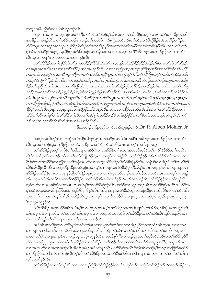ကလုာ်အခ်ဳပညီဆံးကိ9်ဖိအံၤန္ ဉ်ဘဉ်လီၤ.

<sub>.</sub><br>ကျဲလၢအမၤစπပုၤသ့ဘဉ်ဃးတ<sup>၎</sup>ကိတ<sup>ြ</sup>ခဲ့အာတက်ထံဉ်နှၤ်အီၤသ့လၢတၤ်အိဉ်ဖိုဉ်အလှၤ်လၤ်စπသွဲဉ်တၤ်သိဉ်တၤ်သီ အပနိဉ်သၢခါနဉ်လီၤႉတ်ြပနိဉ်တဖဉ်အံၤဘဉ်တ႑်ကတဲဉ်ကတိၤကွဲးကတိၤလီၤတံၤ်လီၤဆဲးခ်ီဖိုက္ခ်ိနိဉ်ဖဲ၁၆ယၤဖိုဉ်စက်ိဉ်တ လဲဉ်အပူ၊ ဘဉ်ဆဉ်အဝဲသွဉ်ပာ်ဖျံထိဉ်ဖြိထဲဉ်စတဲးတၫ်အိဉ်ဖိုဉ်အမြးအတ႑်ဆိကမိဉ်လ႑အဝဲအစိုးနှဉ်လီး တဉ်ဃးဒီးတ႑် ဂ့<sup>ရ</sup>အံၤႇတ<sup>ရ</sup>ပနိ5ိတဖဉ်ဒုးသ့ထိဉ်ပုၤခရံာ်ဖိတဖဉ်လၢကနိၤဖးကမျၫ်လၢအမှ်<sup>ရ</sup>အတိနိ<sup>ု</sup>နိ<sup>ု</sup>ဘဉ်ဃးတ<sup>ရ်</sup>အိဉ်ဖိုဉ်လၢတ<sup>ရ</sup>ထံဉ် အီၤသ့လၢကမျၫ်လၢအပာ်မၤသးတဖဉ်နဉ်လီၤ.

တ႑်အိဉ်ဖိုဉ်အတ႑်ပန္နီဉ်မှု က႑်လ 1အလိဉ်နို ၊နို ၊်ဒ်သိုးတ႑်ကဃုထံဉ်တ႑်အိဉ်ဖိုဉ်အိဉ်ဖဲလဲဉ်, ခ်ီဖျိလ 1တ ၊မှ ၊်တ႑်တိန္နဉ်, တ႑်မနုၤဂူးကိုးလီးအသးလ 1တ႑်အိဉ်ဖိုဉ်သူဝဲအဃိန္နဉ်လီး .လ 1တ႑်ပညိဉ်ဘဉ်ဃးယွၤဂူးဝိည္ပါတ႑်ဆ႑ကတိၱလဲလိဉ်ဖူးဒိုဉ ကတုၤလီၤႇဒ်အမှ္ပါတ ါမၤသိမၤဂ္ဂၤထိဉ်က္႑တ ါလ 1၁၆ယၤဗိုဉ်နှဉ်ႇတ ါသံကွ ါမ့ ါဝဲ, "တ ါအိဉ်ဗိုဉ်အမူ ါအတိတ ါထံဉ်န္ ါအီၤ ကသ္ဝဲဖဲလဲဉ်? "နဉ်လီး. ဒီးလၢတၫ်ဒ်အံၤအဃိပုၤမၤသိမၤဂူၤထိဉ်က္ၤတ႑်တဖဉ်,အဒိ,ဟ်ပနိဉ်ဝဲတ႑်ပနိဉ်ဘဉ်ဃးတ႑်အိဉ် ဖြဉ်အခ်ဳပညီလီၤတႆၤလိၤဆဲးကတ႑ၢိဒိဖျိစံးဝဲ, ''ဂ္ဂၤလံအဝဲအံၤတမ္ ၊်တ႑်ပနိုဉ်ဖျါလ ၊ခိမဲဉ်ညါတဉ်နဉ်လီၤ. အဝဲအံၤတမ္ ၊်တ႑်ဃု သူဉ်ညါမၤလိတ႑်သူတဲ့ထိဉ်သူဉ်ထိဉ်ဟိဉ်ဃိတ႑်သူဉ်ထိဉ်အဂ္ဂါဘဉ်လီၤ. အဝဲအံၤမ္နါဂူၤတမ္နါဂူၤ,အဆိကတ႑ါ,တ႑်စ္နံဉ်တဲၤ တဲလီးယွၤအကလုၫကထါအိုဉ်ဝဲနဉ်လီး. " ဖဲတၫ်စံှဉ်တဲၤတဲလီးယွၤအကလုၫကထါအမှၫအတိအိဉ်ဝဲတပူၤဂ္ဂၤတပူၤဂ္ဂၤနှဉ်, တၫ်အိဉ်ဖိုဉ်အိဉ်ဝဲန္နဉ်လီး. ဖဲတၫ်စဉ်ညီဉ်တိဉ်ပာ်တဖဉ်,တၫ်ဘူဉ်တၫ်ဘါအလုၤ်လၤ်တဖဉ်,ဘဉ်တ႑်ထံဉ်လၤအမၤတ႑်သးခုက စိဉ်မှုဖု)တိတိတပူးဂူးတပူးဂူးနှဉ်,တ႑်အိဉ်ဖိုဉ်အိဉ်ဝဲနဉ်လီး. လၢခံတ႑်ပနိဉ်ပာဴဃုာ်,လီးဆီဒဉ်တ႑်,တ႑်အိဉ်ဖိုဉ်အတ႑် သိုက် ကြီး-တ႑်နှ႑်ပ႑်တ႑်သိုက် ကြွန်သတ္ဌပန္ဒိဉ်မှုကအိဉ်ဘဉ်ဒီးတ႑်အိဉ်ဖိုဉ်အတ႑်စီတ႑်ဆုံအံၤဘဉ်တ႑်ဟူဉ်လီၤက္ဂံဉ် အီၤဘဉ်ဃးအတ႑်တိတ႑်လိၤဒီးအတ႑်မ္ ၂တ႑နဉ်လိၤ.

ဒီးကထၫဉ်အါရ်အဲလ်ဘၫးမိလ႑ဉ်ကျှုနံဉ်ယ႑ဉ် Dr. R. Albert Mohler, Jr

မ်ပက္ဂ<sup>ရ</sup>သကိုးလှ<sup>ရ</sup>လ<sup>ရ</sup>စπသွဲဉ်တ<sup>ရ</sup>သိဉ်လိနဲဉ်ယုၤအတ<sup>ရ</sup>ပနိဉ်သၢခါအံၤတခါတံတခါဘဉ်ဃးတ<sup>ရ</sup>အိဉ်ဖိုဉ်လၢတ<sup>ရ</sup>ထံဉ် အီးသ့အတၫ်ဘဉ်ထွဲတၫ်အိဉ်ဖိုဉ်ခဲလၫာ်, စူးထိဉ်လၫတၫ်စံဉ်တဲၤတဲလီၤယွၤအကလုၤ်ကထါနှဉ်တက္ု၊.

တၫ်အိဉ်ဖိုဉ်မှတမှ ်ာရော်ဖိတၫ်ဘါကရၢတအိဉ်ဝဲလၢအအိဉ်ဒီးတၫ်စံးလၢအတပာ်ဃှာ်ဒီးတ႑်စုလိ််၊ခ်ိဉ်နိဉ်,တ႑်ကတိၤ ကျိ5်ထံတ1်,တ1်ပတံထိဉ်တ1်မှတမ့်1်တ1်တဲဖျါထိဉ်ယွာအကလု1်ကထါနှဉ်လီာ. တ1်အိဉ်ဖိုဉ်တနိၤဒီးခရံာ်ဖိတ1်ဘါကရာတ နိုးစံးဝဲလၢအအိဉ်ဒီးတၢ်တြိဃာ်တၫ်အခွဲးအယာ်လၢကကျိာ်ထံဒီးသိဉ်လိလံာ်စီဆုံနှဉ်လီၤ. တနိၤစံးလၢအိဉ်ဒီးတၫ်နှၤ်ပၫ်ဂွၤ် .<br>ထိဉ်အါထိဉ်လီၤဆီလၫအဒုံးအိဉ်ထိဉ်အဝဲသွဉ်အတ<sup>ု</sup>နှၤ်ပၢၢ်ဘဉ်ဃးလံာ်စီဆုံမ့<sup>ှ</sup>တိအါနှၤ်ပုၤကတဖဉ်နဉ်လီၤႉ ဘဉ်ဆဉ်တၤ် အိဉ်ဖှိဉ်တအိဉ်နီတဖုလၫအဒုးနဲဉ်ဖျံတၫ်ပနိဉ်မနုၤဂ္ဂၤမးလၫလၫပှဲၤပှဲၤဘဉ်•ဘဉ်ဃးတၫ်စံဉ်တဲၤတဲလီၤယွၤအကလုၤ်ကထါနှဉ် လီၤႉ ယွာဟ့ဉ်လီၤလံာ်စီဆုံဆူတၫ်အိဉ်ဖိုဉ်လၢတၫ်ထံဉ်အီၤသ့ခဲလၫာ်နှဉ်လီၤႉ ဒီးအဝဲဟ့ဉ်လီၤတၫ်အိဉ်ဖိုဉ်လၢတၫ်ထံဉ်အီၤ သ့ခဲလၫာ်လၢအသးစိဆုံလၢကမၤစπပတၫ်နှၤ်ပၫ်လံာ်စီဆုံနည်လိၤႉ ပထံဉ်တၫ်သွဉ်တဖဉ်အံၤလၢလံာစိဆုံအတိၤတဖဉ်ဒ်အ မ့်ၫ၁တံၤမသူး၃း၁၅ ဒီးဇူးဘြိ၄း၁၁–၁၃ဒီး၆း၄–၆နဉ်လီၤ. အါန1်အနဉ် လံာ်စီဆုံဟှဉ်သဆဉ်ထိဉ်တ1်အိဉ်ဖိုဉ်လ႑တ1်ထံဉ်အီၤ သခဲလၫာ်လၫကၒး ကန1်ပ႑်၊ ဒီးကသိဉ်လိယ္ပၤအကလုၤ်ကထါ ဒ်ပထံဉ်ဖဲမႈသဲ ၂၈း၂၀, ၁တံၤမသူး၄း၁၇, ဒီး၂တံၤမသူး၂း၁၅ ဒီး၃း၁၄–၁၇နဉ်လီၤ.

တၫ်အိဉ်ဖိုဉ်အတၫ်ပနိုဉ်ခံမံၤတမံၤမ္ါတ႑်ပၢဆုၢတ႑်အမ္<code>ণြအတိဘဉ်ဃးတ</code>်ဒိုးဘျာဒီးတ႑်အိဉ်ဘူဉ်စီဆုံအတ႑်ဘူဉ်တ႑် ဘါအလှၤ်အလၤ်န္5်လီၤ. တၤ်ဘူဉ်တၤ်ဘါအလှၤ်အလၤ်တဖဉ်အံၤဘဉ်ထွဲဒီးတၤ်အိဉ်ဖိုဉ်လၤတၤ်ထံဉ်အီၤသ္ဒဒီတဖုညါတမ့ၤ် ထဲလၢတၫ်ဘူဉ်တၫ်ဘါကၡာတဖုမ့တမ့ၢ်အဂၤတဖုဘဉ်လီၤ.

အဝဲအိၤမ္ ါတ ်ခွဲးတ ်ယာ်ဒီးမှုဒါတ ်ဖီးတ ်မၤလၤကမျာ ်ကိုးကဒဲးလၤတ ်အိဉ်ဖိုဉ်လၤတ ်ထံဉ်အိၤသ္စအပူၤလၤကမၤ တၫ်ဘူဉ်တၫ်ဘါအလု<sup>ရ်</sup>လၫ်ဒ်လံဉ်စိဆုံအကျဲအသိးနှဉ်လီၤ. ပထံဉ်တၫ်အံၤလၢတၫ်မၢလိၤတၫ်ဖးဒိဉ်အတ႑်မၤလိဉ်အပူၤလ႑ ကဘျာတာဖြဲမႈသဲ၂၈း၁၉ ဒီးဖဲ၁ကရံဉ်သူး၁း၁၃–၁၇နှဉ်လီး ပထံဉ်စ့ၢ်ကီးလာယူဉ်ရူးအတ႑်သူဉ်လီးဘဉ်ဃးတၫ်အိဉ်ဘူဉ်စီ ဆုံဖဲလူၤကဉ်၂၂း၁၅–၂၀ဖဲကစၫ်ဟ်ဖျါထိဉ်ဝဲလၢတၫ်အိဉ်ဟါတၫ်အိဉ်မှၫ်လၢအဝဲအဘိအမှၫ်ဒိတခါညါအဂိ်ၫ,လၢပုၤက်းဂၤဒဲး လၢအဟ်ဃှာ်လၢအတၫ်အၫဉ်လီၤအိလီၤအခိဉ်အဖိလာ်နှဉ်လီၤႉ လံာ်စီဆုံအတိၤဒ်သိးအံၤတဖဉ်မ့ၢ်တၫ်ဂ္ၤလၢဖြတဲးစတဲဉ် တၫ်အိဉ်ဖိုဉ်အအါကတ႑ာအာဉ်လီၤတူၫ်လိဉ်တ႑်အိဉ်ဖိုဉ်အဂၤတဖဉ်ဒီးခရံှာ်ဖိတ႑်ဘါကရၢအဂၤတဖဉ်အတ႑်ဘူဉ်တ႑်ဘါအ လှၤ်အလၤ်နဉ်လီၤ.

တၫ်အိဉ်ဖိုဉ်လၢတၢ်ထံဉ်အီၤသ့လၢအဘဉ်ထွဲဒီးတၫ်အိဉ်ဖိုဉ်ခဲလၢာ်အလှၤ်လၢ်စπသွဲဉ်တၫ်သိဉ်တ႑်သိအတ႑်ပနိဉ်သ႑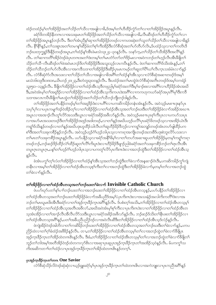ထံဉ်တထံဉ်မ့ှ်တ႑်အိဉ်ဖိုဉ်အတ႑်သိဉ်တ႑်သိလ႑အဖျါလ႑ခ်ိႇဒ်အမှ့်က႑်ဟိထိဉ်ကွံဉ်တ႑်လ႑တ႑်အိဉ်ဖိုဉ်အပူၤန္ဉာလိုၤ ခရံှာ်ဖိတအိဉ်နိုတကလၢအသးခုမၤတၫ်အိဉ်ဖိုဉ်အတ႑်သိဉ်တ႑်သိလၢအဖျါလၢခိႇလိၤဆီဒဉ်တ႑်ဟိထိဉ်ကွိုာ်တ႑်လၤ တၫ်အိဉ်ဖိုဉ်အပူၤန္နဉ်ဘဉ်လီၤႉ ဒီးတၫ်အံၤညီနှၤ်ဆု၊တၫ်အိဉ်ဖိုဉ်တဖဉ်လၢကဟးဆုံးတ႑်သူတ႑်သိဉ်တ႑်သိလၢအဖျါလၢခိန္ဉဉ် လီၤႉ နိ<sup>ု</sup>နိ<sup>ု</sup>နဉ်ႇတၫ်သးစူၤအတၫ်တမၢန္<sup>႖</sup>ဆိဉ်ခံတၫ်စ့ၫ်ကီးအိဉ်ဒီးလံာ်စီဆုံအတ႑်ဟ်တီဟ်လိၤႇဒ်ပထံဉ်သ့လၢတ႑်ကတိၤဒိ ဘဉ်ဃးဘုက္ဂူဉ်ဒီးနိုဉ်တဖဉ်အပူၤႇတၫ်ထံဉ်နှၤ်အီၤဖဲမးသဲ၁၃း၂၄–၃၀နှဉ်လီၤႉ သနာ်က့ႇတ႑်သိဉ်တ႑်သိအိဉ်ဒီးအလိ႑နှဉ် လီၤ. တၫ်ဆၢကတိႝၫအိဉ်ဝဲဒဉ်ဖဲပုၤတဂၤအတ႑်ဒဲးဘးမ့ၢ်တ႑်မၤတံာ်တာ်တ႑်ဒိဉ်မးလၢအဝဲကဘဉ်တ႑်ဟ္ဥာ်လီၤအီၤခီဖျိတ႑် သိဉ်တ႑်သီ–လီၤဆီဒဉ်တ႑်ဖဲအဝဲမၤဘဉ်ဒိတ႑်အိဉ်ဖိုဉ်ဒီးအသူးသူဉ်လၤကပီၤန္ဉာ်လီၤ. ဖဲတ႑်ဆၢကတိႝၤ်ဒ်သိးအံၤန္ဉာ်,တ႑် သိဉ်တၫ်သိဘဉ်တၫ်ဟ်လီၤအိၤလၢအကဒိသဒၢတၫ်အိဉ်ဖိုဉ်ဒီးဆိဉ်ပုၤမၤကမဉ်တၫ်ဆူတၫ်ပိႝၤ်ယ႑်လီၤက္ၤသးခံမံၤလၫာ်နှဉ် လီၤ. လံာ်စီဆုံကံလီၤအသးလၢတၫ်သိဉ်တ႑်သိလၢအဖျါလၢခိအဂိ်ါတ႑်ထံဉ်န္ ါအီၤသ္ဇလၢလံာ်စီဆုံအဆၢတဖဉ်ဒ်အမှ ါ မးသဲ၁၆း၁၉ဒီး၁၈း၁၈,ယိၤဟဉ်၂၀း၂၃,ဒီးတံတူး၃း၁၀နဉ်လီၤ. ဒီးပထံဉ်အတၤ်မၤထွဲဖဲလံာ်စိဆုံအတိၤတဖဉ်ဒ်အမှၤ်၁ကရံဉ် သူး၅း၁–၁၃နှဉ်လီၤ. ဒီဖျိတၫ်အိဉ်ဖိုဉ်လၢတၫ်ထံဉ်အီၤသ့ဒီတဖုညါမှၤ်ခရံဉ်အတၤ်ဒီးမှၤ်ခ႑ာ်စးလၢအဂိၤ်လၢဟိဉ်ခိဉ်အံၤအဃိ ဒီး,အဝဲအံၤမ့္ပ်တ္ပါအရုဒ္မိဉ်လ႑တ႑အိဉ်ဖိုဉ်လ႑တ႑်ထံဉ်အီၤသ္စ္မကိႏကပၤဒဲးအဂိၤ်လ႑ကကဟုကယာ်ခရံာ်အပုၤဂိၤ်မှၤ်ဒီးကဒိ သဒၢအလၤကပိၤဒိီဖျိတ်မြာထွဲတ႑်အိဉ်ဖိုဉ်အတ႑်သိဉ်တ႑်သီဘဉ်ဘိုးဘဉ်ဒါနဉ်လိၤ

တၫ်အိဉ်ဖိုဉ်အတၫ်ပနိုဉ်တဖဉ်မှၤ်တၫ်အရှဒိဉ်ဒံးလၢပဂိၢ်လၢပကဆိကမိဉ်တနံၤအံၤန္ဉာလိၤႉ အဝဲသ့ဉ်မၤစ႑ၤဒုးနှာ်ပုၤ သၦၢၲၦၢၳလၢပၦၤကမျၫ်ဒဉ်ဝဲအိဉ်တ့ၢၳလၢတၢ်အိဉ်ဖှိဉ်လၢတၢ်ထံဉ်အီၤသ့အတၢ်ဘဉ်ဃးဒီးတၢ်အိဉ်ဖိုဉ်ခဲလၢာ်အခိဉ်အဃၤာ အပူးလၫအအၫဉ်လီးတူ်၊လိဉ်အသးဒီးယွားလၢခရံှာ်အခိဉ်အဖိလာ်နှဉ်လီး အဝဲသူဉ်မာစπပုာစ့်၊ကီးပုားလၢပကပာ်သးပုာ လၫအဟ်မၤအသးတဖဉ်ဒီးတၫ်အိဉ်ဖိုဉ်အဒုဉ်အဒါတဖဉ်,လၫတၫ်နှဉ်အဃိပဟုဉ်ပလိႝၤ်ပုၤခရံာ်ဖိတဖဉ်သူလၫအအိဉ်ယံၤဒီး ကရှု၊်ဒ်သိးနှဉ်တဖဉ်လၢတၢ်နှဉ်အဃိပဒုးဟူထိဉ်သါလီၤတၢ်ဆူဟိဉ်ခိဉ်ဒိဘ္ဉာလၢကရှု၊်အဘျဉ်တဖဉ်အံၤတဟ်ဖျါထိဉ်ပက စၫိဒီးအတ႑်သးခုကစိဉ်နှဉ်ဘဉ်လီၤ. အဝဲသွဉ်ဟွဉ်ဂံ၂်ဟွဉ်ဘါပုၤသွလၤကၡၢအကျိုၤတဖဉ်အဘးခိဒ်ပဒုးစဲဘူးလိဉ်ပသးလၤ တၫိမၤတၫ်သးခုကစိဉ်အပူၤန္ဉာ်လီၤႉ ပဟ်ပနိုဉ်သဲ့လၢခရာ်အနို<sup>႖ွ</sup>မိမဲ့လၢတၫ်တဟ်အဆၢဆူပတၫ်အိဉ်ဖိုဉ်မဲ့တမ့ၢ်ကရူၢ်ကရၢ တဖဉ်ဘဉ်,ဘဉ်ဆဉ်ဒိဉ်ထိဉ်လဲ်ကြိဉ်ဆူတ်လိ်၊ကိႏပူၤဒဲးလၢဟိဉ်ခိဉ်ဒိဖျာဉ်ညါဖဲခရံာ်အတၤ်သးခုကစိဉ်ဘဉ်တၤ်ရာလီၤအီၤ တပူၤဂၤတပူၤဂၤ ပန<sup>္</sup>ဂတ႑်ဟ္ဥာ်ဂိၢဟ္ဥဘါပှၤသ့လ႑ပကတူ႑လိSပှၤက်းကဒဲးလ႑အဘဉ်ထွဲဒီးတ႑်အိဉ်ဖိုဉ်လ႑တ႑်ထံဉ်အီၤသ့ နဉ်လီး.

ခဲအံၤပက္ဂါတ့ါလံတါအိဉ်ဖိုဉ်လၢတါထံဉ်န္ါအီၤသ့အတါဘဉ်ထွဲဒီးတါခဲလၢာ်အန္**ဆၫ**ဉ်ဝံၤဒီး<sub>•</sub>ပကဆိကမိဉ်ကွါကျဲ တနိုၤလၢအမ့ၢ်တၫ်အိဉ်ဖှိဉ်လၢတၫ်ထံဉ်အီၤတသ့စ့ၢ်ကိဳးတၫ်လၢအဘဉ်ထွဲဒီးတၫ်အိဉ်ဖှိဉ်ခဲလၢာ်မှတမ့ၢ်တၫ်လၢအဘဉ်ထွဲ တ႑်ခဲလ႑ာနေ့ဉ်လီး.

# တ<sup>ှ</sup>အိဉ်ဖိုဉ်လၫတ<sup>ှ</sup>ထံဉ်အီးတသ့အတ<sup>ှ</sup>ဘဉ်ဃးတှ်ခဲလည် Invisible Catholic Church

.<br>ဖဲပဟ်ဃုာ်ပတ<sup>၎</sup>န<sup>်</sup>ျားဘဉ်ဃးတ<sup>ှ</sup>လၫအဘဉ်ဃးတၫ်အိဉ်ဖိုဉ်လၢတၫ်ထံဉ်အီၤတသ္**နှဉ်,**ပဟ်ပနိဉ်တၫ်အိဉ်ဖိုဉ်လၢ တၫ်ထံဉ်အီၤတသ္အာတၫ်ဘဉ်ဃးတ႑်အိဉ်ဖိုဉ်ခဲလ႑ာ်အခ်ဳပညီဒ်အမ္9်:ပုၤကိုးကဒဲးလ႑အသးနံဉ်အလါကိုးကတိြဒဲးလ႑အ ဘဉ်တၫ်မၤၰမၤဖိးအိၤဒီးခရံဉ်လၢတၫ်အှဉ်ကူၤခဵဉ်ကူၤအဂဵႝၫန္နှဉ်လီၤႉ ဒ်ပစံးတဲ့ၫ်အသိးႇတၫ်အိဉ်ဖိုဉ်လၢတၫ်ထံဉ်အီၤတသူမှ ်ု တၫ်အိဉ်ဖိုဉ်လၢတၫ်ထံဉ်အီၤသ့အတိၤအဖိလာ်,အဃိအဝဲအံၤမ့ၢ်စ့ၫ်ကီးလၢပုၤကိႏၵၤဒဲးလၢတၫ်အိဉ်ဖိုဉ်လၢတ႑်ထံဉ်အီၤတ သ့အံၤအိဉ်လၢတၫ်အၢဉ်လီၤအိလီၤလိဉ်သးဒီးယွၤလၢခရံဉ်အခိဉ်အဖီလာ်နဉ်လီၤႉ ဘဉ်ဆဉ်ဒ်သိးတၫ်နီၤဖးတၫ်အိဉ်ဖိုဉ်လၢ တၫ်ထံဉ်အီၤတသ္ခအဂ်ိ<sup>န္</sup>နှဉ်,ပတၫ်အခ်ိဳပညိပညိဉ်ဒဉ်လၢအဝဲလီၤဆီဒီးတၫ်အိဉ်ဖိုဉ်လၢတၫ်ထံဉ်အီၤသ္ဒဒ်လဲဉ်နှဉ်လီၤ.

ဖဲကျဲအိဉ်ဝဲဒဉ်အါဘိလၢတၫ်ကဆိမိဉ်ဘဉ်ဃးတၫ်အိဉ်ဖိုဉ်လၢတၫ်ထံဉ်အိၤတသ့အတၫ်ဘဉ်ဃးဒီးတၫ်ခဲလၫာ်နှဉ်,ပကပ ညိဉ်ထဲလၢတၫ်ဂ့ၢ်ခံထံဉ်အဖိခိဉ်နှဉ်လီၤ. တ႑တ႑်အိဉ်ဖိုဉ်လၢတ႑်ထံဉ်အီၤတသ္ဓမ္ဓါတ႑်လၢအဘဉ်ထွဲတ႑်ခဲလ႑ာခ်ီဖြပုၤ အှဉ်ကူးခိဉ်ကူးတၫ်အိဉ်ထဲတဂၤ<sup>ဇွ</sup>၊နှဉ်လီး. ဒီးခံ,တၫ်အိဉ်ဖိုဉ်လၢတၫ်ထံဉ်အီးတသူမှ့ၢ်တၢ်လၢအဘဉ်ထွဲတၫ်ခဲလၫာ်ခီဖျိတ႑် ဘူဉ်တၫ်ဘါအမှၤ်အတိအိဉ်ဝဲဒဉ်ထဲတကလုာ်&ၤလၢအဆုၢပုၤဆူပုၤအုဉ်ကူးခ်ိဉ်ကူးတ႑်အအိဉ်သဲ့ဝဲနဉ်လီး. မ်ပကကွၤ်သ ကိုးအဆိကတၫ်တၫ်ထံဉ်လၢပုၤအုဉ်ကူးခ်ိဉ်ကူးတၫ်အိဉ်ထဲတဂၤ၆ၤန္ ဉ်တက္ ်၊.

#### ပုံးအုဉ်ကူးခိဉ်ကူးတ<sup>ှ</sup>တက One Savior

လံာ်စိဆုံသိဉ်လိဝဲဒဉ်ဆုံဆုံလၢယ့ဉ်ရျူးခရံာ်မ့ှ်ပုၤအုဉ်က္ၤခိဉ်က္ၤတ႑်ထဲတဂၤဇိၤလၢအကဲဘူူးလၢပုၤကညီအဂိ်ၤန္ဉဉ်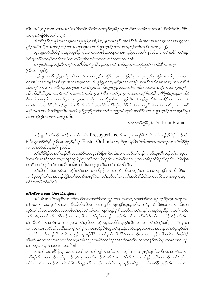လီၤႉ အဝဲမ့်္ျာတဂၤလၢအအိဉ်ဒီးတ႑်စိကမီၤထိဘိလၢကအုဉ်က္πခ်ိဳဉ်က္ၤပုၤႇဒီးပုၤတဂၤဇိၤလၢကမၤဝဲထိဘိန္ဉဉ်လီၤႉ ဒ်စီၤ ပူးတရူးပာ်ဖျါဝဲဖဲမၤတ႑်င္း၁၂:

``<br>`ဒီးတ`ၤအုဉ်က္ၤဒိဉ်က္ၤလၤပုၤဂၤအပူၤန္နဉ်ႇတအိဉ်ဘဉ်နီတဂၤဘဉ်. အဂ္ဂၤဒ်အံၤႇမံၤအဂုၤအဂၤလၤပုၤကညီအကျါႇလၤ *မူခိဉ်အဗီလ5•တ<sup>ရ</sup>တဟ္ဉာ်ဘဉ်ဝဲလ ယဘဉ်တုၤလ ၊တ<sup>ရ</sup>အဉ်က္ခၤ<i>ခိဉ်က္*ၤလ ၊အပူ၊*နိတမံၤဘဉ်* (မၤတ<sup>ရ</sup>၄း၀၂).

ယ့ဉ်ရူူးခရံာ်ထိဘိမ့်၊ပုၤအုဉ်က္ၤခ်ိဉ်က္ၤတၤ်ထဲတဂၤဇိၤကဲဘျူးလၢပုၤကညီတဖဉ်အဂ်ိါန္ဉာ်လိၤႉ ပကစၤ်အနိၲၤကစၤ်ဒဉ် ဝဲတဲဖျါထီဉ်ဝဲတၫ်မှ႞တ႑်တိုအံၤဖဲယိၤဟဉ်၁၄းဖြဲအဝဲစံးကတိၤတ႑်ကတိၤတဖဉ်အံၤ:

-<br>ယဲဒဉ်အံၤယမ္ ကြဲ၊ ဒီးတ (မ္ ၊်တ (တိ, ဒီးတ (မူလီၤ. မ့တမ္ ၊်ဘဉ်ယၤဒီး,ပုၤတဟဲဘဉ်ဆူပ ၊်အအိဉ်နီတဂၤဘဉ် (ယိၤဟဉ်၁၄း၆).

ဘဉ်မနာအဃိယှဉ်ရူးမှု ပု႑ထဲတဂၤဇိၤလၢအအှဉ်က္ခၤခဵဉ်က္ဍပု႑သူလဲဉ်? ဂ္ဂၤလံႇပုၤအုဉ်က္ဉၤခဵဉ်က္ဥာတ႑် ပုၤလၢအ လၢအပုံၤတဂၤဒ်နဉ်အသီးယွၤအလၢအပုံၤတဂၤ,ဒီးယှဉ်ရူးကဘဉ်မှ (ပုၤအလၢအပုံၤတဂၤဒ်သိးဒီးကဆၢထ႑ာ်လၢပလိ်), ဒ် သိးကမ္ Yပတ႑်လှ႑်ႇဒ်သိးကမ္ Yပခ႑ာဴစးလ႑ပလိ႑န္နာဴလီၤ. ဒီးယှဉ်ရူူးမ္ Iဒဉ်ပုၤထဲတဂၤဒိၤလ႑အမၤလ႑ပုဲၤတ႑်မၤ၀ဲန္နာဴသူ၀ဲ လီး. ဒီး.နိ<sup>ုင္စ</sup>န္ဒြန္႔်,အဝဲအံၤဘ္ဥတ႑်ကတဲဥကတိၤတ္႑လံအီၤလၢတ႑်ပ္ၤက္ၤတ႑်အတ႑်စ္ဥစိၤတဲစိၤအဗီခ်ဥ္၀ဲယ္(ယုထ႑ထိဥ စီၤဒၤဝံးအခုယု႑်…လၢကမူ ပြွှာၤအမူၤရုံအၤ္ကာမူ ပြုလၤတ႑်ဖျှအီၤတဂၤန္နဉ်လီၤ. ဒီးယှဉ်ရှူးမူ ၊ိစီၤပၤဖးဒိဉ်တဂၤလၢကဟဲ လၢစီၤအဝံးအလိ<sup>ု</sup>ခံ,ဒီးယှဉ်ရူူးဟံးဃာ်တ<sup>ု</sup>မၤဝဲအံၤ,အဃိဒီးလံာ်စီဆုံအလိ<sup>ု</sup>လံၤဒီတကတြူၫ်ညါကတဲာ်ကတိၤပုၤလၢကစ႑် ခရံဉ်အတ<sup>ရ</sup>ကဟဲအဂ်ိ<sup>ရ</sup>နဉ်လီၤ. အဃိ,ယှဉ်ရူူးမှု ပုၤထဲတဂၤဇိၤလ႑ကြ းဝဲဘဉ်ဝဲအပတိ ၊်လၤတ ၊်အုဉ်က္ၤခ်ိဉ်က္ၤအပုၤဂိ<sup>ရ</sup>မှ ၊် လၫလၫပုံၤပုံၤလၫတၫ်ဒဲးဘးန5်လီၤ.

ဒီးကထ႑ာက္ခ်ိန်ဖြမ် Dr. John Frame

ယ့ဉ်ရူးမ့<sup>၎</sup>တၫ်အှဉ်က္ $\mathfrak{z}$ ဉ်က္ $\mathfrak{z}$ တ႑်လၫပုဲၤာ $\mathbf{Presby}$ ter $i$ ans, ဒီးပု $\mathfrak{z}$ ျာထံခရံ $\mathfrak{z}$ မ်ိ $\mathfrak{z}$ အဲကလံးကဉ်,ဒီးမဲဉ်သ႑ာ်ဒံဉ် စ်,ဒီးလူသ႑ာ်ရဲန်,ဒီးပှၤရိမဲခဲးသလ့ဉ်,ဒီးပှၤ Easter Orthodoxy, ဒီးပှၤခရံာ်ဖိတၫ်ဘါကရၢအကတဖဉ်လၢတၫ်အိဉ်ဖိုဉ် လၢတၫ်ထံဉ်အီၤသ့အဂ်ိါနဉ်လီၤ.

တၫ်အိဉ်ဖိုဉ်လၢတၫ်ထံဉ်အီၤတသ္ခအိဉ်ထဲတဖုဇိၤဒီဖျိပုၤကိႏၵၤဒဲးလၢအဘဉ်တၫ်အှဉ်ကူးဒီဉ်ကူးအီၤဘဉ်တၫ်မၤၰမၤ ဖိးက္ၤအိၤဆူခရံာ်တဂၤဃိႇပှၤအုဉ်က္ၤခ်ဉ်က္ၤတၫ်တဂၤဃိနာ်ုလိၤႉ အဝဲမ့<sup>၎</sup>ပတၫ်ဃူတ<sup>၎်ပွဲ</sup>းအခ်ိဉ်ထံးခ်ိဉ်ဘိနဉ်လိၤႉ ဒီးခ်ိဖျိအ ဝဲအနိ<sup>5</sup>ကစ<sup>5</sup>ဒဉ်ဝဲတ<sup>5</sup>တမၤလီၤဖးအီၤအဃိဒီး,ပဝဲဒဉ်စ္ဉ်ကိုးမ္ှါတဉ်တမံၤဃိလီၤ.

တၫ်ဆိကမိဉ်ခံမံၤတမံၤဘဉ်ထွဲဒီးတၫ်ဂ့ၤ်လၢတၫ်အိဉ်ဖိုဉ်လၢတၫ်ထံဉ်အိၤတသ့မ့ၢ်တၫ်လၢအဘဉ်ထွဲဒီးတၫ်အိဉ်ဖိုဉ်ခဲ လၫာ်မှတမှ'ါတ႑်လၢအဘဉ်ထွဲဒီးတ႑်ခဲလ႑ာအံၤမ့ဴၢ်ဝဲလ႑တ႑်ဘူဉ်တ႑်ဘါအမ့္ပါအတိအိဉ်ထဲတကလုာ်&လ႑အဆု႑ပုၤဆူ ခရံဉ်အအိဉ်သူဝဲနဉ်လီၤ.

#### တ<sup>ှ</sup>တှဉ်တ<sup>ှ</sup>တါတမံ*း* One Religion

**.**<br>အဝဲအံၤမ့ါတ<sup>ရ</sup>အရှ<sup>8</sup>ဉ်လ<sup>ု</sup>တ1်ကဟ်သးလၢခရံာ်ဖိတ1်ဘူဉ်တ1်ဘါအါတက့1်တမ့]်ဒဉ်တ1်အုဉ်က္πဒိဉ်က္πအကျိုၤအ ကျဲတမံၤဘဉ်,မမ့်မှတ်တြအ႑ာဉ်လီၤအီလီၤလိဉ်သးအတ႑်ရူလိဉ်ဘဉ်ထွဲဒီးယွၤန္ဉာလီၤ. အဝဲန္ဉာအဲဉ်ဒိးစံးဝဲလ႑တဒ်သိးတ႑် ဘူဉ်တ<sup>ရ</sup>ဘါအဂၤတဖဉ်ဘဉ်<sub>•</sub>ခရံဉ်ဖိတ<sup>ရ</sup>ဘူဉ်တ<sup>ရ</sup>ဘါတမ့<sup>ရ</sup>ကျဲမု<sup>ရ</sup>ဆွဉ်မု<sup>ရု</sup>ဂီၤတဘိလၤတ<sup>ရ</sup>မၤနှၤ်တ<sup>ရ</sup>အုဉ်ကူးခီဉ်ကူးအင်္ဂါဘဉ်<sub>•</sub> မ့မ့်ၢ်တခ်ိႇအဝဲမ့်ၢ်တၫ်ရူလိဉ်ဘဉ်ထွဲလၤယွၤဒီးအပုၤဂိၢမှ်ျအဘၤှဉ်စ႑ာနှဉ်လီၤ. မ့ှါလံႇတ႑်နှဉ်မှု၊်တ႑်လၤအစံဉ်ညိဉ်တ႑်လီၤ တံၫ်လီၤဆဲးဒ်တၫ်တမံၤလၢကဟ်ပုၤလၢတ႑်ရှုလိ႒်ဘဉ်ထွဲအမှ္1အတိဒီးယွၤန္နဉ်လီၤ. ဘဉ်ဆဉ်တ႑်သံကွ႑်ဖးဒိဉ်မှ႑်: "ဒ်နဆ႑ ထၫဉ်လၫယ္ပၤအမဲဉ်ညါအသိႏနတၫ်မ့ၫ်တ႑်မ့ၫ်တ႑်မနုၤလဲဉ် $?$ ဖဲယ္ပၤက္ဌ႑နၤန္ဉာ်,အဝဲထံဉ်ပှၤတဂၤလၢအဘဉ်တ႑်ပာ်ခူသူဉ်အီၤ လၢခရံာ်အတၤ်အၫဉ်လီၤအီလီၤအသွံဉ်အပူၤန္ဉာဴဓါ?့် မ့တမ့ၤ်နမ့ၤ်ထိဖိကိ်ၤဖိတဂၤဘဉ်ဃးအဝဲအဒုဉ်အဒါအဘိအမုၤန္ဉ်ာဴဓါ?့ မ့်နမ့္ဒြယ္ခ်က္ေလးအဆၤထ႑ာလယ္မွာအမဲြည္ပါလ႑နန္ဒီ ကစၥ်ဒၥ်ဝဲအတ႑ိက္ခတ္၁၀) လ႑တ္ နည္ခ်အဃိပ္ပုတ္တက္လလၤတတ္နာ တၫ်အပုၤလၢနတၫ်ဒဲးဘးဒဉ်ဝဲအဂိၢိဳဖါ?

လၢတၫ်သးအုံးနိ<sup>႖</sup>နိ႖န်ၟ်ႇပုၤလၢအအိဉ်လၢတၫ်ဘူဉ်တၫ်ဘါအကမဉ်သ့ဉ်တဖဉ်အပူၤမ့ၢ်ဒုဉ်ဒါအဘိအမှၢ်တဖဉ်အက ရာဖိနဉ်လီၤႉ အဝဲသွဉ်တမ့်မြာဘဉ်ထွဲဒီးယွာအတ်အာဉ်လီးအီလီးအပုံးဂိ်းမိုးနှီးလာတ်နဉ်အဃိအဝဲသုဉ်တမ့်၊ဒီးမ့်၊ ခရံဉ်အတ<sup>ရ</sup>တသ့ဘဉ်လီၤႉ ထဲခရံဉ်ဖိတ<sup>ရ</sup>ဘူဉ်တ<sup>ရ</sup>ဘါဟူဉ်ပုၤတ<sup>ရ</sup>လဲၤဆူပုၤအှဉ်ကူၤခိဉ်ကူၤတ<sup>ရ်</sup>အအိဉ်သွန္ဉဉ်လီၤႉ လၢတ<sup>ရ</sup>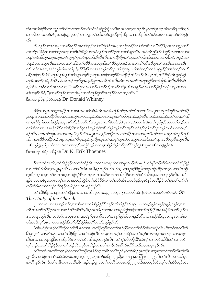အံၤအဃိခရံှာ်ဖိတၫ်ဘူဉ်တၫ်ဘါလၢအဘဉ်ဃးဒီးလံှာစိဆုံညိကၠံှာတၫ်မၤအသးသ့လၢပုၤဂိၢ်မှၢ်တ႑်ပုၤက္ၤအိၤသ့ခ်ိဖျိတၫ်ဘူဉ် ာက်ဘါအဂၤတဖဉ်,ဖဲပှၤတဖဉ်နဉ်မှတမ့<sup>ရ</sup>တ<sup>ရ</sup>ဘုဉ်တ<sup>ရ</sup>တဖြာနှဉ်အိဉ်ဖျထိဉ်လၫကအိဉ်ဒီးတ<sup>ရ</sup>ဟ်သးလၫအဂ္ဂ၊ဒဉ်လာနှဉ်  $\circ$ 31.

5ပသူဉ်ညါအသိး,ပုၤတမ္1်ခရာ်ဗိအတ (ဘူဉ်တ (ဘါအိဉ်ဝဲအါမး,တဘိုတခဵိဉ်တ ၊်ကိုးအီၤလ႑ ံဟိဉ်ခိဉ်အတ (ဘူဉ်တ ြ ဘါဖးဒိဉ် ''ဒီဖြုလ ၊အဝဲသူဉ်အကွ ၊်အဂ်ီ၊ ဒီးခီဖျလ ၊အဝဲသူဉ်အတ ၊်ဒိဉ်ဘ ၊အဃိနဉ်လီၤ. အဝဲအံၤညီနှ ၊်သံကွ ၊်ပုၤတဂၤလ ၊အခ တမ္ 1ခရံ58ဘဉ်,ဘဉ်ဆဉ်အဝဲသုဉ်မှ (ပုၤပာဃှာ်တီတီလ်ၤလၤလၤဟီဉ်နိဉ်တ (ဘူဉ်တ (ဘါဗးဒိဉ်အဂၤအကျါတမံၤမံၤနှဉ်,အ ဝဲသူဉ်မှု ပု႑ဟ္ဥာ်လီၤအသးလၢတ႑်သို့ဥတ႑်သိမိ႑ပု႑်တဖဉ်ဒီးတ႑်ပိဉ်ထဲ့တဖဉ်လၢတ႑်လီၤလီၤဆီဒဉ်တ႑်တတိၤဘဉ်တတိၤ လီၤတံ႑်လီၤဆဲႏႇအဝဲသုဉ်မှ မြ၊တ႑်မှဉ်မှဉ်နို နို နိုးလ႑အဝဲသုဉ်တ႑်လူၤတိထွဲအပူၤမ္ ၊်အဝဲသုဉ်ကလဲၤဆူမှုခိုဉ်ဖဲအဝဲသုဉ်တဟ် ပနိုဉ်ခရံဉ်ဒဉ်လဲဉ်–ဘဉ်သူဉ်သူဉ်အဝဲသူဉ်တန†ဟူဘဉ်ဃးခရံဉ်အဂ္ဂါနီတဘျီဒဉ်လဲဉ်ဘဉ်လီၤ. ဂူၤလံ,လံဉ်စီဆုံအံၤဖျါဆုံဆုံ ဘဉ်ဃးတ1ဂု1ဝဲနှဉ်လီး . ဖဲယိၤဟဉ်၁၄းဖြန္နဉ် ယူဉ်ရူူးမၤဝဲလီၤတံ႑်လီၤဆဲးလၢအတ႑်မၤဘဉ်ထွဲဒီးတ႑်အိဉ်သးလီၤဆီဝဲအံၤ နှဉ်လီၤ. အဝဲစံးလီၤအသးလ႑ "ယမ္5ကျဲ; ယမ္5တ5မ္5တ5တိ; ယမ္5တ5မူ,ဒီးအဝဲန္နဉ်မှတမ္5တ5ဖျဲဆုံလ٦ပုဲၤဘဉ်ဒီးအဝဲ ,''<br>ဆဲးတဲစ္ ဂ်ားဝဲ, ''မူတမူ ဂ်ဘ္ဥလ ၊ယၤဒီး,ပုၤတဟဲဘဥ္ဥေပ ၊အအိဥနီတဂၤဘဥလိၤ.

ဒီးကထၫဉ်ဒိနၫဉ်ဝံဉ်ထ်နံဉ် Dr. Donald Whitney

ခ်ဳပ္ဖိုလ ၊ယူၤအဘျူးအ၀ိုဉ်လ ၊အမၤအသးခဲအံၤခဲအံၤအဃိပထံဉ်တ႑်ဂ္ဂၤတ ၫ်၀ါအကလုဉ်ကလုဉ်လ ၊ပုၤဂိ႑်မှ ၊်အတ ၊်အိဉ် မှုအပူးလ ၊အတအိဉ်ဒီးတ ်ပဉ်သူ့ဘဉ်ဃူးအဝဲသုဉ်ဟုံးဃဉ်တ ်ဘူဉ်တ ်ဘါမနုးလဲဉ်နဉ်လီး . ဘဉ်ဆဉ်ပထံဉ်တ ်အ ၊တ ်သိ လၢပုၤဂိၢမု႞အတ႞အိဉ်မှုအပူၤစ္႑်ကိဳးႏွဒီးပမ္န္မျပဉ်သးယွၤအတ႑်စီတ႑်ဆုံဒီးပုၤက္ကသိအတ႑်လိၤတဲဉ်တူဉ်နှဉ်,ပပလ႑်ဘဉ်လ႑ တ႑်ဟဲလ ယွားအမဲဉ်ညါဒီးတ႑်အိဉ်ဒီးတ႑်ရှလိဉ်ဘဉ်ထွဲဒီးအီးလိဉ်ဘဉ်တ႑်အါန္ iဒီးထဲဒဉ်လှ႑်လ႑်သူးသွဉ်သကဲးပဝးတဖဉ် နဉ်လီး . ပမၤတ ်မန္မာမႈလ ၊အမၤမှာ်သူဉ်မှာ်သးယွားတသူနီတဘွိုလ ၊ပတ ၊်အိဉ်သးလ ၊အပုံ၊ ဒီးတ ်၊ဒဲးဘးအပူ၊ အံ႑နဉ်ဘဉ် .<br>လီး. အဃိဒီးပလိဉ်ဘဉ်ပုၤပွၤက္ၤတ<sup>5ဦး</sup>ပုၤအုဉ်က္ၤခဵဉ်က္ၤတ႑်တမ္ါဒဉ်ထဲတ႑်ဘူဉ်တ႑်ဘါအတ႑်လူၤမၤတိဉ်ထွဲ&ၤဘဉ်လီး. *ဒီးယှဉ်ရျုးမှ<sup>ငှ</sup>ပှၤထဲတဂၤဇိၤလၤအဟွဉ်ပှၤကျဲဝဲနဉ်လၤကဒုးဒနိဉ်ထိဉ်တ<sup>1</sup>ရှလိဉ်ဘဲဉ်ထွဲဒီးယွၤကဒီးတဘိုနှဉ်လီး.* ဒီးကထၫဉ်အဲရံဉ်ခ်သီနဲ့ဉ်စ် Dr. K. Erik Thoennes

ဒ်ပစံးတ့််အသိး တ်အိဉ်ဖိုဉ်လၢတ်ထံဉ်အီၤတသ့အကရာဖိလၢအမှုတဖဉ်မ့ှ်ပုၤဟ်ဃှာ်မှ်ဆွဉ်မှ်ကလာတ်အိဉ်ဖိုဉ် လၢတၫ်ထံဉ်အီၤသ့အပူၤန္ဉာလီၤႉ လၢတၫ်အံၤအဃိႇပုၤကူဉ်ဘုဉ်ကူဉ်သူလၢယ္ပၤဂ္ဂၢိပိညါတဖဉ်ဟုဉ်ထိဉ်တ႑်ဂ့ၫ်လၢတ႑်အှဉ် က္နာခ်ိဳဉ်ကူးတမ့်္ာတက်လာအသူမှ်ာဆွဉ်မှ်ကြီးလာပုၤလာအအိဉ်လာတာ်အိဉ်ဖိုဉ်လာတာ်ထံဉ်အီးသူအချာဘဉ်နဉ်လီး အဝဲ နှဉ်စံးဝဲလၢႇဖဲပှၤတဂၤတမ့)်ပှၤလၢအဘဉ်ထွဲဒီးတ႑်အိဉ်ဖိုဉ်လၢတ႑်ထံဉ်အိၤသ့ဘဉ်နဉ်ႇပုၤဝဲနဉ်တအိဉ်ဒီးတ႑်ခွဲးတ႑်ယာမှ႑် ဆ့ဉ်မု<sup>ရှ</sup>ဂီၤလၢကဘဉ်တ<sup>ရ</sup>အုဉ်က္**ၤ**ဒိဉ်က္ၤအိၤန္**ဉ်ဘ**ဉ်လိၤ

တၫ်အိ $\mathfrak{Z}$ ဖို $\mathfrak{Z}$ လၢပျ $\pi$ အပါ်စဲဖြံယ $\mathfrak{z}$ ,လၢအအိ $\mathfrak{Z}$ မှုလၢခန $\mathfrak{z}$ , ၂၀၀တု $\mathfrak{z}$ ၂၅၈ $\mathfrak{z}$ ပာလဲကျဲအီးလၢအဝဲလံ $\mathfrak{z}$ ဃ်ာ်ဃ $\mathfrak{S}$   $On$ The Unity of the Church:

ပုၤတဂၤဂၤလၤအဘဉ်တ႑်ထူးဖူးအီၤလၤတ႑်အိဉ်ဖိုဉ်ဒီးဘဉ်တ႑်ပဉ်ဖိုဉ်အီၤဆူပုၤမၤကမဉ်မှဉ်ကမဉ်ချွန်ဉ်,ဘဉ်ထူးဖူး အီၤလၢတၫ်အိဉ်ဖိုဉ်အတ႑်အ႑ာ်လီၤအီလီၤ,ဒ်နဉ်အသိႏပုၤတဂၤလၢအညိက္ခံဉ်ခရံဉ်အတ႑်အိဉ်ဖိုဉ်မၤန္ ၢ်ခရံှာအတ႑်ဟ္ဥဂ်က န ။တသ္ဘာဉ်လီး. အဝဲမှ ပုံ၊တမုံ၊တဂၤ,အဝဲမှ ပုံ၊တစီတဆုံ; အဝဲမှ iဒုဉ်ဒါတဂၤန္ဉာလီး. အဝဲအိဉ်ဒီးယု၊တသ္လလ ။ဒ်အ ပါအသိႏွမှ(ပုၤလၢအတအိဉ်ဒီးတ႞အိဉ်ဖိုဉ်ဒ်အမိၤအသိးဘဉ်နဉ်လီး.

ဖဲအံၤႇစဲဖြံယၤဂ့ၢ်လိ>်ဘိုလိ>်ထိဒါပုၤလၢအဟးထိဉ်ကွံ>်လၢတၤ်အိဉ်ဖိုဉ်လၢတၤ်ထံဉ်အိၤသ့န္ဉ်လီၤ. ဒီးအဝဲအတၤ်ဂ့ၤ် မြို့ပုံမှုလုံလာနလဲၤနှာ်လာတာအိုဥ်ဖို့ဥလာတက်သို့သို့သောသူလာကန္ဒာဘဉ်ခရာအတက်ဟွဉ်ကန္ဒπမ္ခတမ့္ပါဘဉ်လာနမ့္ပါစွာ ကီးပုၤလၢအဘဉ်ထွဲဒီးတၫ်အိဉ်ဖိုဉ်လၢတၫ်ထံဉ်အီၤသ့ဘဉ်နှဉ်လီၤႉ တၫ်ဂ္ဂၢ်လိ9်ဘိုလိ9်အံၤမ့ၢ်တၢ်တမံၤဃီဒီးတ႑်လၢပတဲ တ့်)ဘဉ်ဃးတ႑်အိဉ်ဖိုဉ်လၢတ႑်ထံဉ်အီၤသ့ဒ်ပုၤအိဉ်လၢတ႑်အၢဉ်လီၤအီလီၤလိဉ်သးဒီးယွၤအပူၤန္ဉဉ်လီၤ

.<br>တၫိအသံးအက9်အဂ္ဂါမ့ၢိဝဲလ ၊တၫိအုဉ်ကူးဒီဉ်ကူးအနိ<sup>႖</sup>ကစၫ်ဒဉ်ဝဲမ့ၢိတၫ်ဆိဉ်ဂုၤဘဉ်ဃးယွၤအတ႑်အၫဉ်လီၤအီလီၤ န္5ုလီၤႉ ပထံဉ်တၫ်အံၤဖဲဝံယံးရံးမံယၤ၃၁း၃၁–၃၄ႇလူၤကဉ်၁း၆၉–၇၅ႇရိမ္ၤ၁၁း၂၇ႇဇ္းဘြံ၇း၂၂–၂၅ႇဒီးတၫ်လိႝၤ်အဂၤအါပူၤ .<br>အါတီၤန္2်လီၤ. ဒ်တၫ်အဒိတမံၤအသိႏႈဒိကနဉ်ယ့ဉ်ရှူးအတၫ်ကတိၤဖဲလူၤကဉ်၂၂း၂၀ႇဒ်အဝဲသူဉ်လီၤတ့ၫ်တၫ်အိဉ်ဘူဉ်လဲၤ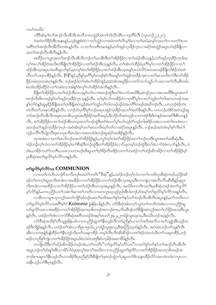ကပဉ်အသိုး:

တိခိအံၤမ္ ါတ ါအ႑ာဴလီၤအိလီၤအသိလ႑ယသ္ပံဉ်အတ ါဂ ါလီၤအီၤလ႑သုဂိၢိလိၤ (လူၤကဉ်၂၂း၂၀).

ဖဲအဝဲတၫ်<sup>ဨ</sup>ဉ်အိၤအနၤန္ဉာ်ႇယ့ဉ်ရူးစံးဝဲလၢတၫ်သွံဉ်လၢအဝဲကဂၤ်လိၤမ့ၢ်ဝဲလၢတၫ်မၤမံမၤမှာ်က္ၤတၫ်လၢပတၫ်ဒဲးဘး အဂိါတၫ်အၫဉ်လီၤအိလီၤတမံၤန္ဉဉ်လီၤႉ လၢတၫ်ကတိၤအဂၤန္၄်ႇတၫ်အှဉ်က္ၤမိဉ်က္ၤလၢခရံဉ်အသွံဉ်အပူၤဟဲဒဉ်ခ်ီဖိျလ႑ အတၫ်အၫဉ်လီၤအီလီၤန္ဉဉ်လီၤ.

စးထိဉ်လၢယ္ပၤအတၤ်အၫဉ်လီၤအီလီၤဘဉ်တၤ်မာအီၤဒီးတၤ်အိဉ်ဖိုဉ်လၢတၤ်ထံဉ်အီၤသ္နန္႕်ႇတၤ်အုဉ်က္ၤဒိဉ်က္ၤဒ်အ လှ\အလှလြွန်ဝဲအသိုးဟဲ့ခြံဖြိုတ်သို့န်ပြည်လျှတ်လည်သို့သေ့နဉ်လိုး. တှကြီးကဲထိဉ်ဖဲ့ပုံကိုမြှလျှတ်သို့န်ပြည်လျှတ် ထံဉ်အီၤသ့အပူၤဟဲဃၤိႆဆူတ႑်န>်,မ့တမ့္1ဖဲတ႑်အိဉ်ဖိုဉ်လ႑တ႑်ထံဉ်အီၤသ့မၤန္ ြပုၤလဲလိ>်အသးတဖဉ်ခ်ီဖျိတ႑်စံဉ်တဲၤတဲ လီၤတၫ်သးခုကစိဉ်နဉ်လီၤႉ နိ<sup>႖န္ဓ</sup>႑်နှဉ်ႇညိနှၤ်ပုၤဂိၢမှၢ်တဖဉ်စ့ၤ်ကီးမၤန္ၤတၫ်အှဉ်က္ၤခိဉ်က္ၤလၢတၤ်မၤသက်ိးတၤ်ဒီးတၤ်အိဉ် ဖြဉ်တမံၤဂ္ဂၤတမံၤဂ္ဂၤန္ဉ်လီၤႉ ဘဉ်ဆဉ်ဖဲတၫ်အံၤကဲထိဉ်ဝဲန္ဉာႆႇအဝဲအံၤအရှုဒိဉ်လၢတၫ်ကပာ်သူဉ်ပာ်သးလၢတၫ်လီၤဆီတမံၤ မံၤအံၤအိဉ်ထိဉ်ဝဲ–တၫ်တမံၤလၢအါန္1်ဒးလှၤ်လၤအိဉ်ဝဲအသိးနှဉ်လီၤ.

ခ်ိဳဖျိတၫ်အိဉ်ဖိုဉ်လၢတၫ်ထံဉ်အီၤတသ္ဒမ္ဒၤ်တ႑်လၢအဘဉ်တွဲဒီးတ႑်ခဲလ႑ာ်အဃိဒိီးႇထဲဒဉ်ပုၤလၢအသးတိဒိီးယွၤအတ႑် အၫဉ်လီၤဇိၤတဖဉ်နှ်ါတါအှဉ်က္ၤဒိဉ်က္ၤသ့နဉ်လီၤ. တါမုါလါတအိဉ်ဝဲလၢပှၤဂိါမုါလၢတါဘူဉ်တါဘါအဂၤတဖဉ်ကမၤ နှ်က်လဲနဉ်ဆူမှုခိဉ်ခ်ီဖိုုအတ်ကူးခီဖိုုအဝဲသု့ဉ်အတ်ကူဉ်တ်ကါတဖဉ်ဒဉ်ဝဲအပတိ်ါတဖဉ်အဃိတဉ်လီၤ. ပကဘဉ်စံဉ်တဲၤ တဲလီၤတၫ်သးခုကစိဉ်နှဉ်လီၤ. ပဘဉ်တဲပုၤဂိၢ်မှၢ်ဘဉ်ဃးပုၤအုဉ်က္ၤခိဉ်က္ၤတၫ်အဂ္ဂါဇိၤန္ဉာလီၤ. ပကဘဉ်ဟဲစိာ်အဝဲသူဉ်ဆူ တၫ်အၫဉ်လီၤအိလီၤအပုၤတဝၢဇိၤႇယ္ဇၤအဟိဉ်ခိဉ်အဘိအမှ1်ႇဒီးသိဉ်လိအဝဲသူဉ်လၢကအဲဉ်ဒီးဒိကနဉ်အကစၫ်ဒီးစီၤပၤန္ဉဉ် လီၤ. တၫ်အိဉ်ဖိုဉ်လၢတၫ်ထံဉ်အီၤတသ္ခအတၫ်ဘဉ်ထွဲဒီးတၫ်ခဲလၢာ်မ့ၢ်တ႑်ဟူဉ်ငံ၊်ဟူဉ်ဘါဖးဒိဉ်တမံၤလၢပဝဲကိုးကဒဲးးလၢ အဘဉ်တၫ်အှဉ်ကူးခိဉ်ကူၤပုၤ–အဝဲအံၤမ့္ပ်ပတ႑်မၤသက်ိးဃုာ်တ႑်လၢခရံာ်အပူၤန္နဉ်လီၤႉ ဘဉ်ဆဉ်အဝဲအံၤမ့္ပ်စ္ုံကိုးတ႑် ဟုဉ်ပလိႝၤ်လီၤပုံုုလီၤဖုံးလၢပုုကိုးကဒဲးလၢအတဟဲဒံးဘဉ်ဆူခရံာ်အအိဉ်နဉ်လီၤ.

တုၤခဲအံၤလၢပတၫ်မၤလိဘဉ်ဃးတၫ်အိဉ်ဖိုဉ်နှဉ်,ပကွၢ်တဲ့ၫ်လံတၫ်အိဉ်ဖိုဉ်အတၢ်ဘဉ်ဃးဒီးယွၤအတၫ်မၤစီဆုံ,ဒီးပ ထံဉ်ဘဉ်တ့််လံလၢတၢ်အိဉ်ဖိုဉ်မ့ှ်တဉ်စိဆုံဒီးဘဉ်ထွဲဒီးတ႑်အိဉ်ဖိုဉ်ခဲလၢာ်ႇမ့တမ့်္ာဘဉ်ထွဲဒီးတ႑်ခဲလၢာခံမံၤလၢာနှဉ်လီၤ အံၤႇပအိဉ်ကတဲာ်ကတီၤပသးလၢပကဃဉ်ဃီဆူပတၫ်ဂ္ဂၢိခိဉ်တီဖးဒိဉ်ကတ႑ၢ်တထံဉ် $:$ တ႑်ထံဉ်ဆိကမိဉ်လၢတ႑်အိဉ်ဖိုဉ်မှ ြ ပုၤစီဆုံအတ႑်ရှလိ႒်မှာ်လိ႒်သးနဉ်လီၤ.

# တ<sup>ှ</sup>ရှလိ5်မှ5လိ5်သး COMMUNION

လၢပတ႑်ကတိၤတၢဉ်ပိသက်ိဴးဘဉ်ဃးတ႑်ကတိၤ မိဆုံႛန္ၟ်ာႇပထံဉ်ဘဉ်တ္႑်လံလၢတ႑်ကတိၤပုၤစိဆုံတဖဉ်ပညိဉ်အါ ဒဉ်တၫ်တက့ౕၢဆူပုၤကိးကဒဲးလၢအအိဉ်လၢတၫ်အိဉ်ဖိုဉ်လၢတၫ်ထံဉ်အိၤသ့အပူၤႇဒီးလၢကျဲလၢအလီၤလီၤဆီဆီနဉ်ဆူပုၤ ကိႏၵၤဒဲးလၢအအိဉ်လၢတၫ်အိဉ်ဖိုဉ်လၢတၫ်ထံဉ်အီၤတသ့အပူၤန္ဉာလီၤႉ အဃိဒ်ပကတိၤသကိႏၦၤစီဆုံတဖဉ်အတၫ်ရှလိဉ် မှာ်လိာ်နဉ်,ပကပညိဉ်ပတၫ်သးစၫ်ဆၢတၫ်ကတိၤလၢပတလူၤဃုသွဉ်ညါအီၤဒံးဘဉ်,ဒ်အမ့ၢ်တၫ်ရှလိာ်မှာ်လိာ်သးနဉ်လီၤ.

လၢစိၤလၢပျπဟၟၤလ္ဉဴအတၫ်ကျိဉ်ထံဘဉ်ဃးတၫ်မၢဖိအတ႑်စူၫ်တ႑်နှာ်တ႑်အ႑ာဴလီၤအိလီၤအပူၤန္ဉဉ်ႇတ႑်ကတိၤလၢ တၫ်ရှုလိ႒်မှာ်လိာ်သးအဂ်ိ<sup>ု</sup>မှု)ဝဲ *Koinonia* ခွဲးနိနံယါန္ ဉ်လီး. လံာ်စီဆုံအါတက္ခါသူဝဲတ႑်ကတိၤဝဲအံၤလၤကပညိဉ်ဆူ တၫ်ရှုလိ9်သးလၢအအိဉ်လၢတၫ်အိဉ်ဖိုဉ်အကရၢဖိတဖဉ်အဘၢဉ်စπႇလိၤဆီဒဉ်တၫ်ခီဖျိအဝဲသူဉ်အတ႑်ဟ်ဖိုဉ်အသးဒီးယွၤ နၵုံလီၤႉ ပထံဉ်တၫ်အံၤလၢလံာ်စီဆုံအတိၤတဖဉ်ဒ်အမှၤ်မၤတၤ်၂း၄၂ ၂ကရံဉ်သူး၁၃း၁၄ ဒီး၁ယိၤဟဉ်၁း၃နၵု်လီၤႉ

လံာ်စီဆုံအသိစ့ၢ်ကိုးသူခွဲးနိနံယါလၢကပည်ဉ်ဆူတ႑်နိုးဟ္၄ာ်လီၤတ႑်ႇညီနှၤ်လၢတ႑်အပီးအလီလၢတ႑်သူစွဲအီၤသ္၇်တ ဖဉ်ဒီးကျိဉ်စုနှဉ်လီၤႉ ပထံဉ်တၫ်အံၤလၢရိမ္၊၁၅း၁၆ႇ၂ကရံဉ်သူးဨး၁၃ႇဒိးဇူးဘြံ၁၃း၁၆န္ဉဉ်လီၤႉ အဝဲအံၤဘဉ်တၫ်သူစ့ၫ်ကိႏ အီၤလၢကဒုးနဲ့ဉ်ဖျါထိဉ်တၫ်နီၤဟုဉ်လီၤတၫ်သးခုကစိဉ်–တမ့ၢ်လီၤလီၤဆီဆီဒဉ်လၢတၫ်စံဉ်တဲၤတဲလီၤတၫ်သးခုကစိဉ်,ဘဉ် ဆဉ်လၫညီနှၤ်ကျဲလၢတၤ်အိဉ်ဖိုဉ်အပူၤႇဒ်ဖံလံးပံၤား၅ဒီးဖံၤလ့မိဉ်အဆၢဖိ၆နဉ်လီၤႉ

တကျိုးယိဒီးတၫ်ထံဉ်ဆိကမိဉ်တဖဉ်အံၤႇတၫ်ကတိၤ ၱိတၫ်ရူလိ9်မှာ်လိ9်သး ိႆလၢတၫ်စူၫ်တ႑်နှ9်တ႑်အ႑ာလီၤအီလီၤ အပူ၊ဘဉ်တnပာံးနn်ဒားလာမိဂ်ပင်္ဂဖံဖုအလုကောလ်ကေသီးလာကပည်ဉ်ဆူတnရလိုက်လာက်အိဉ်ဖှိဉ်အကရာဖိတဖဉ်အ ဘၫဉ်စπဆူတၫ်နီၤဟ့ဉ်လီၤလၢအိဉ်ဒီးပှၤညီနှၤ်;ဒီးခီဖျိတၫ်ဒုးဘဉ်ထွဲတၫ်ႇဆူပတၫ်ဒိးသနၤထိဉ်လိ>်သးကဒဲကဒဲလၢပှၤလၢ အနီးဟ္၄်တSဒီးပုၤန္၄်လီး.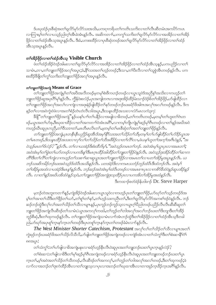ဒ်ပၰထံဉ်ပုၤစီဆုံအတ႑်ရူလိ5်မှ5်လိ5်သးအသိးႇပကၡၫကရိပတ႑်ကတိၤသကိႏလ႑တ႑်လီၤဆီတမံၤအက $\delta$ 5်ကပၤ လၫကြၫးမဲ့ၫတ်လ႑ပသူဉ်ညါတဲ့ၫအီၤခဲအံၤန္ဉာလီၤႉ အဆိကတ႑ၢ်ႇပကက္ဂၤ်သက်ိးတ႑ရူလိ9်မှ9်လိ9်လ႑အအိဉ်လ႑တ႑်အိဉ် ဖိုဉ်လၢတၢ်ထံဉ်အိၤသ့အပူၤန္ဉာ်လီၤႉ ဒီးခံႇပကစးထိဉ်လၢပုၤစီဆုံတဖဉ်အတၢ်ရှလိ>်မှာ်လိာ်လၢတၢ်အိဉ်ဖိုဉ်လၢတၢ်ထံဉ် အီၤသ့အပူၤန္ဉ<လီၤႉ

# တ<sup>ှ</sup>အိဉ်ဖိုဉ်လၢတ<sup>ှ</sup>ထံဉ်အီးသ့ Visible Church

.<br>ဖဲတၫ်ထံဉ်အိဉ်ဝဲဒဉ်အါမးလၢတၫ်ရှလိ5်မှ5်လိ5်လၢအအိဉ်လၢတၫ်အိဉ်ဖိုဉ်လၢတၫ်ထံဉ်အီၤသ့နဉ်,ပကပညိဉ်လၢတ႑် သၢမံၤႇတၢႇတၫဘျူးတၫ်ဖိုဉ်အလှၤ်အပူၤ;ံခံႇနိုၤ်သးအတၤ်ဟ္၄်ာတဖဉ်;ဒီးသၢႇတၤ်ပီးလီလၢတၤ်သူစွဲအီၤတဖဉ်နဉ်လီၤ. ပက စးထိဉ်ခ်ီဖိုတ်ကွ် သက်ိဳးတ်ဘျူးတ်ဖိုဉ်အလှ်အပုၤနှဉ်လီၤ.

## တ<sup>ှ</sup>ဘူးတ<sup>ှ</sup>ဖိုဉ်အကျဲ Means of Grace

တၫ်ဘူူးတၫ်ဖိုဉ်အကျဲမှု၊်တ႑်အပီးအလီတဖဉ်မှတမှh်စဲးဖိကဟဉ်တဖဉ်လၢယွၤသူဝဲဒ်အညီနှၤ်အသိးလၢကဟ္ဥတ႑် ဘျူးတၫ်ဖိုဉ်ဆူအပုၤဂိၢမှၫ်နှဉ်လီၤႉ ကွိန်ဝဲးစလံဉ်ႇပုၤအကျါတဂၤလၢအဒုးအိဉ်ထိဉ်မဲးသ႑ာ်ဒံဉ်စ်တ႑်အိဉ်ဖိုဉ်ႇပာ်ဖျါထိဉ်လ႑ တၫ်ဘူးတၫ်ဖိုဉ်အလှၤ်အလၤ်လၤကျဲလၤအဒုးနဲ့ဉ်ဖျါထိဉ်တ႑်နှာ်တဖဉ်ဘဉ်ဃးခရံှာဖိအါကအလှၤ်အလၤ်တဖဉ်နှဉ်လီၤ. ဒိက နဉ်တ႑်လၢအဝဲကွဲးဝဲဖဲလၢအတ႑်စံဉ်တဲၤတဲလီၤ၁၆အပူၤ,ဒီးသန္ၤထိဉ်အသးလၢလံာ်မၤလကံ၃း၇:

ခ်ိဖျိ"တၫ်ဘူးတၫ်ဖိုဉ်အကျဲ"နဉ်ယန႑်ပ႑ာ်တ႑်ပနိုဉ်လ႑အဖျါလ႑ခ်ိတဖဉ်ႇတ႑်ကတိၤတဖဉ်ႇမှတမှ႑်တ႑်ဟူးတ႑်ဂဲၤတ ဖဉ်,ယွာအတ<sup>ရ</sup>ပာစု,ဒီးဃုထၢထိဉ်လၢတ<sup>ရ</sup>အကတၫာ်ဝဲအံာအဂိ<sup>ု</sup>,လၢကမ့္ပ်ကျုံကျဲမှ<sup>ရ</sup>ဆူဉ်မှ<sup>ရ်</sup>ဂီၤတဖဉ်လၢတ<sup>ရိ</sup>န္နဉ်အဃိအဝဲ ကဟုဉ်ဃီၤဆူပုၤကညိဳႇတၫ်ဒိသဒၢတ႑်ႇမၤတိမၤလိၤတ႑်ႇမ့တမ့ၢ်တ႑်မၤစိဆုံတ႑်အတ႑်ဘူူးတ႑်ဖိုဉ်နှဉ်လီၤႉ

တၫ်ဘျုးတၫ်ဖိုဉ်အကျဲ့ ပုၤတန္နီးနီးပညိဉ်ဆူအီးဒ်အမူ ၊နီးသးအတ႑်သိဉ်တ႑်သိမ္မတမ္ ၊်တ႑်ပဉ်ဖျံထိဉ်တ႑်ပဉ်ဒိဉ်ယ္မွၤအ တ႑်မၤတဖဉ်, ဒိုးသန္႑ထိဉ်အသးလ႑လှ႑်လ႑်တ႑်သိဉ်တ႑်သိအဖိခိဉ်လ႑တ႑်လိ႑်လ႑,ဖဲယန႑်ဟူတ႑်အက္ဍ၂်အဂီၤဝဲနဉ်, "အ ဝဲသူဉ်မၤတ<sup>၎</sup>ဒ်လဲဉ်? "နဉ်လီး. တ႑်လၤယအဲဉ်ဒိုးစုံးထိဘိမ္နှ), "အဝဲသူဉ်တမၤတ႑်ဘဉ်. အဝဲအံၤမ္နယ္မၤပုၤလၢအမၤတ႑်; အဝဲအံၤမ္ ါတ ခြဲးတ ါယာ်တဖ္ာ်လ ၊ပကဒိႏန္ ၊ဒြီးမၤဂ္ဂၤ ထိဉ်အါထိဉ်တ ၊်ဘူူးတ ၊်ဖိုဉ်ဝဲန္ ဉ်လီၤ. အဝဲသ္ဥခြားအိဉ်ထိဉ်တ ၊်ဆ႑က တိ<sup>ရှ</sup>ဒိုးတ<sup>ှ</sup>လိ<sup>ရ</sup>တ<sup>ှ</sup>ကျဲလ ၊ကဟ့ဉ်တ<sup>ှ</sup>သးစ႑်ာဆၾယွၤအတ<sup>ှ</sup>ကျူးတ<sup>ှ</sup>ဖိုဉ်လ ၊အမၤတ ၊်လ ၊ပတ ၊်အိဉ်မူအပူၤနှဉ်လီး . ယ ဘဉ်သးဆိကမိဉ်ဘဉ်ဃးအဝဲသူဉ်ဒ်ထံပီၤအသိးနှဉ်လီၤ. ပတအဲဉ်ဒိးလ႑ကမၤသဘံဉ်ဘုဉ်ထံပီၤဒီးထံဘဉ်လီၤ. အဝဲမှ ် တ႑်အိဉ်မှုအထံလ ၊ပအဲဉ်ဒိုးမၤန္ ၊်န္နဉ်လီး တဉ်ဆဉ်အဝဲအံၤမ္ ၊်ထံပီၤတဖဉ်လ ၊အမၤစ ၊ၤပုၤလ ၊ကစိဉ်နီထံဝဲန္နဉ်ဆူပအိဉ်နဉ် လီး. လၢတ႑်နှဉ်အဃိပအိထံဝဲနှဉ်သူဝဲ,တ႑်ဘူးတ႑်ဖိုဉ်အကျဲဒုးသူထိဉ်ပုၤလၢပကအိတ႑်အိဉ်မူအထံနှဉ်လီး.

ဒီးကထ႑ာ်စတံဖဲဉ်န်ဟါဖ႑ာဉ် Dr. Steve Harper

မ့ဘဉ်တဲအဘူးကတ႑ၢိန္ဉာ်ႇကျဲအိဉ်ဝဲဒဉ်အါမးလၤယ္လၤသူဝဲလၤကဟ့ဉ်ပုၤတၤ်ဘျုးတၤ်ဖိုဉ်ႇဟ်ဃုာ်တၤ်သ့ဉ်တဖဉ်ဒ်အ မ့်ၢတၢိအာတၫ်သိဒီးတၢ်ဖိုဉ်တၫ်ယာ်,တၫ်စူၫ်တၢ်နှာ်,တၢ်ဟ္ဥာ်သးကညီၤတၢ်,ဒီးတၢ်ရှလိာ်မှာ်လိာ်အကစၢ်ဒဉ်ဝဲနဉ်လီၤ. ဘဉ် ဆဉ်ဘဉ်ထွဲဒီးလှၤ်လၤ်အတၤ်သိဉ်တၤ်သိလၤပျ႑ာနှဉ်ႇပုၤကူဉ်ဘဉ်ကူဉ်သ့လၤယွၤဂ့ၤ်ပိညါတဖဉ်ပညိဉ်လိၤလိၤဆိဆိဆူတၤ် ဘျုးတၫ်ဖိုဉ်အကျဲလီၤဆီဒဉ်တ႑်သၢမံၤ:ယွၤအကလှၤ်ကထါ,တ႑်ဘူဉ်တ႑်ဘါအလှၤ်အလၤ်ဘဉ်ဃးတ႑်ဒိးဘျာဒိုးတ႑်အိဉ် ဘူဉ်စီဆုံ,ဒီးတၫ်ထုကဖဉ်နဉ်လီၤ. တၫ်ဘျုးတၫ်ဖိုဉ်အကျဲသၢမံၤလၫာ်အံၤဘဉ်ထွဲဒီးတၫ်အိဉ်ဖိုဉ်လၢတၫ်ထံဉ်အီၤသ့ဒိတခါ ညါ,ဟ်ဃှာ်အပုၤစူ်က္နာနှာ်က္နာတ႞တဖဉ်ဒီးပုၤတစူ်က္နာနှာ်က္နာတၤ်တဖဉ်ခံမံၤလၢာ်နှဉ်လီၤ.

The West Minister Shorter Catechism, Protestant အလုိလ်တြသို့တ်သိလေးပျားအတွ ကွဲးဖုဉ်ဘဉ်ဃးခရံာ်ဖိအတ႑်သိဉ်လိသိလိႇပာ်ဖျံတ႑်ဘျုးတ႑်ဖှိဉ်အကျဲတဖဉ်လၫကျဲဒ်အၤလၫတ႑်သံကွ<sup>၎</sup>ဒီးတ႑်စီးဆ႑နိ<sup>၎</sup>ဂံ႑ อดรวµ:

တၫ်သံကွ႑်းတၫ်ပာ်ဖျိလၫခ်ိအကျဲမနုၤလၢခရံာ်ဟုဉ်နိုၤလီၤဝဲဆူပုၤအတၫ်ဘူူးဘဉ်ဃးတ႑်ပုၤက္ၤန္ဉာ်လဲဉ်?

တၫ်စံးဆ႑ပတော်ဖျါလၫ<sup>88</sup>ီးတ႑်မှာ်ဆွဉ်မှာ်ဂြီးအကျဲတဖဉ်လၢခရံာ်ဟွဉ်နိုးလိုၤဝဲဆူပုၤအတၫ်ဘူးတဖဉ်ဘဉ်ဃးတ႑်ပွာ က္ၤတၫ်ႇမ့္ပ်ာအဝဲအတ႑်သိဉ်တ႑်သိတဖဉ်ႇလိၤဆိဒဉ်တ႑်အကလု႑်ႇတ႑်ဘူဉ်တ႑်ဘါအလုၤ်အလၤ်တဖဉ်ႇဒီးတ႑်ထုကဖဉ်ႇခဲ လၫာ်လၢအဘဉ်တၫ်ဒုးကဲထိဉ်အီၤလၢတၫ်ဘျုးသ့လၢပုၤလၢအဘဉ်တၫ်ဃုထၢအီၤလၢတၢအှဉ်ကူၤခိဉ်ကူးအဂိါနှဉ်လီၤ.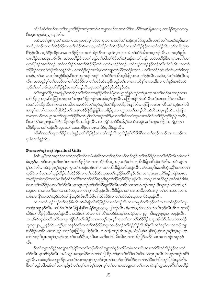လံာ်စီဆုံတဲဘဉ်ဃးတ<sup>၎</sup>ဘျုးတ<sup>၎</sup>ဖှိဉ်အကျဲအတ<sup>၎</sup>မၤဘျုးတဖဉ်လၢတ<sup>၎</sup>လိ<sup>၎</sup>တဖဉ်ဒ်အမ့<sup>၎</sup>ရိမ္ၤ၁၀း၄ႇ၁ကရံဉ်သူး၁၀း၁၇, ဒီး၁ပ္းတရူး၃း၁၂,၂၁န5ုလီၤ.

ခဲအံၤႇတၫ်ပုၤက္ၤတၫ်အတၫ်မၤဘျုးတဖဉ်မ့ၢ်ဒဉ်လၢပုၤလၢအဘဉ်တၫ်အှဉ်က္ၤဒိဉ်က္ၤအိၤတဖဉ်အဂိၢ်သနဉ်ကံ့ဒိးႇလၤ အမ့်) ထဲဒဉ်လၢတၫ်အိဉ်ဖိုဉ်လၢတၫ်ထံဉ်အီၤတသ့,တ႑်သိဉ်တ႑်သိဒဉ်ဝဲမှၤ်လၢတ႑်အိဉ်ဖိုဉ်လၢတ႑်ထံဉ်အီၤသ္ဒဒိတခါညါအ ဂြိန္ဉာလီၤႉ သူဉ်နိုဉ်ထိဉ်လ႑တော်အိဉ်ဖိုဉ်လ႑တ႑်ထံဉ်အီၤတသူအံၤမ္နါဒဉ်လ႑:တ႑်ထံဉ်အီၤတသူဘဉ်လီၤႉ ပတသူဉ်ညါမ တၤအိဉ်လၢအပူၤဘဉ်လီၤ. အဝဲတအိဉ်ဒီးအတၫ်ဘူဉ်တၫ်ဘါတၫ်ရဲဉ်တၫ်ကျဲၤဒဉ်အတ႑်ဘဉ်. အဝဲတအိဉ်ဒီးအပုၤမၤတ႑်သး ခုကစိဉ်ဒဉ်အတ<sup>ိ</sup>ၢဘဉ်ႉ အဝဲတအိဉ်ဒီးအတၫ်အိဉ်ဖိုဉ်တၫ်ပၢတၢ်ပြးဒဉ်ဝဲဘဉ်ႉ တၫ်သ္ဉ်တဖဉ်နဉ်ဘဉ်တ႑်ဟိလီၤအီၤလၢတ႑် အိဉ်ဖိုဉ်လၢတၫ်ထံဉ်အီၤသ္နန္ဉလီၤ. လၢကျဲဒ်န္ဉာ်အသိႏႇပတၫ်ဘူူးတၫ်ဖိုဉ်အကျဲခဲလၫာ်–ပတၫ်တၫ်စံဉ်တဲၤတဲလီၤႇတၫ်ဒိးဘျာ တဖဉ်,တၢိမၤလၤကဗ်ိၤဘူဉ်စိဆုံ,ဒီးတၢ်ထုကဖဉ်တဖဉ်–တၢ်ထံဉ်နှၤ်အီၤသ့ခံဖြပုၤကတဖဉ်နှဉ်လီၤ. အဝဲသ့ဉ်တၢ်ထံဉ်အီၤသ့ လီၤႉ အဝဲသွဉ်မ့္ပ်တ္ပ်တဖ္ပဉ်လ႑တ္ပ်က္သြံပိုဥပ်လ႑တ္ပ်က္ခ်ာသို့နီးဟုဥတ္ပ်က္ပ်က္သမ္ပၤညွန္နဲ႕အသးႏွီးလ႑တ္ပ်က္ခ်ဥအဃအဝဲ သွဉ်မှကြားတွင်ထွဲတုအသုံဖြင့်လျှတုတုတုသွားသွားသွားပြုပွာပွဲတွင်ဆုံပွား

တၫ်ဘူူးတၫ်ဖိုဉ်အကျဲမှုၫ်တ႑်သိဉ်တ႑်သိလၤအရှုဒိဉ်ထိဘိနိဖြိုလၤယွၤညီနုၤ်ဟ္ဥတ႑်ပုၤက္ၤအတ႑်ဆိဉ်ဂ္ၤတဖဉ်လၤပ တၫ်အိဉ်မူအပူ၊ ဒီးပကြၫးဟံးန႑်တ႑်ဘူးတ<sup>၎႙</sup>ဉ်ဘဉ်ဃးအဝဲသ့ဉ်နဉ်လီၤ<sup>့</sup> ပကြ႑းစံဉ်တဲၤတဲလီၤတ႑်သးခုကစိဉ်လ႑ဆိတ လဲတ<sup>ှ</sup>န်ဒီးသိဉ်လိတ<sup>ြ</sup>ကလုိကထါလၫအဟဲစိဉ်တ<sup>ုံ</sup>ကူဉ်သူဒီးတ<sup>ှ</sup>ဒ်ဉ်တုဉ်နိဉ်ပုံ၊ နဉ်လီ၊ . ပကြၫးမၤလၤကၒိၤတ<sup>ှ</sup>ာဉှာဉ်တ<sup>ှ</sup>ဘါ အလှၤ်အလၤ်လၤအဟ်ဖျါထိဉ်တၤ်သးခုကစိဉ်ဖိုဖြိုဖျ်ဖျိဒီးမၤပနိဉ်ပုၤလၤယွၤအတၤ်အၤဉ်လီၤအိလီၤအပူၤန္ဉဉ်လီၤ. ပကြၤး ဘါထုကဖဉ်လၫယ္ပၤအတၫ်ဘျုးတၫ်ဖှိဉ်ဒီးတၫ်ပျၫ်တၫ်ကမဉ်အဂိ်ၫႇလၫတၫ်ဆိတလဲက္ၤသးအဂိၢ်ဒိုးတၫ်ဒိဉ်တုဉ်နဉ်ပုံၤအဂိ်ၫႇ ဒီးလၢတၫ်မာပူးဖျဲးအဂ်ိဳးဖဲပလိဉ်ဘဉ်အီးအခါနှဉ်လီး လၢကျဲခဲလၢာ်ဒီးအါန္ ၊်အအံၤအပူး ,တၫ်ဘူးတၫ်ဖိုဉ်အကျဲမ့၊်တ႑် အိဉ်ဖိုဉ်လၢတၫ်ထံဉ်အီၤသ့အတ႑်သးခုကစိဉ်တ႑်မၤလှၤ်ဒိဉ်ပုၤဒိဉ်နှဉ်လီၤ.

အါန1်အတ1်ဘျုးတ1်ဖိုဉ်အကျဲနဉ်,တ1်အိဉ်ဖိုဉ်လ႑တ1်ထံဉ်အိၤသ့အိဉ်စ့1်ကီးဒီးနိ1်သးတ1်ဟ့ဉ်တဖဉ်လ႑အဘဉ်ဃး ပုၤခဲလၢာ်နဉ်လီၤ.

#### နိ<sup>5</sup>သေးအတ<sup>5</sup>ဟ္ဥၥ်တဖဉ် Spiritual Gifts

ခဲအံၤႇမ့္ပ်တ္ပါအရှုဒ္ဓဉ်လ႑တ္ပါကန္ ျပ႑လ႑ဖဲ့ပစံးနို သားတ္ပါဟ္နဉ်တဖဉ်ဘဉ်ထွဲဒီးတ္ပါအဉ်ဖိုဉ်လ႑တ္ပါထံဉ်အီၤသ္ခဲလ႑ာ ခဲဆ္နန္}ႇပတစီးလၢပုၤကိႏၵၤဒဲးလၢတၫ်အိဉ်ဖိုဉ်လၢတၫ်ထံဉ်အိၤသ့အပူၤဘဉ်တၫ်ပπအိၤခီဖျိသးစိဆုံဘဉ်လိၤႉ အဝဲသူဉ်တ မ့်)ဘဉ်လီး ထဲဒဉ်ပုၤစူးကူးနှာ်ကူးတၤ်တဖဉ်ဘဉ်တၤ်ပπဃာ်အီးဒီဖျိသးစီဆုံနှဉ်လီး နှာ်သက္ခဒီး သးစီဆုံသူနိုၤ်သးအတၤ် ဟူဉ်ခဲလၢာ်လၢတၫ်သူဉ်ထိဉ်တၫ်အိဉ်ဖိုဉ်လၢတၫ်ထံဉ်အီၤသ့အတ႑်ပညိဉ်အဂိါန္ ဉ်လီၤ. လၢပုၤစံးနၤအဂိါန္ ဉ်ႇကျဲဝဲအံၤမၤ အါထိဉ်အဝဲသုဉ်အတၫ်မၤစီဆုံထိဉ်တၫ်ဒီးတၫ်ဒိဉ်ထိဉ်ဆူညါဆူတၫ်ဒိဉ်တုာ်ခိဉ်ပုံၤန္ဉာ်လီၤႉ လၢပုၤကအဂိ်ၢန္ဉာ်,အဝဲအဲဉ်ဒိးစံး ဝဲလၢတၫ်အိဉ်ဖိုဉ်လၢတၫ်ထံဉ်အီၤသ့အပူၤဘဉ်တၫ်ဟ်အိဉ်ဖျ်ထိဉ်အီၤလၢနိံြသးအတ႑်ဟွဉ်တဖဉ်,ဒီးတုၤဒဉ်လဲာ်တ႑်ဟွဉ် အခွဲးလၫကမၤသကိႏတ႑်လၫအဝဲအပူၤလၫတ႑်ဂ္ဂါတနိၱၤန္နဉ်လီၤႉ ဒီးခ်ီဖြိုလ႑တ႑်အံၤအဃိႇအဝဲအံၤမ္ဒါတ႑်လ႑အဘဉ်လ႑ပ ကစံးလၢနိြသးတၫ်ဟ္မာဉ်ဘဉ်တ႑်နီးဟ္မာဉ်လီးအီးခ်ီဖျိတ႑်အိဉ်ဖိုဉ်လၢတ႑်ထံဉ်အီးသဲ့ခဲလ႑ာခဲဆဲ့နဉ်လီး

သးအတ<sup>ှ</sup>ုတ်ခိုဘဉ်တ<sup>ှ</sup>ုတ်နိုးလီးအီးခီဖျိတ်အိဉ်ဖိုဉ်လ တက်ထံဉ်အီးလ ကမျာ်တ်သူဉ်တ်သါအတ်ရဲဉ်တ်ကျဲ၊ တဖဉ်အပူၤန္နဉ်လီၤႉ ပထံဉ်တၫ်အံၤဖြံဖြံဖြုဖြဲတရံဉ်သူး၁၄း၁၃–၂၆နှဉ်လီၤႉ ခံႇတၫ်ဟ့ဉ်တဖဉ်ဘဉ်တ႑်ဟ္ဉ်လီၤအီၤလၢကဘို ထိဉ်တၫ်အိဉ်ဖိုဉ်ဒိတဖုညါနှဉ်လီၤ ပထံဉ်တၫ်အံၤလၢတ႑်လိႝၤ်တဖဉ်ဒ်အမှ္ပါ၁ကရံဉ်သူး၁၂း၄–၇ဒီးအုဖူးစူး၄း၃–၁၃နှဉ်လီၤ သၫႇစီၤ၀ီလူးစံးဝဲလီၤတံ်ါလၢပျုကျိဉ်မှါတါပနိဉ်လၢပုၤတစူါက္နၤနာ်က္နၤတၤ်လၢတၤ်အိဉ်ဖိုဉ်အပူၤဒဉ်လဲဉ်ႇဒ်ပဖးဖဲ၁ကရံဉ် သူး၁၄း၂၁,၂၂နဉ်လီၤ. လွိ1်,ပုၤတနဉ်တ႑်လ႑တ႑်အိဉ်ဖိုဉ်အပူၤတဖဉ်ဘဉ်တ႑်စံဉ်ညှိဉ်အီၤဒီဖြိုလီၤတဲဉ်တူဉ်လ႑ကဘဉ်ဘူူး ဘဉ်ဖိုဉ်လၢနိံြသးတၤ်ဟ့ဉ်တဖဉ်ဖဲ့အုဘြိ၆း၄–၆နှဉ်လီၤ. လၢကျဲတဖဉ်အံၤအပူၤ,လံာ်စီဆုံမၤဖျါဝဲဆုံဆုံလၢပုၤစူ်က္နာနှာ်ကွၤ တၫ်တဖဉ်ဒီးပုၤတစူၫ်က္ၤနှာ်က္ၤတၫ်တဖဉ်နီၤဟ္ဥာဒီးမၤသက်းတၫဒ်သိးသိးလၢတၫ်အိဉ်ဖိုဉ်အနိ႑်သးအတ႑်ဟ္ဥာ်အပူၤန္ဥ  $\mathcal{C}^{\mathcal{C}}$ l.

ဒ်တၫ်ဘူးတၫ်ဖိုဉ်အကျဲအသိး နို်သးတ႑်ဟုဉ်မ့ှ်တ႑်ဘူးတ႑်ဖိုဉ်ဖးဒိဉ်တမံၤလ႑ပစိၤဆ႑ကတိႝၤတ႑်အိဉ်ဖိုဉ်လ႑တ႑် ထံဉ်အီၤသ့အဂ်ိ<sup>ု</sup>နဉ်လီၤႉ အဝဲသ့ဉ်အဘျူးအိဉ်လၢတ<sup>ု</sup>တဲဖျါထိဉ်တ<sup>ှ</sup>မ့ှ်တှက်တီဒီးတှ်ဆီတလဲက္ၤပုၤလီၤမ)်သ့ဉ်တဖဉ်အဂိ် နှဉ်လီၤႉ အဝဲသှဉ်အဘျုးအိဉ်လၢတၫ်မၤစ႑ာပုၤစူၫ်က္နာနဉ်က္နာတ႑်တဖဉ်ကဒိဉ်ထိဉ်လၢတ႑်နှာ်ဒီးတ႑်ဒိဉ်တုာ်နိဉ်ပုဲၤန္ဉာလီၤႉ ဒီးတၫ်ဟ္ဥာအါမး, ဒ်တ႑်သးကည်ိဳၤဒီးတ႑်တူ႑်တံၤတူ႑်တမုံၤ,မ့ှ်တ႑်လ႑အကဲဘူူးလ႑တ႑်မၤလ႑ပုံၤန္ ၊်ယွၤအပုၤဂိၢမု၊်အဟိဉ်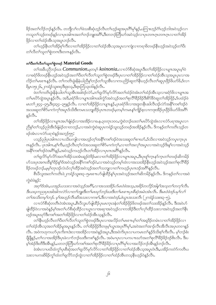ခိဉ်အတ<sup>ှ</sup>လိဉ်ဘဉ်နဉ်လီၤႉ တဘျီလ<sup>ှ</sup>လ်လဖဲသးစိဆုံဟ့ဉ်လီၤတ်္ကာ့ဉ်ဆူအပုၤဂိ<sup>ု</sup>မှ်နှဉ်ႇပကြားဟ့ဉ်ဂံ်ဟ့ဉ်ဘါအဝဲသ့ဉ်လ႑ ကသူတၫ်သူဉ်တဖဉ်နဉ်လၫပုၤအါဂၤအတ႑်ဘဉ်ဘျုးအင်္ဂြိန္မီးတဘဉ်တြိဃာ်အဝဲသူဉ်လ႑ပုၤတဂၤဂူၤတဂၤဂူၤလၢတ႑်အိဉ် ဖိုဉ်လၢတၫ်ထံဉ်အီၤသ့အပူၤဘဉ်လီၤ.

တၫ်ဟ့ဉ်နီၤတၫ်အိဉ်စ့ၢ်ကီးလၢတၢ်အိဉ်ဖိုဉ်လၢတၫ်ထံဉ်အိၤသ့အပူၤလၢကျဲလၢကရၢဖိတဖဉ်နီၤဟုဉ်အဝဲသ့ဉ်တၫ်ပီး တၫ်လိတၫ်သူတၫ်စွဲတဂၤဒီးတဂၤနဉ်လိၤႉ

# တာ်ပီးတာ်လီတာ်သူတာ်စွဲတဖ $\beta$  Material Goods

တၫ်အခ်ဳပညီဘဉ်ဃး *Communion,*မ္စတမ္န**်** *koinonia,***လၫလံာ်စိဆုံအပူ၊ဒီးတၫ်အိ**ဉ်ဖိုဉ်လၫပျπအပူ၊မ့ၢ်ဝဲ လၢခရံာ်ဖိတဖဉ်နိုၤဟ့ဉ်အဝဲသ့ဉ်အတ<sup>ှ</sup>ပြီးတ<sup>ှ</sup>လီတ<sup>ှ</sup>သူတ<sup>ှ</sup>စွဲတဖဉ်ဒီးပှၤလၢတ<sup>ှ</sup>အိဉ်ဖှိဉ်လၢတ<sup>ှ</sup>ထံဉ်အိၤသ့အပူၤပှၤလၢအ လိဉ်တၢိမၤစ႑ာနှဉ်လီၤ. တၢ်ကတိၤခွဲးနိနံယါညီနှၤ်ဘဉ်တၤ်သူအိၤလၢကပည်ဉ်ဆူတၤ်နီၤဟ္ဥာ်လီၤတၢ်ဆူပုၤဖိုဉ်ဖိယဉ်ဖိ,့ဒ်လ႑ ရိမ္နာ၁၅း၂၆,၂ကရံဉ်သူးၵး၄ဒိး၉း၁၃,ဒိးဇ္နာဘြံ၁၃း၁၆နဉ်လီၤ.

ဖဲတၫ်ကတိၤခွဲးနိနံယါတၫ်သူအိၤအခါဒဉ်လဲ>်ႇတၫ်ရူလိ>်မှာ်လိာ်အတ႑်ထံဉ်ဝဲအံၤတ႑်ထံဉ်အိၤသ့လၢခရံာ်ဖိလၢပျπအ တၫ်မာပိဉ်ထွဲအပူာနဉ်လီး. အဒိ,ခရံှာ်ဖိလာပျπအါကဆါကွံဉ်အဝဲသ့ဉ်အတ႑်စုလိံ<sup>ရန္</sup>ဝိုန်းမိုာ်နိုင်ဆူတ႑်အိဉ်ဖိုဉ်,ဒ်ပထံဉ်ဖဲ မၤတၫိ၊း၄၄–၄၅ ဒီး၄း၃၄–၃၅နဉ်လိၤ. လၢတၫ်အိဉ်ဖှိဉ်လၢပျπနှဉ် ပှၤခရံာ်ဖိလၢအဒူတနိၤဆါလီၤဒဉ်လဲာ်အနိဂ်ကစဂ်ဒဉ်ဝဲ အသးဆူတၫ်စိ>်မၢကဲကုၫ်အပူၤဒ်သိးဒိီးကမၤသဘျ့ထိဉ်ပုၤကတဖဉ်မ့တမ့ၫ်ကမၤန္ၫ်ကျိဉ်စ့လၢကဒုးအိဉ်ပုၤဖိုဉ်ဖိယာ်ဖိအဂိံ႑  $$50.$ 

တၫ်အိဉ်ဖိုဉ်လၫပျπအပၫ်ချံမဲဉ်လၢအအိဉ်လၢခႉနုႉ၃၀တုၤ၁၀၀ႇကွဲး၀ဲဘဉ်ဃးတၫ်မာပိဉ်ထွဲအံၤလၢလံဉ်ပရၢအပူၤလၢ ညီနှၤ်တ႑်သူဉ်ညါအီၤဒ်ချံမဲဉ်တ႑တဘုဉ်,လ႑အဝဲကွဲးဝဲဆူပုၤကရံဉ်သူးသုဉ်တဖဉ်အအိဉ်နဉ်လီၤ ဒီကနဉ်တ႑်ကတိၤသုဉ်တ ဖဉ်အံၤလၢလံာ်ပရၢဝဲနဉ်အဘ္ဥာ်၅၅:

ပသူဉ်ညါပုၤအါဂၤလ႑ပသိႏပကျါလ႑အဟူဉ်တဲ့႑်အနို႑်ကစ႑်ဒဉ်ဝဲအသးဆူတ႑်စ႑ဃၥ်ႇဒ်သိးလ႑အဝဲသူဉ်ကပ္ $\tau$ က္ $\tau$ ပု႑ ကန္ဥလပ္မွာေပးသူပယ္စပ္မ်က္လႈံးလဲဦးလံုးတဲ့ အသီးဆိုလ္ရည္အရွိမ္မွ ပယ္စပ္မ်က္လုံးလာသည္ အေပ်ာက္လည္သည္အေပ်ာက္သည္မွာ ပ အနိ<sup>6</sup>ကစၫ်ဒဉ်ဝဲအဂ်ိ<sup>န္</sup>နှဉ်ႇအဝဲသုဉ်ကဟ္ဥာလိၤတၫ်အိဉ်လၢပုၤကအဂ်ိါနဉ်လိၤႇ

တၫ်ရူလိ9်မှာ်လိ9်အတ<sup>ု</sup>အိဉ်သးအံၤဆူဉ်ဝဲ<sup>8</sup>ဉ်မးလၢတ႑်အိဉ်ဖိုဉ်လၢပျπအပူၤႇဒီးပုၤစူ<sup>ဌ</sup>က္နာနှာ်ကူၤတၢ်တဖဉ်ဆိကမိဉ် ဟ်သးပုၤအဂၤထိနၖ်္ဂါဒိဉ်နၖ်္ဂါဒ်အဝဲသုဉ်အနိ<sup>5</sup>ုကစဉ်ဒဉ်ဝဲႇလၤအဝဲသုဉ်တမ့််၊ထဲလၤအသးအိဉ်နိုးဟုဉ်အဝဲသုဉ်အတ<sup>ု</sup>စုလိြနိဉ် ခိဉ်တဖဉ်ဘဉ်,မမ့ှ်တုၤဒဉ်လဲယ်လှ၊်ထိဉ်အဝဲသ့ဉ်အတၤ်သဘျလၢတၤ်ကဟ့ဉ်ပုၤကဒဉ်အဂိါနှဉ်လီၤ.

စီးပိလူးအတၫ်ကတိၤဖဲ၂ကရံဉ်သူး၈း၃–၅မၤစ πဟ်ဖျံထိဉ်နှၤ်ပှၤအဝဲသွဉ်အတ႑်ဆိကမိဉ်နှဉ်လီၤႉ ဒိကနဉ်တ႑်လၢအဝဲ ကွဲးဝဲဖဲန5်:

အဂ္ဂါဒ်အံၤႇယအုဉ်ယသးလၢအဝဲသူဉ်အဂ်ိဳး,လၢအသးအိဉ်ဟ်မၤဝဲဖဲအသ္,အဓိဉ်တလိဉ်အါန ါအသူတ ါတက္ ါလီၤ. ဒီးယဃ္စကညးပုၤအါအါကလဲဉ်လ႑တ႑်ဘူူးဒီးတ႑်မၤဃၠာ်ဘဉ်ဃးဒီးတ႑်မၤစ႑ာပုၤစီဆုံအမံၤအံၤလိၤ. ဒီးမၤ၀ဲဖဲဒဉ်ပမှ႑်လ႑် တၫ်အသိးတမ္ ကာဉ်. မ့ ၊်အဟ္ဒဉ်လီးဆိုအသးလ ကစ႑်္မ ဒီးလ ၊အဝဲဒဉ်,ဖဲယ္၊ အသးလီး (၂ကရံဉ်သႏၵႏ၃–၅).

လၢလံာ်စိဆုံတတိၤဝဲအံၤအပူၤႇစိၤပိလူးဟ်ဖျါထိဉ်ပုၤမၤက္ၤဒနံတၫ်အိဉ်ဖိုဉ်ဖိတဖဉ်အတ႑်သးအိဉ်နှဉ်လီၤႉ ဒီးအဝဲဟ် ဖျါထိဉ်ဝဲလၢအဝဲန္ဉာမ့်ျအတၫ်ဟ်စီဆုံထိဉ်လၢယ္ပၤလၢအဆုၢအဝဲသူဉ်လၢကအိဉ်ဒီးတ႑်လုၤ်ထိဉ်သးလၢအဝဲသုဉ်အတ႑်နိုၤ ဟ္၌အပူးဃှာ်ဒီးကစၢ်အတၫ်အိဉ်ဖိုဉ်လၢတၢ်ထံဉ်အီးသွန္ ဉ်လီး.

ာ်၊<br>အိုးနီးဟ္နဉ်လီးတ<sup>ှ</sup>ုပီးတှက်လိတ်၊သူတှကွဲတဖဉ်ဒီးပုုလၢအလိဉ်တှ၊မာစπမ့ှာတှ၊အရှုဒ်ဉ်တမံးလၢတှ၊အိဉ်ဖိုဉ်လ၊ တၫ်ထံဉ်အီၤသ့အတၫ်အိဉ်မူအပူၤန္ဉာလီၤ. တ႑်အိဉ်ဖိုဉ်ဒီတဖုမ့္ပ်ယွာအပုၤဂိၢမု႑်,အဝဲအတ႑်အၤဉ်လီၤအိလီၤအပုၤတဝၢန္ဉဉ် လီၤႉ အဝဲကဟုကယာ်ပုၤကိႏၺဒဲးလၢအအိဉ်လၢအဝဲန္ဉာ်အပူးႇဒီးအဝဲကိႏၦၤလၢပကမၤတၫ်န္ဉာ်ဒ်သိႏစ္ၫ်ကီးလီၤႉ မ့ၫ်ဘဉ်စံး ျိပျိန္ဉ်ႇတၫ်လၢအအိဉ်ဒီးပုၤခဲလၫာ်ဘဉ်ဃးဒီးကစၫ်နှဉ်လီၤႉ အဝဲမၢပုၤလၢပကပ႑ာဃာ်အတ႑်စုလိၢိခိဉ်ခိဉ်ဒဉ်&ၤလီၤႉ ဒီးပ မ့်ၫအဲ့ဉ်ဒိးတိဒီးအိၤန္ဥ်ႇပတဘဉ်တြိဃာ်ကစၫ်အတ႑်စုလိ႑ိခ်ိုဥိနိုလ႑ပုၤဂိၢမှ႑်လ႑အလိဉ်ဘဉ်အိၤန္ဥဘဉ်လိၤႇ

.<br>ခဲအံၤလၢပဃိထံကွ\ပုၤစီဆိုအတ\ရှလိဉ်မှာ်လိဉ်လၢတ\အိဉ်ဖိုဉ်လၢတ\ထံဉ်အီၤသ့အပူၤဝံၤဒိိး,ပအိဉ်ကတဲာ်ကတီၤပ သးလၢပကဆိမိဉ်ကွ ်ထံတ ်ရွလိုာ်ဘဉ်ထွဲလၢတ႑်အိဉ်ဖိုဉ်လၢတ႑်ထံဉ်အီၤတသ္ဗနီၤဟ္မဉ်ဝဲနဉ်လီၤ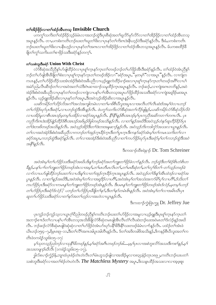# တၫ်အိဉ်ဖိုဉ်လၢတၫ်ထံဉ်အီးတသ္ Invisible Church

.<br>ပကကွ<sup>ှ</sup>သကိုးတၫ်ထံဉ်ခိဉ်သ့ဉ်ခံမံၤလၢအဘဉ်ထွဲဒီးပုၤစီဆုံအတ႑်ရှလိ5်မှ5်လိ5်လၢတ႑်အိဉ်ဖိုဉ်လၢတ႑်ထံဉ်အီၤတသ့ အပူးနှဉ်လီး တၢ,ပကစံးကတိၤဘဉ်ဃးတၢ်ဃူတၫ်ဖိးလၢပုၤနှာ်တၫကိးကဒဲးနိုးဟ့ဉ်ဝဲဒိီးခရံာ်နဉ်လီး ဒီးခံ,ပကစံးကတိၤ ဘဉ်ဃးတၫ်ဃူတၫ်ဖိးလၢပနိၱၤဟူဉ်လၢပုၤနှာ်တၫ်အကလၢတၫ်အိဉ်ဖိုဉ်လၢတၫ်ထံဉ်အီၤတသ့အပူၤန္ဉာ်လီၤႉ မ်ပကစးထိဉ်ခ်ိ ဖြိုတ႑်ကွ႑်သကိုးပတ႑်စ႑ဖိုဉ်သးဒီးခရံှာ်နှဉ်တက္၄ါ.

#### တၫ်သးစဲဘူးဒီးခရံု Union With Christ

လံာ်စီဆုံအသီညီနှၤ်ဟ်ဖျါထိဉ်ဝဲလၢပုၤစူၫ်က္ၤနှာ်က္ၤတၤ်တဖဉ်ဘဉ်တၤ်ဟ်ဖိုဉ်အီၤဒီးခရံာ်နှဉ်လီၤႉ တၤ်ထံဉ်ဝဲအံၤညီနှၤ် ဘဉ်တၫ်ဟ်ဖျ်အီးခီဖျိတၫ်စီးလၢပုၤစူၫ်က္ၤနှာ်က္ၤတၫ်တဖဉ်အိဉ်လၢ"်ခရံာ်အပူးႇ"မဲ့တမ့ၢ်"လၢအပူး"နဉ်လီၤႉ လၢကျဲတ ကပၤန္5ဲႇတၫ်ပာ်ဖိုဉ်ထိဉ်သးအံၤအဲဉ်ဒိးစံးဝဲအခ်ဳပညီလ႑ယူဉ်ရူးကဲထိဉ်ခ႑ာ်စးလ႑ပုၤစူၫ်က္ၤနာ်က္ၤတၫ်တဖဉ်အဂိၤ်လ႑ပ႑် အမဲဉ်ညါ,လီၤဆီဒဉ်တၫ်လၢအဝဲအတ႑်သံဒီးဂဲၤဆၢထ႑ဉ်သမှုထိဉ်က္πအပူၤန္ဉာလီၤ. ဘဉ်ဆဉ်,လၢကျဲအဂၤတဘိန္ဉဉ်,အဝဲ အဲဉ်ဒိးစံးဝဲအခ်ဳပညီလ ၊ပုၤနှာ်တ႑်တဖဉ်လ ၊ကျဲလ ၊ပန႑်ပ ၊႑်အီၤတသ္စအပူ၊ ဟ်ဖိုဉ်ထိဉ်အသးဒိီးခရံာ်လ ၊ကျဲအရှုဒိဉ်မးအပူၤ နၵ်လီၤႉ ယူဉ်ရူးအိဉ်ဆိုးလၢပုၤနာ်တၫ်အပူၤႇဒီးအဝဲသုဉ်အိဉ်ဆိုးလၢအပူၤန္ဉာလီၤႉ

ယဆိကမိဉ်တ႑်သို့ည်သို့အကံ ကြသဲအကျုံတမံၤလ႑တ႑်မ႑ဖိစီၤပီလူးအပူၤလ႑အလီၤတံ႑်လီၤဆဲးဒ်အမှု (၁ဲလ႑ပဘဉ် တ႑်ဟိမိုဉ်ဃုဉ်ပုံ၊ ဒီးခရာ်,လ႑ပဘဉ်ထွဲဒီးအိၤန္နဲဉ်လီး ဖဲပက္ဂ သက်ိးလံဉ်စီဆိုအတ႑်လိဉ်ဖျန္နာ်,ယဆိကမိဉ်လံဉ်စီဆုံသိုင်လိဝဲ လ ၊ပအိဉ်မူလ ၊စီးအၤဒဉ်မှတမှ ်ပအိဉ်လ ၊ခရံဉ်အပူးနှဉ်လီး . နိ<sup>၎န္ဓ</sup>ါနှဉ်စီးအၤဒဉ်မှ ်ပုၤကညီအဆိကတ ၊ ်ာတၤလီး . ပုၤ ကညီကိုးဂၤဒဲးအိဉ်ဖျဲ့ဉ်ထိဉ်ဒ်စီၤအၤဒဉ်အဖိမှဉ်ဖိခွါတဖဉ်အသိးနဉ်လီၤ. လၢတ႑်နဉ်အဃိဒီးအဝဲသုဉ်ဟဲနှာ်ဆူဟိဉ်နိဉ်ဒ်ပုၤ တ ်ဒြဲးဘးဖိတဖဉ်အသိႏ္နာ်လီး အဝဲသုဉ်အိဉ်ဒီးတ ်ဒဲးဘးအန္ဒဆ႑ာန္နာ်လီး အဝဲသုဉ်ဘိးကဒါကွာ်အသးလ ယူၤန္နာ်လီး . တ႑်လၢအဝဲအဲဉ်ဒိုးစံးဝဲအခ်ဳပညီလၢကဘဉ်တ႑်အှဉ်က္ဍာခ်ိဳဉ်က္ဍာဒီးတ႑်ပ္ $1$ က္ဍာဒီးကနဉ်ခရံဉ်အံၤမ္ဒုတ႑်ကမၤသက်ိးတ႑်လ႑ ခရံဉ်အပူၤႇကဘဉ်ထွဲဒီးခရံဉ်နှဉ်လီၤ. တ`ၤလၢအအဲဉ်ဒိးစံးဝဲအခ်ဳပညီလ ၊တ`၊်ကပဉ်ဖိုဉ်ဃှဉ်ပုၤဒီးခရံဉ်မှ`၊တ`၊ကဘဉ်ထွဲဒီးအဝဲ အနီ9နဉ်လီၤ.

ဒီးကထၫဉ်ထိစရဲန႑ဉ် Dr. Tom Schreiner

အဝဲအံၤမ္ ါတ ်ပာဖြဉ်သးဒီးခရံဉ်အဃိပဒိႏန္ ါဘဉ်ခရံဉ်အတ ါဘျုးတ ါဖြဉ်ခဲလ 1ာ်နှဉ်လီၤ. ဘဉ်ထွဲဒီးတ ါစံဉ်စိၤတဲစိၤတ ခ်ိန္နဉ္နဲ့ပန<sup>္</sup>ပ႑ေတြကျူးတ႑်ဖြိုင်တဖဉ်အံၤလၢအမွ<sup>င္</sup>နတ႑မၤတိမၤလိၤတ႑်,တ႑်မၤစီဆုံတ႑်,တ႑်လု<sup>ဴ ဖြ</sup>တ် –တ႑်သ္*ဉ်တဖဉ်ခဲ* လၫာ်လၢပဟ်ဖျါထိဉ်ဘဉ်ဃးတ႑်လၢပဒိႏန႑်လၢတ႑်အှဉ်က္ဍၤခဵဉ်က္ဥအပူ႑န္နဉ်လီး အဝဲသ္ဥတ႑်ဒိႏန္ ႑အီးထဲဒဉ်လၢခရံှာ်အ ပူးနှဉ်လီး. လၢတ႑်နှဉ်အဃိဒီး,အဝဲအံးမှု၂်တ႑်လၢအရှုဒိုဉ်လၢပင်္ဂါ,အဝဲအံးမှု၂်တ႑်အသံးအကဉ်မိ1ပု႑်လၢပင်္ဂါ,ဒ်သိုးတ႑် ကပာ်ဖိုဉ်ပုၤဒီးခရံာ်လ႑ကမၤန္န ါတ ါဘူးတ ါဖိုဉ်တဖဉ်အံၤန္နဉ်လီၤ. ဒီးပမၤန္န ါတ ါဘူးတ ါဖိုဉ်တဖဉ်အံၤဒ်လဲဉ်,မူတမူ ါပဘဉ် တ1်ပာ်၆ှိန်ပွားဒီးခရံဉ်ဒ်လဲဉ်? ပဘဉ်တ1်ပာ်၆ှိန်ပွားခီဖြိုတ1်နာ် ဒီးတ1်နာ်တမံၤမီးနှဉ်လီး အဝဲအံၤမှ1်တ1်လ ၊အမိၤယီၤပုၤ ဆူတ႑်ပာ်ဖိုဉ်သးဒီးခရုံဉ်လ႑တ႑်နှာ်အတ႑်ဟ္မဉ်လ႑အဟဲလ႑ယ္မ႑န္နဉ်လီး.

ဒီးကထၫဉ်ကဲ့းဖြံၤက္မူ Dr. Jeffrey Jue

ပုၤကူဉ်ဘဉ်ကူဉ်သူလၢယွၤဂ့ါပိညါတဖဉ်ညီနှါကတိၤဘဉ်ဃးတါဟ်ဖိုဉ်လၢအမှုလၢယ့ဉ်ရူုးဒီးပုၤစူါက္ၤနှာ်က္ၤတါ အဘၫဉ်စπဒ်တၫ်လၢပန1်ပၢါအိၤတသ့အသိးခ်ိဖြိုလံဉ်စီဆုံတမၤဖျါအိၤလိၤတံၤလိၤဆဲးဘဉ်ဃးအဝဲမၤတၤ်ဒ်လဲဉ်နှဉ်အဃိ လီၤႉ ဘဉ်ဆဉ်လံာ်စိဆုံမၤဖျါဝဲဆုံဆုံလၢတၫ်ဟ်ဖိုဉ်ဝဲအံၤပာ်ဃှာ်ပန်<sup>၎႙ဌေး</sup>နိ႑်သးတဖဉ်ခံမံၤလၫာ်နှဉ်လီၤႉ ပထံဉ်တ႑်အံၤဖဲ ယိၤဟဉ်၁၅း၄–၇, ရိမ္နာဂႏုု–၁၁, ဒီးတ႑်လီ ဒြာကအါပူာအါတီၤန္ ဉ်လီၤ. ဒ်တ႑်အဒိတ္ခါဖိအသိးန္၁်, ဒိကနဉ်စီၤပီလူးအတ႑်က တိၤဖဲဝကရံဉ်သူး၆း၁၅–၁၇:

မှ သုတသူဉ်ညါဘဉ်လ ၊သုနိ<sup>6</sup>ါ်ဘဖဉ်နဉ်,မှ ါခရံဉ်အဂီၤတဖဉ်ဘဉ်ဓါ….မှမှ ပြုလ ၊အစဲဘူးလိဉ်အသးဒီးကစ ါနဉ်,မှ ါ *အသးတဖျาဉ်ဃီလီၤ* (၁ကရံဉ်သူး၆း၁၅–၁၇)**.** 

ခွါလ်စပၢဉ်က္ခံဉ်န်ႇဘျာထံပှၤစံဉ်တဲၤတဲလီၤတၫ်မံၤဟူသဉ်ဖျါလၢအအိဉ်မူလၢ၁၈၃၄နံဉ်တုၤ၁၈၉၂ႇကတိၤဘဉ်ဃးပတ႑် သးစဲဘူးဒီးခရံာ်လၢအတၫ်စံဉ်တဲၤတဲလီၤ The Matchless Mystery အပူၤ,ဒိးသန္ၤထိဉ်အသးလၢလၢအဲ့ဖူးစူး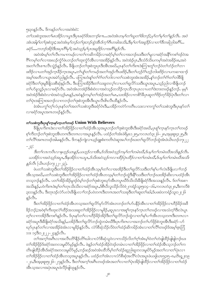## ၅း၃၀နဉ်လီၤ. ဒိကနဉ်တ႑်လၢအဝဲစံးဝဲ:

တ႑်သးစဲဘူးအတ႑်မၤအိဉ်လ႑ယ္မွၤဒီးပုၤခရံဉ်ဖိအဘ႑ာဴစ႑ာ…အဝဲအံၤတမ္နှြတ႑်ဃူတ႑်ဖိုးဘဉ်; မူ႑်တ႑်မူ႑်တ႑်န္နဉ်လီၤ. အဝဲ ခရံဉ်….ကဘဉ်အိဉ်ဒီးအပုၤဂိၢမု႑်; အဝဲသူဉ်မူၫပုၤအရှုဒိုဉ်လ႑အဂိၢန္နဉ်လိုၤ.

အဝဲအံၤမ္โတၤ်လီၤကမၢကမဉ်လၢတၤ်ကဆိကမိဉ်လၢခရံဉ်မ္โတၤ်လၢအဘဉ်ဃးဒီးတၤ်မူလၢခရံဉ်အနိုၤ်ကစၤ်ဒဉ်ဝဲအ ဂီးကမ္းတၤလၤအဃဉ်ကံ့ဉ်ဖဲပဘဉ်တၤ်ထုးကံ့ဉ်အီၤလၤအအိဉ်နဉ်လီၤႉ အဝဲအဲဉ်ပုၤႇဒီးသံဒ်သိုးပကမ္းအဝဲအခ်ဉ်ဖႏႇအဝဲ အတ႑်လီၤစπလီၤသွဲဉ်န္ဉာ်လီၤ. ဒီဖျိပဘဉ်တ႑်ဒုးစဲဘူးပုၤဒီးအီၤအဃိႇပုၤနှာ်တ႑်ကိုးကဒဲးကြ႑းတူ႑်ဘဉ်ဝဲတ႑်ဘံဉ်တ႑်ဘ႑ ဖးဒိဉ်လၢပတၫ်အှဉ်ကူၤဒိဉ်ကူၤအပူၤႇတ႑်ပျာ်တ႑်ကမဉ်အတ႑်အှဉ်ကီၤဖးဒိဉ်ႇဒိီးတ႑်ဟူဉ်ဂံ႑်ဟူဉ်ဘါဖးဒိဉ်လၢပကဆ႑ထ႑ဉ် အမ္ခါအတိလၫယ္ပၤအမဲ႒်ညါန္႒်လီၤ. ပကြ႑းဟံးန္ ါတ႑်ဂံ႑်တ႑်ဘါလ႑တ႑်သးစဲဘူးအံၤအအိဉ်,န္ ႑်ဘဉ်တ႑်ဂံ႑်တ႑်ဘါခ်ီဖြို ခရံာ်ဒီးတၫ်ဒုးမူခ်ီဖျိသးစိဆုံနှဉ်လိၤႉ ဒီးပကြၫးအိဉ်ဒီးတ႑်သးခူတလ့႑်လ႑ပတ႑်ရှလိဉ်သးဒီးယွၤအပူၤႇသ့ဉ်ညါလ႑ခ်ီဖျိပဘဉ် တၫိပာ်ခူသူဉ်ပုၤလၢခရံှာလီၤႉ အဝဲအံၤတအဲဉ်ဒိုးစံးဝဲလၢအဝဲသ့ဉ်တသိဉ်ကူၤသိက္ၤပုၤလၢပတၫ်ဒဲးဘးတဖဉ်နဉ်ဘဉ်ႉ မ့မ့႑် အဝဲအဲဉ်ဒိုးစံးဝဲလၢဖဲအဝဲသုဉ်မၤန္ဉွ်,အဝဲန္ဥကမ္နှ်တြန္ဘာတြမၤ,သူအိဥ္မလၤကစိာခ်ဳပုၤဆူတၤ်ဒြဉ်တုာ်ခ်ိဉ်ပုဲၤဒီးတၤ်လၤ တၫ်ပုံၤအကြၢးအဘဉ်လၢကဘဉ်တၫ်ဒုးစဲဘူးအီၤဒီးယွၤလီၤလီၤလီနဉ်လီၤ.

ခဲအံၤပက္ဂါတ့ါလံပုၤနှာ်တၫ်အတ႑်သးစဲဘူးဒီးခရံာ်ဝံၤဒီးႇပအိဉ်ကတဲာ်ကတိၤပသးလၢကက္ဂါတ႑်သးစဲဘူးဒီးပုၤနှာ်တ႑် လၢခရံာ်အပူၤအဂၤတဖဉ်နဉ်လီၤ.

# တၫ်သးစဲဘူးဒီးပုၤစုၫ်က္ၤန>်က္ၤတၫ်တဖဉ် Union With Believers

ခ်ိဖျိပုၤကိုးဂၤဒဲးလၢတၫ်အိဉ်ဖိုဉ်လၢတၫ်ထံဉ်အိၤသ္ဒအပူၤဘဉ်တၫ်ဒုးစဲဘူးအိၤဒိီးခရံာ်အဃိႇပုၤစူၫ်က္ၤနှာ်က္ၤတၫ်တဖဉ် စ့ါကီးဘဉ်တါဒုးစဲဘူးအီၤတဂၤဒီးတဂၤလၢအပူၤန္ဉာလီၤ. ပထံဉ်တါအံၤဖဲရိမ္ၤ၁၂း၅,ကလၤတံ၃း၂၆–၂၈,အဖူးစူး၄း၂၅,ဒီး တၫ်လိ်ၤအဂၤတဖဉ်အါမးန္ဉာ်လီၤႉ ဒိကနဉ်ကျဲလၤယ့ဉ်ရူူးစံးကတိၤဝဲဆူအပၤ်ဘဉ်ဃးတၤ်ရှလိဉ်ဘဉ်ထွဲအံၤဖဲယိၤဟဉ်၁၇း၂၂

 $\varphi$ :

ဒီးတ ်လၤကဝိၤလ႑နဟ္ဒဉ်ယၤန္နဉ်,ယဟ္ဒဉ်လ႑အိၤ,ဒ်သိးအဝဲသ္ဉ်ကမ့္ပ်တ႑်တမံၤဃိ,ဒ်ပမ္ ်ာတ႑်တမံၤဃိအသိးန္နဉ်လိၤ. .<br>ယအိဉ်လၢအဝဲသုဉ်အပူး ဒီးနအိုဉ်လၢယပူး ဒ်သိးအဝဲသုဉ်ကလၢထိဉ်ပုံၤထိဉ်လၢတ႑်တမံးဃိ,ဒ်ပမ္ ၊်တ႑်ပမီးဆသီး *န္၄ိလီး* (ယိၤဟဉ်၁၇း၂၂–၂၃).

ဖဲပတ႑်သးစဲဘူးဒီးတ႑်အိဉ်ဖိုဉ်လ႑တ႑်ထံဉ်အိၤသ္စမ္နှာတ႑်လ႑အအိဉ်ဒီးတ႑်ရှလိဉ်သးဒီးတ႑်နှၤပ႑်လဲၤနီဖျိပလ႑ာဴဘဉ် အိၤသ့အဃိႇပတၫ်သးစဲဘူးဒီးတၫ်အိဉ်ဖိုဉ်လၢတၫ်ထံဉ်အိၤတသ့မ့ၢ်တၫ်ဘဉ်ထွဲဒီးနိ۱်သးဒိီးတၫ်ဘဉ်ဃးအိဉ်ဆိးလၢပထံဉ်အိၤ တသ့ဘဉ်နဉ်လီၤ. ပတၫ်အိဉ်အိဉ်မှုဒဉ်ဝဲမ့ၢ်ဘဉ်တၫ်ဒုးစဲဘူးဃှာ်အီၤတပူၤဃိဒ်သိးသိးခီဖျိုခရံာ်ဒီးအသးနှဉ်လီၤ. ဒ်တၫ်အစ႑ အသိးနဉ်,ပဝဲကိုးကဒဲးမ့္ပ်ာက်တြာသီးသီးလၢခရံဉ်အပူ၊,ဒ်စီၤပီလူးသိဉ်လိဝဲဖဲ၂ကရံဉ်သူး၅း၁၄–၁၆,ကလၤတံ၃း၂၈,ဒီးကလိစဲ ၃း၁၁နဉ်လီၤ<sup>့ ဒြီး</sup>တုၤဒဉ်လဲာ်ပလဲၤခီဖျိပလၫ်ာဘဉ်ပဝဲတဂၤဒီးတဂၤအတၤ်သးခုဒီးတၤ်ဆူးတၫ်ဆါ ဒ်ပဖးဖဲ၁ကရံဉ်သူး၁၂း၂၆  $5001.$ 

ဒီးတၫ်အိဉ်ဖိုဉ်လၢတၫ်ထံဉ်အီၤတသ့အတ႑်ရှလိဉ်မှာ်လိာ်အံၤတဘဉ်တ႑်ပာ်ပနိဉ်အီၤလၢတ႑်အိဉ်ဖိုဉ်လၢဟိဉ်ခိဉ်အဖိ ခြိဉ်ဘဉ်;အဝဲစ့်ၫက်ိဳးထုးလဲၫ်ထိဉ်အသးဆူတၫ်အိဉ်ဖိုဉ်လၢမှုခိဉ်,ဆူပုၤလၢအစူၫ်က္နာနဉ်က္နာတ႑်တဖဉ်လၢအသံတ္ၫ်ဒီးလဲၤပူၤ တ့်၊လၢကအိဉ်ဒီးကစါနှဉ်လီၤ. ဒ်ပုၤနှာ်တါလၢဟိဉ်ခိဉ်အိဉ်ဒီးတါရူလိာ်ဘဉ်ထွဲလၢတါနှါပၢါအီၤတသ္စတဂၤဒီးတဂၤလၢ ခရံာ်အပူၤဒီးခ်ီဖျိုခရံာ်အသိးန္၄်ႇပအိဉ်ဒီးတ႑်ရှလိာ်ဘဉ်ထွဲတမံၤဃိဒီးပုၤကိုးကလၢအဘဉ်တ႑်ဟ်ဖိုဉ်စဲဘူးအီၤဒီးခရံာ်–ဟ် ဃှာ်ပုၤန<sup>်</sup>တၫ်လၫအအိဉ်ခဲအံၤလၫမှုခိဉ်နဉ်လီၤ. လံာ်စီဆုံသိဉ်လိဝဲတၫ်ထံဉ်ဆိကမိဉ်အံၤလၢတၫ်လိ်ၢ်တဖဉ်ဒ်အမ့ၢ်ဇူးဘြံ ၁၁း ၁၄ဒီး၁၂ႏ၂၂–၂၄န5ုလီၤ.

.<br>တၫ်အက္ခ႑်အဂၤလၢအလီၤတိ<sup>ု</sup>နိုဉ်တိ<sup>ု့</sup>ဃါလၢလံာ်စီဆုံသူဝဲလၢကသိဉ်လိတ႑်ဂ္ဂါအံၤမ္ ါဝဲတ႑်တဲဖျါထိဉ်ဖျဖျါဘဉ်ဃး တၫ်အိဉ်ဖိုဉ်ဒ်ခရံဉ်အတလးမှုးပိဉ်မှဉ်နှဉ်လီၤႉ ဖဲနဉ်တၫ်ထံဉ်အိဉ်ဝဲဒဉ်တမံၤလၢတၫ်အိဉ်ဖိုဉ်လၢတၫ်ထံဉ်အိၤသ့ဘဉ်တ႑်က တိၤဖျါထိဉ်အီၤဒ်ခရံဉ်အတလးမူးပိဉ်မှဉ်,ဘဉ်ဆဉ်အဝဲအံၤထိဘိမ့်)တ႑်ထံဉ်ဆူညါဆူတလးမူးပိဉ်မှဉ်အတ<sup>၎</sup>လ႑တ<sup>ြ</sup>ပုံၤလ႑ တၫ်အိဉ်ဖိုဉ်လၫတၫ်ထံဉ်အီၤတသ္စအပူ၊ နဉ်လီၤ. ပထံဉ်တၫ်အံၤလၫလံာ်စီဆုံအလိၤ်လံၤအပူ၊ ဖဲယရါယာ၅၄း၅–၈,ဟိၤရှု ၂း၁၉ –၂၀,ဒီးအ့ဖူးစူး၅း၂၆–၂၇နှဉ်လီၤ. ဒီးတၫ်အက္ခၤ်အဂီၤတဖဉ်အံၤအတၤ်လၤတၤ်ပုံၤအိဉ်ဖျဲထိဉ်လၤတၤ်အိဉ်ဖိုဉ်လၤတၤ်ထံဉ် အီးသွအလၢအပုံၤအပူၤဖဲလိ5်ဖျာရန5်လီး.